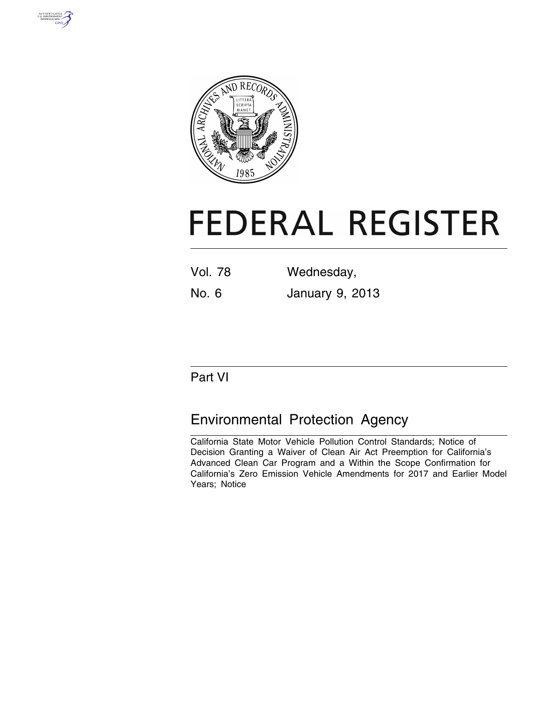



# **FEDERAL REGISTER**

| <b>Vol. 78</b> | Wednesday,             |
|----------------|------------------------|
| No. 6          | <b>January 9, 2013</b> |

# Part VI

# Environmental Protection Agency

California State Motor Vehicle Pollution Control Standards; Notice of Decision Granting a Waiver of Clean Air Act Preemption for California's Advanced Clean Car Program and a Within the Scope Confirmation for California's Zero Emission Vehicle Amendments for 2017 and Earlier Model Years; Notice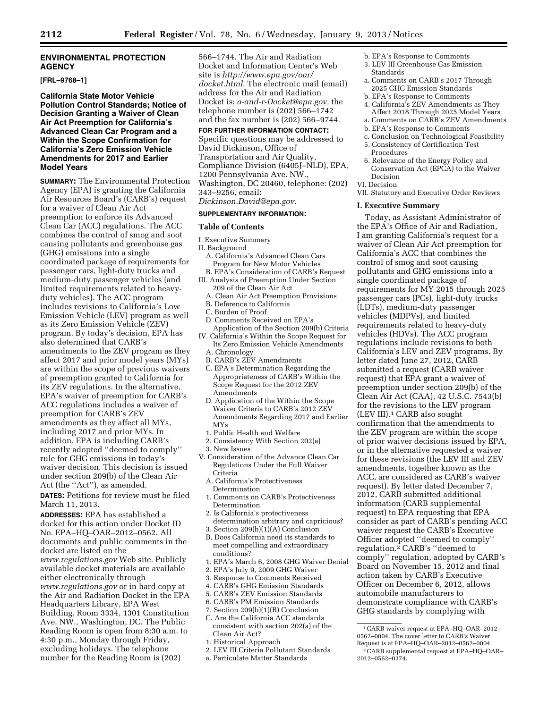# **ENVIRONMENTAL PROTECTION AGENCY**

#### **[FRL–9768–1]**

**California State Motor Vehicle Pollution Control Standards; Notice of Decision Granting a Waiver of Clean Air Act Preemption for California's Advanced Clean Car Program and a Within the Scope Confirmation for California's Zero Emission Vehicle Amendments for 2017 and Earlier Model Years** 

**SUMMARY:** The Environmental Protection Agency (EPA) is granting the California Air Resources Board's (CARB's) request for a waiver of Clean Air Act preemption to enforce its Advanced Clean Car (ACC) regulations. The ACC combines the control of smog and soot causing pollutants and greenhouse gas (GHG) emissions into a single coordinated package of requirements for passenger cars, light-duty trucks and medium-duty passenger vehicles (and limited requirements related to heavyduty vehicles). The ACC program includes revisions to California's Low Emission Vehicle (LEV) program as well as its Zero Emission Vehicle (ZEV) program. By today's decision, EPA has also determined that CARB's amendments to the ZEV program as they affect 2017 and prior model years (MYs) are within the scope of previous waivers of preemption granted to California for its ZEV regulations. In the alternative, EPA's waiver of preemption for CARB's ACC regulations includes a waiver of preemption for CARB's ZEV amendments as they affect all MYs, including 2017 and prior MYs. In addition, EPA is including CARB's recently adopted ''deemed to comply'' rule for GHG emissions in today's waiver decision. This decision is issued under section 209(b) of the Clean Air Act (the ''Act''), as amended.

**DATES:** Petitions for review must be filed March 11, 2013.

**ADDRESSES:** EPA has established a docket for this action under Docket ID No. EPA–HQ–OAR–2012–0562. All documents and public comments in the docket are listed on the *[www.regulations.gov](http://www.regulations.gov)* Web site. Publicly available docket materials are available either electronically through *[www.regulations.gov](http://www.regulations.gov)* or in hard copy at the Air and Radiation Docket in the EPA Headquarters Library, EPA West Building, Room 3334, 1301 Constitution Ave. NW., Washington, DC. The Public Reading Room is open from 8:30 a.m. to 4:30 p.m., Monday through Friday, excluding holidays. The telephone number for the Reading Room is (202)

566–1744. The Air and Radiation Docket and Information Center's Web site is *[http://www.epa.gov/oar/](http://www.epa.gov/oar/docket.html) [docket.html.](http://www.epa.gov/oar/docket.html)* The electronic mail (email) address for the Air and Radiation Docket is: *[a-and-r-Docket@epa.gov,](mailto:a-and-r-Docket@epa.gov)* the telephone number is (202) 566–1742 and the fax number is (202) 566–9744.

#### **FOR FURTHER INFORMATION CONTACT:**

Specific questions may be addressed to David Dickinson, Office of Transportation and Air Quality, Compliance Division (6405J–NLD), EPA, 1200 Pennsylvania Ave. NW., Washington, DC 20460, telephone: (202) 343–9256, email:

# *[Dickinson.David@epa.gov.](mailto:Dickinson.David@epa.gov)*

# **SUPPLEMENTARY INFORMATION:**

#### **Table of Contents**

- I. Executive Summary
- II. Background
- A. California's Advanced Clean Cars Program for New Motor Vehicles
- B. EPA's Consideration of CARB's Request III. Analysis of Preemption Under Section 209 of the Clean Air Act
	- A. Clean Air Act Preemption Provisions
	- B. Deference to California
	- C. Burden of Proof
- D. Comments Received on EPA's Application of the Section 209(b) Criteria
- IV. California's Within the Scope Request for Its Zero Emission Vehicle Amendments A. Chronology
	-
- B. CARB's ZEV Amendments
- C. EPA's Determination Regarding the Appropriateness of CARB's Within the Scope Request for the 2012 ZEV Amendments
- D. Application of the Within the Scope Waiver Criteria to CARB's 2012 ZEV Amendments Regarding 2017 and Earlier MYs
- 1. Public Health and Welfare
- 2. Consistency With Section 202(a) 3. New Issues
- V. Consideration of the Advance Clean Car Regulations Under the Full Waiver Criteria
	- A. California's Protectiveness Determination
	- 1. Comments on CARB's Protectiveness Determination
- 2. Is California's protectiveness determination arbitrary and capricious?
- 3. Section 209(b)(1)(A) Conclusion
- B. Does California need its standards to
- meet compelling and extraordinary conditions?
- 1. EPA's March 6, 2008 GHG Waiver Denial
- 2. EPA's July 9, 2009 GHG Waiver
- 3. Response to Comments Received
- 4. CARB's GHG Emission Standards
- 5. CARB's ZEV Emission Standards
- 6. CARB's PM Emission Standards
- 7. Section 209(b)(1)(B) Conclusion
- C. Are the California ACC standards consistent with section 202(a) of the Clean Air Act?
- 1. Historical Approach
- 2. LEV III Criteria Pollutant Standards
- a. Particulate Matter Standards
- b. EPA's Response to Comments
- 3. LEV III Greenhouse Gas Emission Standards
- a. Comments on CARB's 2017 Through 2025 GHG Emission Standards
- b. EPA's Response to Comments
- 4. California's ZEV Amendments as They Affect 2018 Through 2025 Model Years
- a. Comments on CARB's ZEV Amendments
- b. EPA's Response to Comments
	- c. Conclusion on Technological Feasibility 5. Consistency of Certification Test
	- Procedures
- 6. Relevance of the Energy Policy and Conservation Act (EPCA) to the Waiver Decision
- VI. Decision
- VII. Statutory and Executive Order Reviews

#### **I. Executive Summary**

Today, as Assistant Administrator of the EPA's Office of Air and Radiation, I am granting California's request for a waiver of Clean Air Act preemption for California's ACC that combines the control of smog and soot causing pollutants and GHG emissions into a single coordinated package of requirements for MY 2015 through 2025 passenger cars (PCs), light-duty trucks (LDTs), medium-duty passenger vehicles (MDPVs), and limited requirements related to heavy-duty vehicles (HDVs). The ACC program regulations include revisions to both California's LEV and ZEV programs. By letter dated June 27, 2012, CARB submitted a request (CARB waiver request) that EPA grant a waiver of preemption under section 209(b) of the Clean Air Act (CAA), 42 U.S.C. 7543(b) for the revisions to the LEV program (LEV III).1 CARB also sought confirmation that the amendments to the ZEV program are within the scope of prior waiver decisions issued by EPA, or in the alternative requested a waiver for these revisions (the LEV III and ZEV amendments, together known as the ACC, are considered as CARB's waiver request). By letter dated December 7, 2012, CARB submitted additional information (CARB supplemental request) to EPA requesting that EPA consider as part of CARB's pending ACC waiver request the CARB's Executive Officer adopted ''deemed to comply'' regulation.2 CARB's ''deemed to comply'' regulation, adopted by CARB's Board on November 15, 2012 and final action taken by CARB's Executive Officer on December 6, 2012, allows automobile manufacturers to demonstrate compliance with CARB's GHG standards by complying with

2012–0562–0374.

<sup>1</sup>CARB waiver request at EPA–HQ–OAR–2012– 0562–0004. The cover letter to CARB's Waiver Request is at EPA–HQ–OAR–2012–0562–0004. 2CARB supplemental request at EPA–HQ–OAR–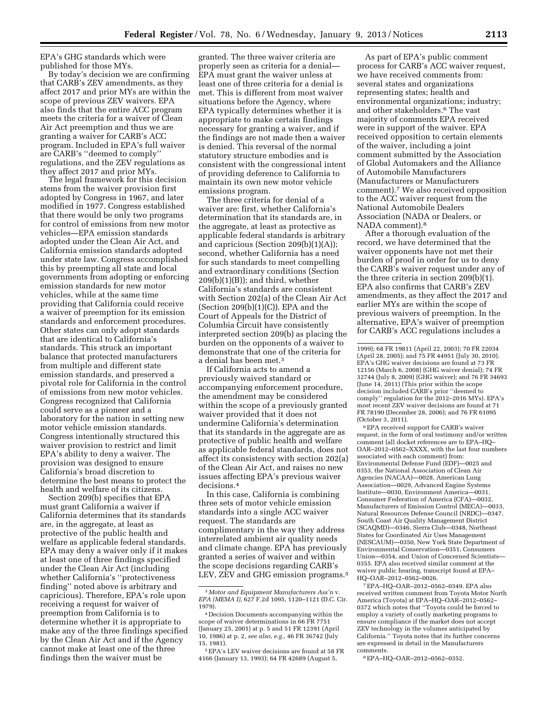EPA's GHG standards which were published for those MYs.

By today's decision we are confirming that CARB's ZEV amendments, as they affect 2017 and prior MYs are within the scope of previous ZEV waivers. EPA also finds that the entire ACC program meets the criteria for a waiver of Clean Air Act preemption and thus we are granting a waiver for CARB's ACC program. Included in EPA's full waiver are CARB's ''deemed to comply'' regulations, and the ZEV regulations as they affect 2017 and prior MYs.

The legal framework for this decision stems from the waiver provision first adopted by Congress in 1967, and later modified in 1977. Congress established that there would be only two programs for control of emissions from new motor vehicles—EPA emission standards adopted under the Clean Air Act, and California emission standards adopted under state law. Congress accomplished this by preempting all state and local governments from adopting or enforcing emission standards for new motor vehicles, while at the same time providing that California could receive a waiver of preemption for its emission standards and enforcement procedures. Other states can only adopt standards that are identical to California's standards. This struck an important balance that protected manufacturers from multiple and different state emission standards, and preserved a pivotal role for California in the control of emissions from new motor vehicles. Congress recognized that California could serve as a pioneer and a laboratory for the nation in setting new motor vehicle emission standards. Congress intentionally structured this waiver provision to restrict and limit EPA's ability to deny a waiver. The provision was designed to ensure California's broad discretion to determine the best means to protect the health and welfare of its citizens.

Section 209(b) specifies that EPA must grant California a waiver if California determines that its standards are, in the aggregate, at least as protective of the public health and welfare as applicable federal standards. EPA may deny a waiver only if it makes at least one of three findings specified under the Clean Air Act (including whether California's ''protectiveness finding'' noted above is arbitrary and capricious). Therefore, EPA's role upon receiving a request for waiver of preemption from California is to determine whether it is appropriate to make any of the three findings specified by the Clean Air Act and if the Agency cannot make at least one of the three findings then the waiver must be

granted. The three waiver criteria are properly seen as criteria for a denial— EPA must grant the waiver unless at least one of three criteria for a denial is met. This is different from most waiver situations before the Agency, where EPA typically determines whether it is appropriate to make certain findings necessary for granting a waiver, and if the findings are not made then a waiver is denied. This reversal of the normal statutory structure embodies and is consistent with the congressional intent of providing deference to California to maintain its own new motor vehicle emissions program.

The three criteria for denial of a waiver are: first, whether California's determination that its standards are, in the aggregate, at least as protective as applicable federal standards is arbitrary and capricious (Section 209(b)(1)(A)); second, whether California has a need for such standards to meet compelling and extraordinary conditions (Section  $209(b)(1)(B)$ ; and third, whether California's standards are consistent with Section 202(a) of the Clean Air Act (Section  $209(b)(1)(C)$ ). EPA and the Court of Appeals for the District of Columbia Circuit have consistently interpreted section 209(b) as placing the burden on the opponents of a waiver to demonstrate that one of the criteria for a denial has been met.3

If California acts to amend a previously waived standard or accompanying enforcement procedure, the amendment may be considered within the scope of a previously granted waiver provided that it does not undermine California's determination that its standards in the aggregate are as protective of public health and welfare as applicable federal standards, does not affect its consistency with section 202(a) of the Clean Air Act, and raises no new issues affecting EPA's previous waiver decisions.4

In this case, California is combining three sets of motor vehicle emission standards into a single ACC waiver request. The standards are complimentary in the way they address interrelated ambient air quality needs and climate change. EPA has previously granted a series of waiver and within the scope decisions regarding CARB's LEV, ZEV and GHG emission programs.<sup>5</sup>

As part of EPA's public comment process for CARB's ACC waiver request, we have received comments from: several states and organizations representing states; health and environmental organizations; industry; and other stakeholders.6 The vast majority of comments EPA received were in support of the waiver. EPA received opposition to certain elements of the waiver, including a joint comment submitted by the Association of Global Automakers and the Alliance of Automobile Manufacturers (Manufacturers or Manufacturers comment).7 We also received opposition to the ACC waiver request from the National Automobile Dealers Association (NADA or Dealers, or NADA comment).8

After a thorough evaluation of the record, we have determined that the waiver opponents have not met their burden of proof in order for us to deny the CARB's waiver request under any of the three criteria in section 209(b)(1). EPA also confirms that CARB's ZEV amendments, as they affect the 2017 and earlier MYs are within the scope of previous waivers of preemption. In the alternative, EPA's waiver of preemption for CARB's ACC regulations includes a

6EPA received support for CARB's waiver request, in the form of oral testimony and/or written comment (all docket references are to EPA–HQ– OAR–2012–0562–XXXX, with the last four numbers associated with each comment) from: Environmental Defense Fund (EDF)—0025 and 0353, the National Association of Clean Air Agencies (NACAA)—0028, American Lung Association—0029, Advanced Engine Systems Institute—0030, Environment America—0031, Consumer Federation of America (CFA)—0032, Manufacturers of Emission Control (MECA)—0033, Natural Resources Defense Council (NRDC)—0347, South Coast Air Quality Management District (SCAQMD)—0346, Sierra Club—0348, Northeast States for Coordinated Air Uses Management (NESCAUM)—0350, New York State Department of Environmental Conservation—0351, Consumers Union—0354, and Union of Concerned Scientists— 0355. EPA also received similar comment at the waiver public hearing, transcript found at EPA– HQ–OAR–2012–0562–0026.

7EPA–HQ–OAR–2012–0562–0349. EPA also received written comment from Toyota Motor North America (Toyota) at EPA–HQ–OAR–2012–0562– 0372 which notes that ''Toyota could be forced to employ a variety of costly marketing programs to ensure compliance if the market does not accept ZEV technology in the volumes anticipated by California.'' Toyota notes that its further concerns are expressed in detail in the Manufacturers comments.

8EPA–HQ–OAR–2012–0562–0352.

<sup>3</sup> *Motor and Equipment Manufacturers Ass'n* v. *EPA (MEMA I),* 627 F.2d 1095, 1120–1121 (D.C. Cir. 1979).

<sup>4</sup> Decision Documents accompanying within the scope of waiver determinations in 66 FR 7751 (January 25, 2001) at p. 5 and 51 FR 12391 (April 10, 1986) at p. 2, *see also, e.g.,* 46 FR 36742 (July 15, 1981).

<sup>5</sup>EPA's LEV waiver decisions are found at 58 FR 4166 (January 13, 1993); 64 FR 42689 (August 5,

<sup>1999); 68</sup> FR 19811 (April 22, 2003); 70 FR 22034 (April 28, 2005); and 75 FR 44951 (July 30, 2010). EPA's GHG waiver decisions are found at 73 FR 12156 (March 6, 2008) (GHG waiver denial); 74 FR 32744 (July 8, 2009) (GHG waiver); and 76 FR 34693 (June 14, 2011) (This prior within the scope decision included CARB's prior ''deemed to comply'' regulation for the 2012–2016 MYs). EPA's most recent ZEV waiver decisions are found at 71 FR 78190 (December 28, 2006); and 76 FR 61095 (October 3, 2011).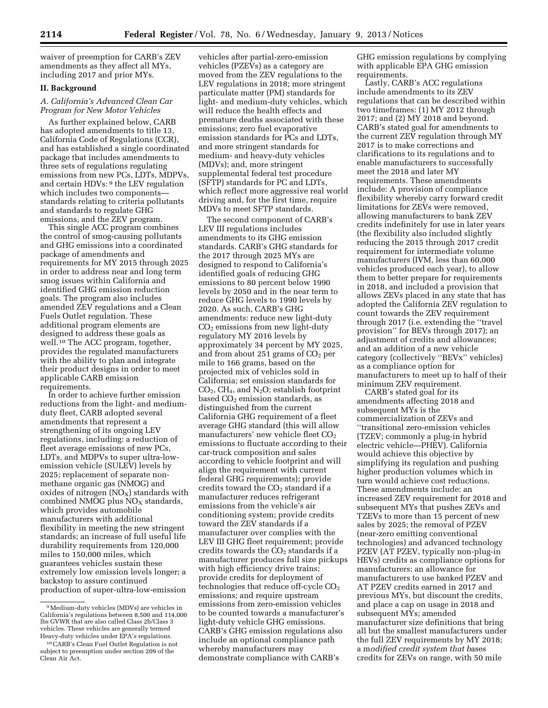waiver of preemption for CARB's ZEV amendments as they affect all MYs, including 2017 and prior MYs.

# **II. Background**

# *A. California's Advanced Clean Car Program for New Motor Vehicles*

As further explained below, CARB has adopted amendments to title 13, California Code of Regulations (CCR), and has established a single coordinated package that includes amendments to three sets of regulations regulating emissions from new PCs, LDTs, MDPVs, and certain HDVs: 9 the LEV regulation which includes two components standards relating to criteria pollutants and standards to regulate GHG emissions, and the ZEV program.

This single ACC program combines the control of smog-causing pollutants and GHG emissions into a coordinated package of amendments and requirements for MY 2015 through 2025 in order to address near and long term smog issues within California and identified GHG emission reduction goals. The program also includes amended ZEV regulations and a Clean Fuels Outlet regulation. These additional program elements are designed to address these goals as well.10 The ACC program, together, provides the regulated manufacturers with the ability to plan and integrate their product designs in order to meet applicable CARB emission requirements.

In order to achieve further emission reductions from the light- and mediumduty fleet, CARB adopted several amendments that represent a strengthening of its ongoing LEV regulations, including: a reduction of fleet average emissions of new PCs, LDTs, and MDPVs to super ultra-lowemission vehicle (SULEV) levels by 2025; replacement of separate nonmethane organic gas (NMOG) and oxides of nitrogen  $(NO<sub>X</sub>)$  standards with combined NMOG plus  $NO<sub>x</sub>$  standards, which provides automobile manufacturers with additional flexibility in meeting the new stringent standards; an increase of full useful life durability requirements from 120,000 miles to 150,000 miles, which guarantees vehicles sustain these extremely low emission levels longer; a backstop to assure continued production of super-ultra-low-emission

vehicles after partial-zero-emission vehicles (PZEVs) as a category are moved from the ZEV regulations to the LEV regulations in 2018; more stringent particulate matter (PM) standards for light- and medium-duty vehicles, which will reduce the health effects and premature deaths associated with these emissions; zero fuel evaporative emission standards for PCs and LDTs, and more stringent standards for medium- and heavy-duty vehicles (MDVs); and, more stringent supplemental federal test procedure (SFTP) standards for PC and LDTs, which reflect more aggressive real world driving and, for the first time, require MDVs to meet SFTP standards.

The second component of CARB's LEV III regulations includes amendments to its GHG emission standards. CARB's GHG standards for the 2017 through 2025 MYs are designed to respond to California's identified goals of reducing GHG emissions to 80 percent below 1990 levels by 2050 and in the near term to reduce GHG levels to 1990 levels by 2020. As such, CARB's GHG amendments: reduce new light-duty  $CO<sub>2</sub>$  emissions from new light-duty regulatory MY 2016 levels by approximately 34 percent by MY 2025, and from about 251 grams of  $CO<sub>2</sub>$  per mile to 166 grams, based on the projected mix of vehicles sold in California; set emission standards for CO2, CH4, and N2O; establish footprint based  $CO<sub>2</sub>$  emission standards, as distinguished from the current California GHG requirement of a fleet average GHG standard (this will allow manufacturers' new vehicle fleet  $CO<sub>2</sub>$ emissions to fluctuate according to their car-truck composition and sales according to vehicle footprint and will align the requirement with current federal GHG requirements); provide credits toward the  $CO<sub>2</sub>$  standard if a manufacturer reduces refrigerant emissions from the vehicle's air conditioning system; provide credits toward the ZEV standards if a manufacturer over complies with the LEV III GHG fleet requirement; provide credits towards the CO<sub>2</sub> standards if a manufacturer produces full size pickups with high efficiency drive trains; provide credits for deployment of technologies that reduce off-cycle  $CO<sub>2</sub>$ emissions; and require upstream emissions from zero-emission vehicles to be counted towards a manufacturer's light-duty vehicle GHG emissions. CARB's GHG emission regulations also include an optional compliance path whereby manufacturers may demonstrate compliance with CARB's

GHG emission regulations by complying with applicable EPA GHG emission requirements.

Lastly, CARB's ACC regulations include amendments to its ZEV regulations that can be described within two timeframes: (1) MY 2012 through 2017; and (2) MY 2018 and beyond. CARB's stated goal for amendments to the current ZEV regulation through MY 2017 is to make corrections and clarifications to its regulations and to enable manufacturers to successfully meet the 2018 and later MY requirements. These amendments include: A provision of compliance flexibility whereby carry forward credit limitations for ZEVs were removed, allowing manufacturers to bank ZEV credits indefinitely for use in later years (the flexibility also included slightly reducing the 2015 through 2017 credit requirement for intermediate volume manufacturers (IVM, less than 60,000 vehicles produced each year), to allow them to better prepare for requirements in 2018, and included a provision that allows ZEVs placed in any state that has adopted the California ZEV regulation to count towards the ZEV requirement through 2017 (i.e. extending the ''travel provision'' for BEVs through 2017); an adjustment of credits and allowances; and an addition of a new vehicle category (collectively ''BEVx'' vehicles) as a compliance option for manufacturers to meet up to half of their minimum ZEV requirement.

CARB's stated goal for its amendments affecting 2018 and subsequent MYs is the commercialization of ZEVs and ''transitional zero-emission vehicles (TZEV; commonly a plug-in hybrid electric vehicle—PHEV). California would achieve this objective by simplifying its regulation and pushing higher production volumes which in turn would achieve cost reductions. These amendments include: an increased ZEV requirement for 2018 and subsequent MYs that pushes ZEVs and TZEVs to more than 15 percent of new sales by 2025; the removal of PZEV (near-zero emitting conventional technologies) and advanced technology PZEV (AT PZEV, typically non-plug-in HEVs) credits as compliance options for manufacturers; an allowance for manufacturers to use banked PZEV and AT PZEV credits earned in 2017 and previous MYs, but discount the credits, and place a cap on usage in 2018 and subsequent MYs; amended manufacturer size definitions that bring all but the smallest manufacturers under the full ZEV requirements by MY 2018; a m*odified credit system that b*ases credits for ZEVs on range, with 50 mile

<sup>9</sup>Medium-duty vehicles (MDVs) are vehicles in California's regulations between 8,500 and 114,000 lbs GVWR that are also called Class 2b/Class 3 vehicles. These vehicles are generally termed Heavy-duty vehicles under EPA's regulations.

<sup>10</sup>CARB's Clean Fuel Outlet Regulation is not subject to preemption under section 209 of the Clean Air Act.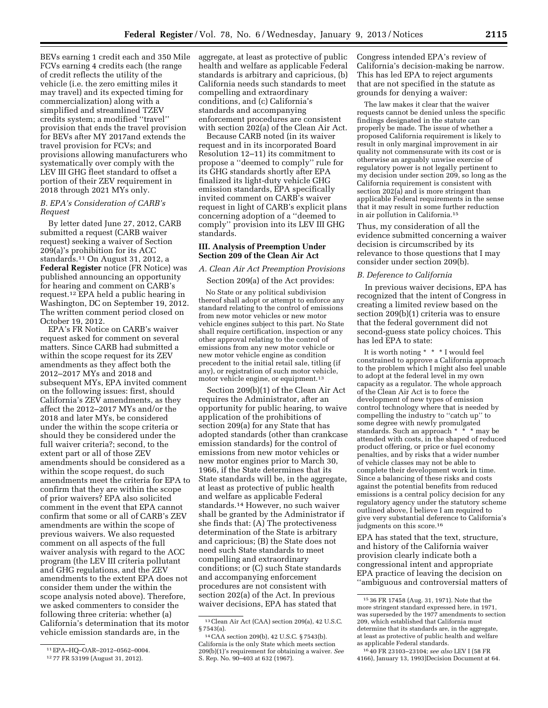BEVs earning 1 credit each and 350 Mile FCVs earning 4 credits each (the range of credit reflects the utility of the vehicle (i.e. the zero emitting miles it may travel) and its expected timing for commercialization) along with a simplified and streamlined TZEV credits system; a modified ''travel'' provision that ends the travel provision for BEVs after MY 2017and extends the travel provision for FCVs; and provisions allowing manufacturers who systematically over comply with the LEV III GHG fleet standard to offset a portion of their ZEV requirement in 2018 through 2021 MYs only.

#### *B. EPA's Consideration of CARB's Request*

By letter dated June 27, 2012, CARB submitted a request (CARB waiver request) seeking a waiver of Section 209(a)'s prohibition for its ACC standards.11 On August 31, 2012, a **Federal Register** notice (FR Notice) was published announcing an opportunity for hearing and comment on CARB's request.12 EPA held a public hearing in Washington, DC on September 19, 2012. The written comment period closed on October 19, 2012.

EPA's FR Notice on CARB's waiver request asked for comment on several matters. Since CARB had submitted a within the scope request for its ZEV amendments as they affect both the 2012–2017 MYs and 2018 and subsequent MYs, EPA invited comment on the following issues: first, should California's ZEV amendments, as they affect the 2012–2017 MYs and/or the 2018 and later MYs, be considered under the within the scope criteria or should they be considered under the full waiver criteria?; second, to the extent part or all of those ZEV amendments should be considered as a within the scope request, do such amendments meet the criteria for EPA to confirm that they are within the scope of prior waivers? EPA also solicited comment in the event that EPA cannot confirm that some or all of CARB's ZEV amendments are within the scope of previous waivers. We also requested comment on all aspects of the full waiver analysis with regard to the ACC program (the LEV III criteria pollutant and GHG regulations, and the ZEV amendments to the extent EPA does not consider them under the within the scope analysis noted above). Therefore, we asked commenters to consider the following three criteria: whether (a) California's determination that its motor vehicle emission standards are, in the

aggregate, at least as protective of public health and welfare as applicable Federal standards is arbitrary and capricious, (b) California needs such standards to meet compelling and extraordinary conditions, and (c) California's standards and accompanying enforcement procedures are consistent with section 202(a) of the Clean Air Act.

Because CARB noted (in its waiver request and in its incorporated Board Resolution 12–11) its commitment to propose a ''deemed to comply'' rule for its GHG standards shortly after EPA finalized its light-duty vehicle GHG emission standards, EPA specifically invited comment on CARB's waiver request in light of CARB's explicit plans concerning adoption of a ''deemed to comply'' provision into its LEV III GHG standards.

#### **III. Analysis of Preemption Under Section 209 of the Clean Air Act**

#### *A. Clean Air Act Preemption Provisions*

Section 209(a) of the Act provides:

No State or any political subdivision thereof shall adopt or attempt to enforce any standard relating to the control of emissions from new motor vehicles or new motor vehicle engines subject to this part. No State shall require certification, inspection or any other approval relating to the control of emissions from any new motor vehicle or new motor vehicle engine as condition precedent to the initial retail sale, titling (if any), or registration of such motor vehicle, motor vehicle engine, or equipment.13

Section 209(b)(1) of the Clean Air Act requires the Administrator, after an opportunity for public hearing, to waive application of the prohibitions of section 209(a) for any State that has adopted standards (other than crankcase emission standards) for the control of emissions from new motor vehicles or new motor engines prior to March 30, 1966, if the State determines that its State standards will be, in the aggregate, at least as protective of public health and welfare as applicable Federal standards.14 However, no such waiver shall be granted by the Administrator if she finds that: (A) The protectiveness determination of the State is arbitrary and capricious; (B) the State does not need such State standards to meet compelling and extraordinary conditions; or (C) such State standards and accompanying enforcement procedures are not consistent with section 202(a) of the Act. In previous waiver decisions, EPA has stated that

Congress intended EPA's review of California's decision-making be narrow. This has led EPA to reject arguments that are not specified in the statute as grounds for denying a waiver:

The law makes it clear that the waiver requests cannot be denied unless the specific findings designated in the statute can properly be made. The issue of whether a proposed California requirement is likely to result in only marginal improvement in air quality not commensurate with its cost or is otherwise an arguably unwise exercise of regulatory power is not legally pertinent to my decision under section 209, so long as the California requirement is consistent with section 202(a) and is more stringent than applicable Federal requirements in the sense that it may result in some further reduction in air pollution in California.15

Thus, my consideration of all the evidence submitted concerning a waiver decision is circumscribed by its relevance to those questions that I may consider under section 209(b).

#### *B. Deference to California*

In previous waiver decisions, EPA has recognized that the intent of Congress in creating a limited review based on the section 209(b)(1) criteria was to ensure that the federal government did not second-guess state policy choices. This has led EPA to state:

It is worth noting \* \* \* I would feel constrained to approve a California approach to the problem which I might also feel unable to adopt at the federal level in my own capacity as a regulator. The whole approach of the Clean Air Act is to force the development of new types of emission control technology where that is needed by compelling the industry to ''catch up'' to some degree with newly promulgated standards. Such an approach \* \* \* may be attended with costs, in the shaped of reduced product offering, or price or fuel economy penalties, and by risks that a wider number of vehicle classes may not be able to complete their development work in time. Since a balancing of these risks and costs against the potential benefits from reduced emissions is a central policy decision for any regulatory agency under the statutory scheme outlined above, I believe I am required to give very substantial deference to California's judgments on this score.<sup>16</sup>

EPA has stated that the text, structure, and history of the California waiver provision clearly indicate both a congressional intent and appropriate EPA practice of leaving the decision on ''ambiguous and controversial matters of

<sup>11</sup>EPA–HQ–OAR–2012–0562–0004.

<sup>12</sup> 77 FR 53199 (August 31, 2012).

<sup>13</sup>Clean Air Act (CAA) section 209(a), 42 U.S.C. § 7543(a).

<sup>14</sup>CAA section 209(b), 42 U.S.C. § 7543(b). California is the only State which meets section 209(b)(1)'s requirement for obtaining a waiver. *See*  S. Rep. No. 90–403 at 632 (1967).

<sup>15</sup> 36 FR 17458 (Aug. 31, 1971). Note that the more stringent standard expressed here, in 1971, was superseded by the 1977 amendments to section 209, which established that California must determine that its standards are, in the aggregate, at least as protective of public health and welfare as applicable Federal standards.

<sup>16</sup> 40 FR 23103–23104; *see also* LEV I (58 FR 4166), January 13, 1993)Decision Document at 64.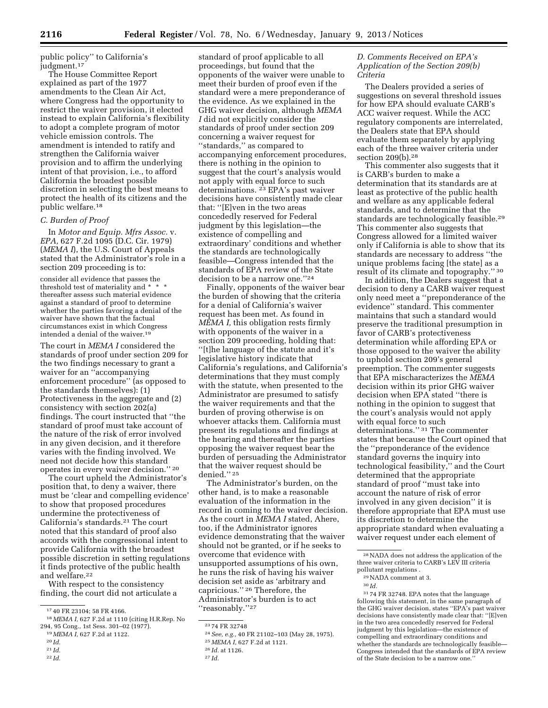public policy'' to California's judgment.17

The House Committee Report explained as part of the 1977 amendments to the Clean Air Act, where Congress had the opportunity to restrict the waiver provision, it elected instead to explain California's flexibility to adopt a complete program of motor vehicle emission controls. The amendment is intended to ratify and strengthen the California waiver provision and to affirm the underlying intent of that provision, i.e., to afford California the broadest possible discretion in selecting the best means to protect the health of its citizens and the public welfare.18

#### *C. Burden of Proof*

In *Motor and Equip. Mfrs Assoc.* v. *EPA,* 627 F.2d 1095 (D.C. Cir. 1979) (*MEMA I*), the U.S. Court of Appeals stated that the Administrator's role in a section 209 proceeding is to:

consider all evidence that passes the threshold test of materiality and \* \* \* thereafter assess such material evidence against a standard of proof to determine whether the parties favoring a denial of the waiver have shown that the factual circumstances exist in which Congress intended a denial of the waiver.19

The court in *MEMA I* considered the standards of proof under section 209 for the two findings necessary to grant a waiver for an ''accompanying enforcement procedure'' (as opposed to the standards themselves): (1) Protectiveness in the aggregate and (2) consistency with section 202(a) findings. The court instructed that ''the standard of proof must take account of the nature of the risk of error involved in any given decision, and it therefore varies with the finding involved. We need not decide how this standard operates in every waiver decision.'' 20

The court upheld the Administrator's position that, to deny a waiver, there must be 'clear and compelling evidence' to show that proposed procedures undermine the protectiveness of California's standards.21 The court noted that this standard of proof also accords with the congressional intent to provide California with the broadest possible discretion in setting regulations it finds protective of the public health and welfare.22

With respect to the consistency finding, the court did not articulate a

22 *Id.* 

standard of proof applicable to all proceedings, but found that the opponents of the waiver were unable to meet their burden of proof even if the standard were a mere preponderance of the evidence. As we explained in the GHG waiver decision, although *MEMA I* did not explicitly consider the standards of proof under section 209 concerning a waiver request for "standards," as compared to accompanying enforcement procedures, there is nothing in the opinion to suggest that the court's analysis would not apply with equal force to such determinations. 23 EPA's past waiver decisions have consistently made clear that: ''[E]ven in the two areas concededly reserved for Federal judgment by this legislation—the existence of compelling and extraordinary' conditions and whether the standards are technologically feasible—Congress intended that the standards of EPA review of the State decision to be a narrow one.''24

Finally, opponents of the waiver bear the burden of showing that the criteria for a denial of California's waiver request has been met. As found in *MEMA I,* this obligation rests firmly with opponents of the waiver in a section 209 proceeding, holding that: ''[t]he language of the statute and it's legislative history indicate that California's regulations, and California's determinations that they must comply with the statute, when presented to the Administrator are presumed to satisfy the waiver requirements and that the burden of proving otherwise is on whoever attacks them. California must present its regulations and findings at the hearing and thereafter the parties opposing the waiver request bear the burden of persuading the Administrator that the waiver request should be denied.'' 25

The Administrator's burden, on the other hand, is to make a reasonable evaluation of the information in the record in coming to the waiver decision. As the court in *MEMA I* stated, Ahere, too, if the Administrator ignores evidence demonstrating that the waiver should not be granted, or if he seeks to overcome that evidence with unsupported assumptions of his own, he runs the risk of having his waiver decision set aside as 'arbitrary and capricious.'' 26 Therefore, the Administrator's burden is to act "reasonably."<sup>27</sup>

*D. Comments Received on EPA's Application of the Section 209(b) Criteria* 

The Dealers provided a series of suggestions on several threshold issues for how EPA should evaluate CARB's ACC waiver request. While the ACC regulatory components are interrelated, the Dealers state that EPA should evaluate them separately by applying each of the three waiver criteria under section 209(b).28

This commenter also suggests that it is CARB's burden to make a determination that its standards are at least as protective of the public health and welfare as any applicable federal standards, and to determine that the standards are technologically feasible.29 This commenter also suggests that Congress allowed for a limited waiver only if California is able to show that its standards are necessary to address ''the unique problems facing [the state] as a result of its climate and topography.'' 30

In addition, the Dealers suggest that a decision to deny a CARB waiver request only need meet a ''preponderance of the evidence'' standard. This commenter maintains that such a standard would preserve the traditional presumption in favor of CARB's protectiveness determination while affording EPA or those opposed to the waiver the ability to uphold section 209's general preemption. The commenter suggests that EPA mischaracterizes the *MEMA*  decision within its prior GHG waiver decision when EPA stated ''there is nothing in the opinion to suggest that the court's analysis would not apply with equal force to such determinations.'' 31 The commenter states that because the Court opined that the ''preponderance of the evidence standard governs the inquiry into technological feasibility,'' and the Court determined that the appropriate standard of proof ''must take into account the nature of risk of error involved in any given decision'' it is therefore appropriate that EPA must use its discretion to determine the appropriate standard when evaluating a waiver request under each element of

31 74 FR 32748. EPA notes that the language following this statement, in the same paragraph of the GHG waiver decision, states ''EPA's past waiver decisions have consistently made clear that: ''[E]ven in the two area concededly reserved for Federal judgment by this legislation—the existence of compelling and extraordinary conditions and whether the standards are technologically feasible— Congress intended that the standards of EPA review of the State decision to be a narrow one.''

<sup>17</sup> 40 FR 23104; 58 FR 4166.

<sup>18</sup> *MEMA I,* 627 F.2d at 1110 (citing H.R.Rep. No 294, 95 Cong., 1st Sess. 301–02 (1977).

<sup>19</sup> *MEMA I,* 627 F.2d at 1122.

<sup>20</sup> *Id.* 

<sup>21</sup> *Id.* 

<sup>23</sup> 74 FR 32748

<sup>24</sup>*See, e.g.,* 40 FR 21102–103 (May 28, 1975).

<sup>25</sup> *MEMA I,* 627 F.2d at 1121.

<sup>26</sup> *Id.* at 1126.

<sup>27</sup> *Id.* 

<sup>28</sup>NADA does not address the application of the three waiver criteria to CARB's LEV III criteria pollutant regulations .

<sup>29</sup>NADA comment at 3.

<sup>30</sup> *Id.*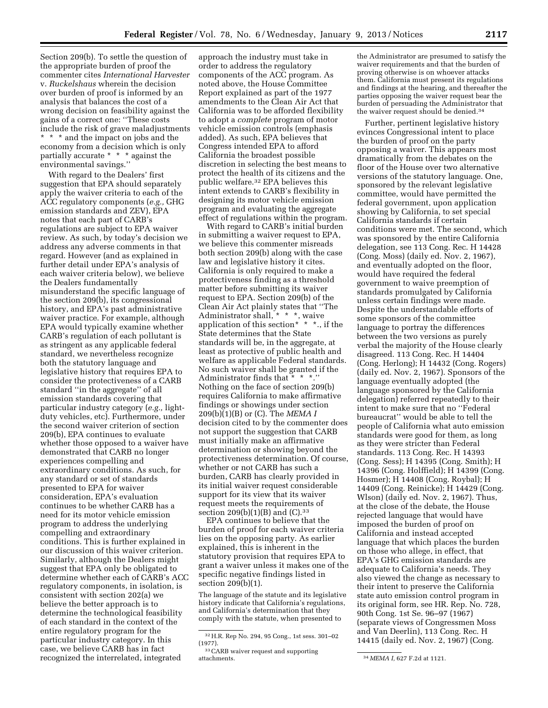Section 209(b). To settle the question of the appropriate burden of proof the commenter cites *International Harvester*  v. *Ruckelshaus* wherein the decision over burden of proof is informed by an analysis that balances the cost of a wrong decision on feasibility against the gains of a correct one: ''These costs include the risk of grave maladjustments \* \* \* and the impact on jobs and the economy from a decision which is only partially accurate \* \* \* against the environmental savings.''

With regard to the Dealers' first suggestion that EPA should separately apply the waiver criteria to each of the ACC regulatory components (*e.g.,* GHG emission standards and ZEV), EPA notes that each part of CARB's regulations are subject to EPA waiver review. As such, by today's decision we address any adverse comments in that regard. However (and as explained in further detail under EPA's analysis of each waiver criteria below), we believe the Dealers fundamentally misunderstand the specific language of the section 209(b), its congressional history, and EPA's past administrative waiver practice. For example, although EPA would typically examine whether CARB's regulation of each pollutant is as stringent as any applicable federal standard, we nevertheless recognize both the statutory language and legislative history that requires EPA to consider the protectiveness of a CARB standard ''in the aggregate'' of all emission standards covering that particular industry category (*e.g.,* lightduty vehicles, etc). Furthermore, under the second waiver criterion of section 209(b), EPA continues to evaluate whether those opposed to a waiver have demonstrated that CARB no longer experiences compelling and extraordinary conditions. As such, for any standard or set of standards presented to EPA for waiver consideration, EPA's evaluation continues to be whether CARB has a need for its motor vehicle emission program to address the underlying compelling and extraordinary conditions. This is further explained in our discussion of this waiver criterion. Similarly, although the Dealers might suggest that EPA only be obligated to determine whether each of CARB's ACC regulatory components, in isolation, is consistent with section 202(a) we believe the better approach is to determine the technological feasibility of each standard in the context of the entire regulatory program for the particular industry category. In this case, we believe CARB has in fact recognized the interrelated, integrated

approach the industry must take in order to address the regulatory components of the ACC program. As noted above, the House Committee Report explained as part of the 1977 amendments to the Clean Air Act that California was to be afforded flexibility to adopt a *complete* program of motor vehicle emission controls (emphasis added). As such, EPA believes that Congress intended EPA to afford California the broadest possible discretion in selecting the best means to protect the health of its citizens and the public welfare.32 EPA believes this intent extends to CARB's flexibility in designing its motor vehicle emission program and evaluating the aggregate effect of regulations within the program.

With regard to CARB's initial burden in submitting a waiver request to EPA, we believe this commenter misreads both section 209(b) along with the case law and legislative history it cites. California is only required to make a protectiveness finding as a threshold matter before submitting its waiver request to EPA. Section 209(b) of the Clean Air Act plainly states that ''The Administrator shall, \* \* \*, waive application of this section\*  $*$  \* \*., if the State determines that the State standards will be, in the aggregate, at least as protective of public health and welfare as applicable Federal standards. No such waiver shall be granted if the Administrator finds that \* \* \*.'' Nothing on the face of section 209(b) requires California to make affirmative findings or showings under section 209(b)(1)(B) or (C). The *MEMA I*  decision cited to by the commenter does not support the suggestion that CARB must initially make an affirmative determination or showing beyond the protectiveness determination. Of course, whether or not CARB has such a burden, CARB has clearly provided in its initial waiver request considerable support for its view that its waiver request meets the requirements of section  $209(b)(1)(B)$  and  $(C).$ <sup>33</sup>

EPA continues to believe that the burden of proof for each waiver criteria lies on the opposing party. As earlier explained, this is inherent in the statutory provision that requires EPA to grant a waiver unless it makes one of the specific negative findings listed in section 209(b)(1).

The language of the statute and its legislative history indicate that California's regulations, and California's determination that they comply with the statute, when presented to

the Administrator are presumed to satisfy the waiver requirements and that the burden of proving otherwise is on whoever attacks them. California must present its regulations and findings at the hearing, and thereafter the parties opposing the waiver request bear the burden of persuading the Administrator that the waiver request should be denied.34

Further, pertinent legislative history evinces Congressional intent to place the burden of proof on the party opposing a waiver. This appears most dramatically from the debates on the floor of the House over two alternative versions of the statutory language. One, sponsored by the relevant legislative committee, would have permitted the federal government, upon application showing by California, to set special California standards if certain conditions were met. The second, which was sponsored by the entire California delegation, see 113 Cong. Rec. H 14428 (Cong. Moss) (daily ed. Nov. 2, 1967), and eventually adopted on the floor, would have required the federal government to waive preemption of standards promulgated by California unless certain findings were made. Despite the understandable efforts of some sponsors of the committee language to portray the differences between the two versions as purely verbal the majority of the House clearly disagreed. 113 Cong. Rec. H 14404 (Cong. Herlong); H 14432 (Cong. Rogers) (daily ed. Nov. 2, 1967). Sponsors of the language eventually adopted (the language sponsored by the California delegation) referred repeatedly to their intent to make sure that no ''Federal bureaucrat'' would be able to tell the people of California what auto emission standards were good for them, as long as they were stricter than Federal standards. 113 Cong. Rec. H 14393 (Cong. Sess); H 14395 (Cong. Smith); H 14396 (Cong. Holffield); H 14399 (Cong. Hosmer); H 14408 (Cong. Roybal); H 14409 (Cong. Reinicke); H 14429 (Cong. Wlson) (daily ed. Nov. 2, 1967). Thus, at the close of the debate, the House rejected language that would have imposed the burden of proof on California and instead accepted language that which places the burden on those who allege, in effect, that EPA's GHG emission standards are adequate to California's needs. They also viewed the change as necessary to their intent to preserve the California state auto emission control program in its original form, see HR. Rep. No. 728, 90th Cong. 1st Se. 96–97 (1967) (separate views of Congressmen Moss and Van Deerlin), 113 Cong. Rec. H 14415 (daily ed. Nov. 2, 1967) (Cong.

<sup>32</sup>H.R. Rep No. 294, 95 Cong., 1st sess. 301–02 (1977).

 $\,^{33}$  CARB waiver request and supporting attachments.

<sup>34</sup> *MEMA I, 627 F.2d at 1121.*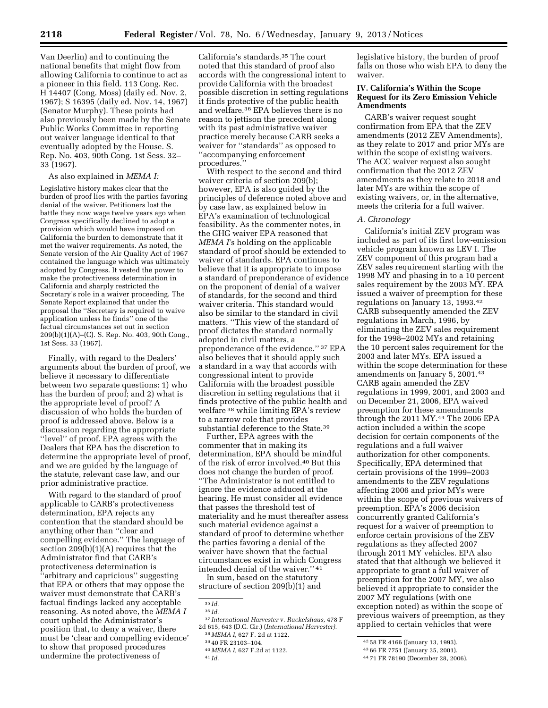Van Deerlin) and to continuing the national benefits that might flow from allowing California to continue to act as a pioneer in this field. 113 Cong. Rec. H 14407 (Cong. Moss) (daily ed. Nov. 2, 1967); S 16395 (daily ed. Nov. 14, 1967) (Senator Murphy). These points had also previously been made by the Senate Public Works Committee in reporting out waiver language identical to that eventually adopted by the House. S. Rep. No. 403, 90th Cong. 1st Sess. 32– 33 (1967).

#### As also explained in *MEMA I:*

Legislative history makes clear that the burden of proof lies with the parties favoring denial of the waiver. Petitioners lost the battle they now wage twelve years ago when Congress specifically declined to adopt a provision which would have imposed on California the burden to demonstrate that it met the waiver requirements. As noted, the Senate version of the Air Quality Act of 1967 contained the language which was ultimately adopted by Congress. It vested the power to make the protectiveness determination in California and sharply restricted the Secretary's role in a waiver proceeding. The Senate Report explained that under the proposal the ''Secretary is required to waive application unless he finds'' one of the factual circumstances set out in section 209(b)(1)(A)–(C). S. Rep. No. 403, 90th Cong., 1st Sess. 33 (1967).

Finally, with regard to the Dealers' arguments about the burden of proof, we believe it necessary to differentiate between two separate questions: 1) who has the burden of proof; and 2) what is the appropriate level of proof? A discussion of who holds the burden of proof is addressed above. Below is a discussion regarding the appropriate ''level'' of proof. EPA agrees with the Dealers that EPA has the discretion to determine the appropriate level of proof, and we are guided by the language of the statute, relevant case law, and our prior administrative practice.

With regard to the standard of proof applicable to CARB's protectiveness determination, EPA rejects any contention that the standard should be anything other than ''clear and compelling evidence.'' The language of section 209(b)(1)(A) requires that the Administrator find that CARB's protectiveness determination is ''arbitrary and capricious'' suggesting that EPA or others that may oppose the waiver must demonstrate that CARB's factual findings lacked any acceptable reasoning. As noted above, the *MEMA I*  court upheld the Administrator's position that, to deny a waiver, there must be 'clear and compelling evidence' to show that proposed procedures undermine the protectiveness of

California's standards.35 The court noted that this standard of proof also accords with the congressional intent to provide California with the broadest possible discretion in setting regulations it finds protective of the public health and welfare.36 EPA believes there is no reason to jettison the precedent along with its past administrative waiver practice merely because CARB seeks a waiver for ''standards'' as opposed to ''accompanying enforcement procedures.''

With respect to the second and third waiver criteria of section 209(b); however, EPA is also guided by the principles of deference noted above and by case law, as explained below in EPA's examination of technological feasibility. As the commenter notes, in the GHG waiver EPA reasoned that *MEMA I'*s holding on the applicable standard of proof should be extended to waiver of standards. EPA continues to believe that it is appropriate to impose a standard of preponderance of evidence on the proponent of denial of a waiver of standards, for the second and third waiver criteria. This standard would also be similar to the standard in civil matters. ''This view of the standard of proof dictates the standard normally adopted in civil matters, a preponderance of the evidence.'' 37 EPA also believes that it should apply such a standard in a way that accords with congressional intent to provide California with the broadest possible discretion in setting regulations that it finds protective of the public health and welfare 38 while limiting EPA's review to a narrow role that provides substantial deference to the State.39

Further, EPA agrees with the commenter that in making its determination, EPA should be mindful of the risk of error involved.40 But this does not change the burden of proof. ''The Administrator is not entitled to ignore the evidence adduced at the hearing. He must consider all evidence that passes the threshold test of materiality and he must thereafter assess such material evidence against a standard of proof to determine whether the parties favoring a denial of the waiver have shown that the factual circumstances exist in which Congress intended denial of the waiver.'' 41

In sum, based on the statutory structure of section 209(b)(1) and

legislative history, the burden of proof falls on those who wish EPA to deny the waiver.

# **IV. California's Within the Scope Request for its Zero Emission Vehicle Amendments**

CARB's waiver request sought confirmation from EPA that the ZEV amendments (2012 ZEV Amendments), as they relate to 2017 and prior MYs are within the scope of existing waivers. The ACC waiver request also sought confirmation that the 2012 ZEV amendments as they relate to 2018 and later MYs are within the scope of existing waivers, or, in the alternative, meets the criteria for a full waiver.

# *A. Chronology*

California's initial ZEV program was included as part of its first low-emission vehicle program known as LEV I. The ZEV component of this program had a ZEV sales requirement starting with the 1998 MY and phasing in to a 10 percent sales requirement by the 2003 MY. EPA issued a waiver of preemption for these regulations on January 13, 1993.42 CARB subsequently amended the ZEV regulations in March, 1996, by eliminating the ZEV sales requirement for the 1998–2002 MYs and retaining the 10 percent sales requirement for the 2003 and later MYs. EPA issued a within the scope determination for these amendments on January 5, 2001.43 CARB again amended the ZEV regulations in 1999, 2001, and 2003 and on December 21, 2006, EPA waived preemption for these amendments through the 2011 MY.<sup>44</sup> The 2006 EPA action included a within the scope decision for certain components of the regulations and a full waiver authorization for other components. Specifically, EPA determined that certain provisions of the 1999–2003 amendments to the ZEV regulations affecting 2006 and prior MYs were within the scope of previous waivers of preemption. EPA's 2006 decision concurrently granted California's request for a waiver of preemption to enforce certain provisions of the ZEV regulations as they affected 2007 through 2011 MY vehicles. EPA also stated that that although we believed it appropriate to grant a full waiver of preemption for the 2007 MY, we also believed it appropriate to consider the 2007 MY regulations (with one exception noted) as within the scope of previous waivers of preemption, as they applied to certain vehicles that were

<sup>35</sup> *Id.* 

<sup>36</sup> *Id.* 

<sup>37</sup> *International Harvester* v. *Ruckelshaus,* 478 F 2d 615, 643 (D.C. Cir.) (*International Harvester).* 

<sup>38</sup> *MEMA I,* 627 F. 2d at 1122. 39 40 FR 23103–104. 40 *MEMA I,* 627 F.2d at 1122. 41 *Id.* 

<sup>42</sup> 58 FR 4166 (January 13, 1993).

<sup>43</sup> 66 FR 7751 (January 25, 2001).

<sup>44</sup> 71 FR 78190 (December 28, 2006).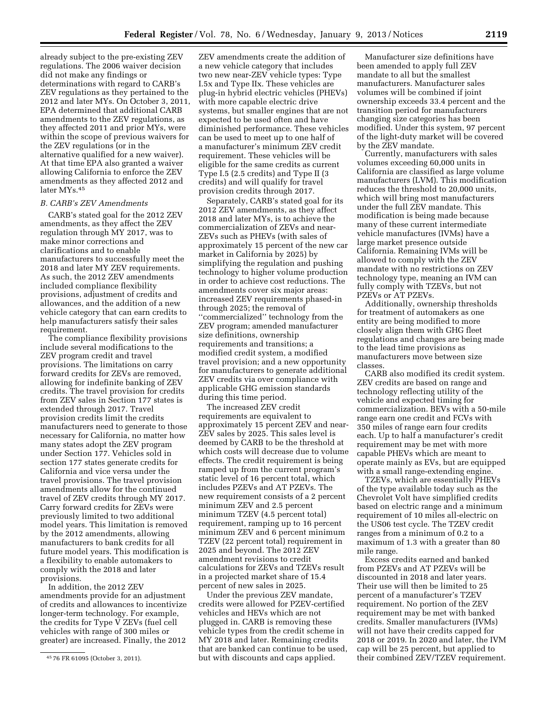already subject to the pre-existing ZEV regulations. The 2006 waiver decision did not make any findings or determinations with regard to CARB's ZEV regulations as they pertained to the 2012 and later MYs. On October 3, 2011, EPA determined that additional CARB amendments to the ZEV regulations, as they affected 2011 and prior MYs, were within the scope of previous waivers for the ZEV regulations (or in the alternative qualified for a new waiver). At that time EPA also granted a waiver allowing California to enforce the ZEV amendments as they affected 2012 and later MYs.45

#### *B. CARB's ZEV Amendments*

CARB's stated goal for the 2012 ZEV amendments, as they affect the ZEV regulation through MY 2017, was to make minor corrections and clarifications and to enable manufacturers to successfully meet the 2018 and later MY ZEV requirements. As such, the 2012 ZEV amendments included compliance flexibility provisions, adjustment of credits and allowances, and the addition of a new vehicle category that can earn credits to help manufacturers satisfy their sales requirement.

The compliance flexibility provisions include several modifications to the ZEV program credit and travel provisions. The limitations on carry forward credits for ZEVs are removed, allowing for indefinite banking of ZEV credits. The travel provision for credits from ZEV sales in Section 177 states is extended through 2017. Travel provision credits limit the credits manufacturers need to generate to those necessary for California, no matter how many states adopt the ZEV program under Section 177. Vehicles sold in section 177 states generate credits for California and vice versa under the travel provisions. The travel provision amendments allow for the continued travel of ZEV credits through MY 2017. Carry forward credits for ZEVs were previously limited to two additional model years. This limitation is removed by the 2012 amendments, allowing manufacturers to bank credits for all future model years. This modification is a flexibility to enable automakers to comply with the 2018 and later provisions.

In addition, the 2012 ZEV amendments provide for an adjustment of credits and allowances to incentivize longer-term technology. For example, the credits for Type V ZEVs (fuel cell vehicles with range of 300 miles or greater) are increased. Finally, the 2012

ZEV amendments create the addition of a new vehicle category that includes two new near-ZEV vehicle types: Type I.5x and Type IIx. These vehicles are plug-in hybrid electric vehicles (PHEVs) with more capable electric drive systems, but smaller engines that are not expected to be used often and have diminished performance. These vehicles can be used to meet up to one half of a manufacturer's minimum ZEV credit requirement. These vehicles will be eligible for the same credits as current Type I.5 (2.5 credits) and Type II (3 credits) and will qualify for travel provision credits through 2017.

Separately, CARB's stated goal for its 2012 ZEV amendments, as they affect 2018 and later MYs, is to achieve the commercialization of ZEVs and near-ZEVs such as PHEVs (with sales of approximately 15 percent of the new car market in California by 2025) by simplifying the regulation and pushing technology to higher volume production in order to achieve cost reductions. The amendments cover six major areas: increased ZEV requirements phased-in through 2025; the removal of ''commercialized'' technology from the ZEV program; amended manufacturer size definitions, ownership requirements and transitions; a modified credit system, a modified travel provision; and a new opportunity for manufacturers to generate additional ZEV credits via over compliance with applicable GHG emission standards during this time period.

The increased ZEV credit requirements are equivalent to approximately 15 percent ZEV and near-ZEV sales by 2025. This sales level is deemed by CARB to be the threshold at which costs will decrease due to volume effects. The credit requirement is being ramped up from the current program's static level of 16 percent total, which includes PZEVs and AT PZEVs. The new requirement consists of a 2 percent minimum ZEV and 2.5 percent minimum TZEV (4.5 percent total) requirement, ramping up to 16 percent minimum ZEV and 6 percent minimum TZEV (22 percent total) requirement in 2025 and beyond. The 2012 ZEV amendment revisions to credit calculations for ZEVs and TZEVs result in a projected market share of 15.4 percent of new sales in 2025.

Under the previous ZEV mandate, credits were allowed for PZEV-certified vehicles and HEVs which are not plugged in. CARB is removing these vehicle types from the credit scheme in MY 2018 and later. Remaining credits that are banked can continue to be used, but with discounts and caps applied.

Manufacturer size definitions have been amended to apply full ZEV mandate to all but the smallest manufacturers. Manufacturer sales volumes will be combined if joint ownership exceeds 33.4 percent and the transition period for manufacturers changing size categories has been modified. Under this system, 97 percent of the light-duty market will be covered by the ZEV mandate.

Currently, manufacturers with sales volumes exceeding 60,000 units in California are classified as large volume manufacturers (LVM). This modification reduces the threshold to 20,000 units, which will bring most manufacturers under the full ZEV mandate. This modification is being made because many of these current intermediate vehicle manufactures (IVMs) have a large market presence outside California. Remaining IVMs will be allowed to comply with the ZEV mandate with no restrictions on ZEV technology type, meaning an IVM can fully comply with TZEVs, but not PZEVs or AT PZEVs.

Additionally, ownership thresholds for treatment of automakers as one entity are being modified to more closely align them with GHG fleet regulations and changes are being made to the lead time provisions as manufacturers move between size classes.

CARB also modified its credit system. ZEV credits are based on range and technology reflecting utility of the vehicle and expected timing for commercialization. BEVs with a 50-mile range earn one credit and FCVs with 350 miles of range earn four credits each. Up to half a manufacturer's credit requirement may be met with more capable PHEVs which are meant to operate mainly as EVs, but are equipped with a small range-extending engine.

TZEVs, which are essentially PHEVs of the type available today such as the Chevrolet Volt have simplified credits based on electric range and a minimum requirement of 10 miles all-electric on the US06 test cycle. The TZEV credit ranges from a minimum of 0.2 to a maximum of 1.3 with a greater than 80 mile range.

Excess credits earned and banked from PZEVs and AT PZEVs will be discounted in 2018 and later years. Their use will then be limited to 25 percent of a manufacturer's TZEV requirement. No portion of the ZEV requirement may be met with banked credits. Smaller manufacturers (IVMs) will not have their credits capped for 2018 or 2019. In 2020 and later, the IVM cap will be 25 percent, but applied to their combined ZEV/TZEV requirement.

<sup>45</sup> 76 FR 61095 (October 3, 2011).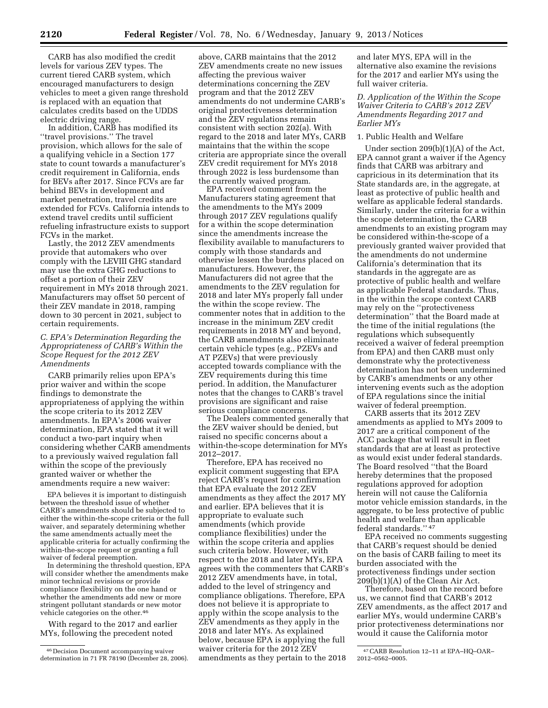CARB has also modified the credit levels for various ZEV types. The current tiered CARB system, which encouraged manufacturers to design vehicles to meet a given range threshold is replaced with an equation that calculates credits based on the UDDS electric driving range.

In addition, CARB has modified its ''travel provisions.'' The travel provision, which allows for the sale of a qualifying vehicle in a Section 177 state to count towards a manufacturer's credit requirement in California, ends for BEVs after 2017. Since FCVs are far behind BEVs in development and market penetration, travel credits are extended for FCVs. California intends to extend travel credits until sufficient refueling infrastructure exists to support FCVs in the market.

Lastly, the 2012 ZEV amendments provide that automakers who over comply with the LEVIII GHG standard may use the extra GHG reductions to offset a portion of their ZEV requirement in MYs 2018 through 2021. Manufacturers may offset 50 percent of their ZEV mandate in 2018, ramping down to 30 percent in 2021, subject to certain requirements.

# *C. EPA's Determination Regarding the Appropriateness of CARB's Within the Scope Request for the 2012 ZEV Amendments*

CARB primarily relies upon EPA's prior waiver and within the scope findings to demonstrate the appropriateness of applying the within the scope criteria to its 2012 ZEV amendments. In EPA's 2006 waiver determination, EPA stated that it will conduct a two-part inquiry when considering whether CARB amendments to a previously waived regulation fall within the scope of the previously granted waiver or whether the amendments require a new waiver:

EPA believes it is important to distinguish between the threshold issue of whether CARB's amendments should be subjected to either the within-the-scope criteria or the full waiver, and separately determining whether the same amendments actually meet the applicable criteria for actually confirming the within-the-scope request or granting a full waiver of federal preemption.

In determining the threshold question, EPA will consider whether the amendments make minor technical revisions or provide compliance flexibility on the one hand or whether the amendments add new or more stringent pollutant standards or new motor vehicle categories on the other.46

With regard to the 2017 and earlier MYs, following the precedent noted

above, CARB maintains that the 2012 ZEV amendments create no new issues affecting the previous waiver determinations concerning the ZEV program and that the 2012 ZEV amendments do not undermine CARB's original protectiveness determination and the ZEV regulations remain consistent with section 202(a). With regard to the 2018 and later MYs, CARB maintains that the within the scope criteria are appropriate since the overall ZEV credit requirement for MYs 2018 through 2022 is less burdensome than the currently waived program.

EPA received comment from the Manufacturers stating agreement that the amendments to the MYs 2009 through 2017 ZEV regulations qualify for a within the scope determination since the amendments increase the flexibility available to manufacturers to comply with those standards and otherwise lessen the burdens placed on manufacturers. However, the Manufacturers did not agree that the amendments to the ZEV regulation for 2018 and later MYs properly fall under the within the scope review. The commenter notes that in addition to the increase in the minimum ZEV credit requirements in 2018 MY and beyond, the CARB amendments also eliminate certain vehicle types (e.g., PZEVs and AT PZEVs) that were previously accepted towards compliance with the ZEV requirements during this time period. In addition, the Manufacturer notes that the changes to CARB's travel provisions are significant and raise serious compliance concerns.

The Dealers commented generally that the ZEV waiver should be denied, but raised no specific concerns about a within-the-scope determination for MYs 2012–2017.

Therefore, EPA has received no explicit comment suggesting that EPA reject CARB's request for confirmation that EPA evaluate the 2012 ZEV amendments as they affect the 2017 MY and earlier. EPA believes that it is appropriate to evaluate such amendments (which provide compliance flexibilities) under the within the scope criteria and applies such criteria below. However, with respect to the 2018 and later MYs, EPA agrees with the commenters that CARB's 2012 ZEV amendments have, in total, added to the level of stringency and compliance obligations. Therefore, EPA does not believe it is appropriate to apply within the scope analysis to the ZEV amendments as they apply in the 2018 and later MYs. As explained below, because EPA is applying the full waiver criteria for the 2012 ZEV amendments as they pertain to the 2018

and later MYS, EPA will in the alternative also examine the revisions for the 2017 and earlier MYs using the full waiver criteria.

# *D. Application of the Within the Scope Waiver Criteria to CARB's 2012 ZEV Amendments Regarding 2017 and Earlier MYs*

# 1. Public Health and Welfare

Under section 209(b)(1)(A) of the Act, EPA cannot grant a waiver if the Agency finds that CARB was arbitrary and capricious in its determination that its State standards are, in the aggregate, at least as protective of public health and welfare as applicable federal standards. Similarly, under the criteria for a within the scope determination, the CARB amendments to an existing program may be considered within-the-scope of a previously granted waiver provided that the amendments do not undermine California's determination that its standards in the aggregate are as protective of public health and welfare as applicable Federal standards. Thus, in the within the scope context CARB may rely on the ''protectiveness determination'' that the Board made at the time of the initial regulations (the regulations which subsequently received a waiver of federal preemption from EPA) and then CARB must only demonstrate why the protectiveness determination has not been undermined by CARB's amendments or any other intervening events such as the adoption of EPA regulations since the initial waiver of federal preemption.

CARB asserts that its 2012 ZEV amendments as applied to MYs 2009 to 2017 are a critical component of the ACC package that will result in fleet standards that are at least as protective as would exist under federal standards. The Board resolved ''that the Board hereby determines that the proposed regulations approved for adoption herein will not cause the California motor vehicle emission standards, in the aggregate, to be less protective of public health and welfare than applicable federal standards.'' 47

EPA received no comments suggesting that CARB's request should be denied on the basis of CARB failing to meet its burden associated with the protectiveness findings under section 209(b)(1)(A) of the Clean Air Act.

Therefore, based on the record before us, we cannot find that CARB's 2012 ZEV amendments, as the affect 2017 and earlier MYs, would undermine CARB's prior protectiveness determinations nor would it cause the California motor

<sup>46</sup> Decision Document accompanying waiver determination in 71 FR 78190 (December 28, 2006).

<sup>47</sup>CARB Resolution 12–11 at EPA–HQ–OAR– 2012–0562–0005.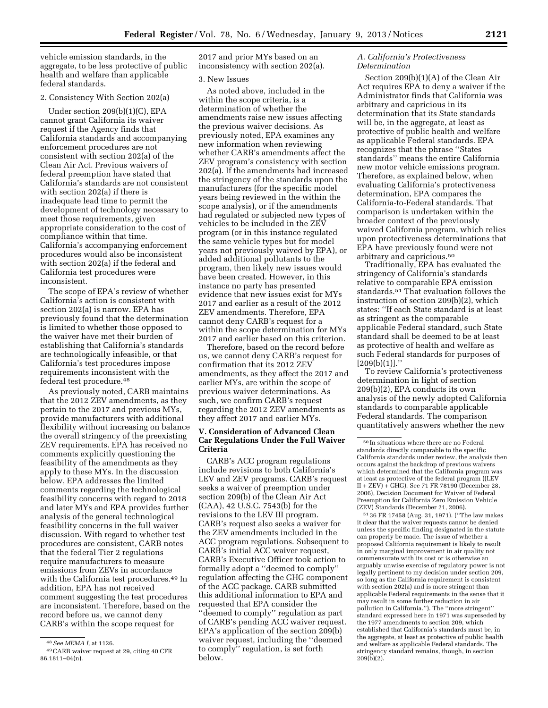vehicle emission standards, in the aggregate, to be less protective of public health and welfare than applicable federal standards.

# 2. Consistency With Section 202(a)

Under section 209(b)(1)(C), EPA cannot grant California its waiver request if the Agency finds that California standards and accompanying enforcement procedures are not consistent with section 202(a) of the Clean Air Act. Previous waivers of federal preemption have stated that California's standards are not consistent with section 202(a) if there is inadequate lead time to permit the development of technology necessary to meet those requirements, given appropriate consideration to the cost of compliance within that time. California's accompanying enforcement procedures would also be inconsistent with section 202(a) if the federal and California test procedures were inconsistent.

The scope of EPA's review of whether California's action is consistent with section 202(a) is narrow. EPA has previously found that the determination is limited to whether those opposed to the waiver have met their burden of establishing that California's standards are technologically infeasible, or that California's test procedures impose requirements inconsistent with the federal test procedure.48

As previously noted, CARB maintains that the 2012 ZEV amendments, as they pertain to the 2017 and previous MYs, provide manufacturers with additional flexibility without increasing on balance the overall stringency of the preexisting ZEV requirements. EPA has received no comments explicitly questioning the feasibility of the amendments as they apply to these MYs. In the discussion below, EPA addresses the limited comments regarding the technological feasibility concerns with regard to 2018 and later MYs and EPA provides further analysis of the general technological feasibility concerns in the full waiver discussion. With regard to whether test procedures are consistent, CARB notes that the federal Tier 2 regulations require manufacturers to measure emissions from ZEVs in accordance with the California test procedures.49 In addition, EPA has not received comment suggesting the test procedures are inconsistent. Therefore, based on the record before us, we cannot deny CARB's within the scope request for

2017 and prior MYs based on an inconsistency with section 202(a).

#### 3. New Issues

As noted above, included in the within the scope criteria, is a determination of whether the amendments raise new issues affecting the previous waiver decisions. As previously noted, EPA examines any new information when reviewing whether CARB's amendments affect the ZEV program's consistency with section 202(a). If the amendments had increased the stringency of the standards upon the manufacturers (for the specific model years being reviewed in the within the scope analysis), or if the amendments had regulated or subjected new types of vehicles to be included in the ZEV program (or in this instance regulated the same vehicle types but for model years not previously waived by EPA), or added additional pollutants to the program, then likely new issues would have been created. However, in this instance no party has presented evidence that new issues exist for MYs 2017 and earlier as a result of the 2012 ZEV amendments. Therefore, EPA cannot deny CARB's request for a within the scope determination for MYs 2017 and earlier based on this criterion.

Therefore, based on the record before us, we cannot deny CARB's request for confirmation that its 2012 ZEV amendments, as they affect the 2017 and earlier MYs, are within the scope of previous waiver determinations. As such, we confirm CARB's request regarding the 2012 ZEV amendments as they affect 2017 and earlier MYs.

# **V. Consideration of Advanced Clean Car Regulations Under the Full Waiver Criteria**

CARB's ACC program regulations include revisions to both California's LEV and ZEV programs. CARB's request seeks a waiver of preemption under section 209(b) of the Clean Air Act (CAA), 42 U.S.C. 7543(b) for the revisions to the LEV III program. CARB's request also seeks a waiver for the ZEV amendments included in the ACC program regulations. Subsequent to CARB's initial ACC waiver request, CARB's Executive Officer took action to formally adopt a ''deemed to comply'' regulation affecting the GHG component of the ACC package. CARB submitted this additional information to EPA and requested that EPA consider the ''deemed to comply'' regulation as part of CARB's pending ACC waiver request. EPA's application of the section 209(b) waiver request, including the ''deemed to comply'' regulation, is set forth below.

#### *A. California's Protectiveness Determination*

Section 209(b)(1)(A) of the Clean Air Act requires EPA to deny a waiver if the Administrator finds that California was arbitrary and capricious in its determination that its State standards will be, in the aggregate, at least as protective of public health and welfare as applicable Federal standards. EPA recognizes that the phrase ''States standards'' means the entire California new motor vehicle emissions program. Therefore, as explained below, when evaluating California's protectiveness determination, EPA compares the California-to-Federal standards. That comparison is undertaken within the broader context of the previously waived California program, which relies upon protectiveness determinations that EPA have previously found were not arbitrary and capricious.50

Traditionally, EPA has evaluated the stringency of California's standards relative to comparable EPA emission standards.51 That evaluation follows the instruction of section 209(b)(2), which states: ''If each State standard is at least as stringent as the comparable applicable Federal standard, such State standard shall be deemed to be at least as protective of health and welfare as such Federal standards for purposes of  $[209(b)(1)]$ ."

To review California's protectiveness determination in light of section 209(b)(2), EPA conducts its own analysis of the newly adopted California standards to comparable applicable Federal standards. The comparison quantitatively answers whether the new

51 36 FR 17458 (Aug. 31, 1971). (''The law makes it clear that the waiver requests cannot be denied unless the specific finding designated in the statute can properly be made. The issue of whether a proposed California requirement is likely to result in only marginal improvement in air quality not commensurate with its cost or is otherwise an arguably unwise exercise of regulatory power is not legally pertinent to my decision under section 209, so long as the California requirement is consistent with section 202(a) and is more stringent than applicable Federal requirements in the sense that it may result in some further reduction in air pollution in California.''). The ''more stringent'' standard expressed here in 1971 was superseded by the 1977 amendments to section 209, which established that California's standards must be, in the aggregate, at least as protective of public health and welfare as applicable Federal standards. The stringency standard remains, though, in section 209(b)(2).

<sup>48</sup>*See MEMA I,* at 1126.

<sup>49</sup>CARB waiver request at 29, citing 40 CFR 86.1811–04(n).

 $^{\rm 50}\!$  In situations where there are no Federal standards directly comparable to the specific California standards under review, the analysis then occurs against the backdrop of previous waivers which determined that the California program was at least as protective of the federal program ((LEV II + ZEV) + GHG). See 71 FR 78190 (December 28, 2006), Decision Document for Waiver of Federal Preemption for California Zero Emission Vehicle (ZEV) Standards (December 21, 2006).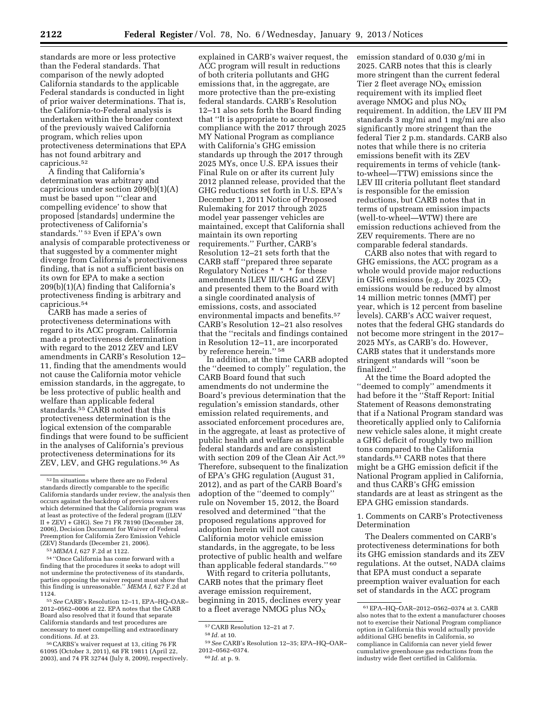standards are more or less protective than the Federal standards. That comparison of the newly adopted California standards to the applicable Federal standards is conducted in light of prior waiver determinations. That is, the California-to-Federal analysis is undertaken within the broader context of the previously waived California program, which relies upon protectiveness determinations that EPA has not found arbitrary and capricious.52

A finding that California's determination was arbitrary and capricious under section 209(b)(1)(A) must be based upon '''clear and compelling evidence' to show that proposed [standards] undermine the protectiveness of California's standards.'' 53 Even if EPA's own analysis of comparable protectiveness or that suggested by a commenter might diverge from California's protectiveness finding, that is not a sufficient basis on its own for EPA to make a section 209(b)(1)(A) finding that California's protectiveness finding is arbitrary and capricious.54

CARB has made a series of protectiveness determinations with regard to its ACC program. California made a protectiveness determination with regard to the 2012 ZEV and LEV amendments in CARB's Resolution 12– 11, finding that the amendments would not cause the California motor vehicle emission standards, in the aggregate, to be less protective of public health and welfare than applicable federal standards.55 CARB noted that this protectiveness determination is the logical extension of the comparable findings that were found to be sufficient in the analyses of California's previous protectiveness determinations for its ZEV, LEV, and GHG regulations.56 As

<sup>54</sup> "Once California has come forward with a finding that the procedures it seeks to adopt will not undermine the protectiveness of its standards, parties opposing the waiver request must show that this finding is unreasonable.'' *MEMA I,* 627 F.2d at

1124. 55*See* CARB's Resolution 12–11, EPA–HQ–OAR– 2012–0562–0006 at 22. EPA notes that the CARB Board also resolved that it found that separate California standards and test procedures are necessary to meet compelling and extraordinary conditions. *Id.* at 23. 56CARBS's waiver request at 13, citing 76 FR

61095 (October 3, 2011), 68 FR 19811 (April 22, 2003), and 74 FR 32744 (July 8, 2009), respectively.

explained in CARB's waiver request, the ACC program will result in reductions of both criteria pollutants and GHG emissions that, in the aggregate, are more protective than the pre-existing federal standards. CARB's Resolution 12–11 also sets forth the Board finding that ''It is appropriate to accept compliance with the 2017 through 2025 MY National Program as compliance with California's GHG emission standards up through the 2017 through 2025 MYs, once U.S. EPA issues their Final Rule on or after its current July 2012 planned release, provided that the GHG reductions set forth in U.S. EPA's December 1, 2011 Notice of Proposed Rulemaking for 2017 through 2025 model year passenger vehicles are maintained, except that California shall maintain its own reporting requirements.'' Further, CARB's Resolution 12–21 sets forth that the CARB staff ''prepared three separate Regulatory Notices \* \* \* for these amendments [LEV III/GHG and ZEV] and presented them to the Board with a single coordinated analysis of emissions, costs, and associated environmental impacts and benefits.57 CARB's Resolution 12–21 also resolves that the ''recitals and findings contained in Resolution 12–11, are incorporated by reference herein.'' 58

In addition, at the time CARB adopted the ''deemed to comply'' regulation, the CARB Board found that such amendments do not undermine the Board's previous determination that the regulation's emission standards, other emission related requirements, and associated enforcement procedures are, in the aggregate, at least as protective of public health and welfare as applicable federal standards and are consistent with section 209 of the Clean Air Act.59 Therefore, subsequent to the finalization of EPA's GHG regulation (August 31, 2012), and as part of the CARB Board's adoption of the ''deemed to comply'' rule on November 15, 2012, the Board resolved and determined ''that the proposed regulations approved for adoption herein will not cause California motor vehicle emission standards, in the aggregate, to be less protective of public health and welfare than applicable federal standards." 60

With regard to criteria pollutants, CARB notes that the primary fleet average emission requirement, beginning in 2015, declines every year to a fleet average NMOG plus  $NO_X$ 

60 *Id.* at p. 9.

emission standard of 0.030 g/mi in 2025. CARB notes that this is clearly more stringent than the current federal Tier 2 fleet average  $NO<sub>x</sub>$  emission requirement with its implied fleet average NMOG and plus NOX requirement. In addition, the LEV III PM standards 3 mg/mi and 1 mg/mi are also significantly more stringent than the federal Tier 2 p.m. standards. CARB also notes that while there is no criteria emissions benefit with its ZEV requirements in terms of vehicle (tankto-wheel—TTW) emissions since the LEV III criteria pollutant fleet standard is responsible for the emission reductions, but CARB notes that in terms of upstream emission impacts (well-to-wheel—WTW) there are emission reductions achieved from the ZEV requirements. There are no comparable federal standards.

CARB also notes that with regard to GHG emissions, the ACC program as a whole would provide major reductions in GHG emissions (e.g., by 2025  $CO<sub>2</sub>$ emissions would be reduced by almost 14 million metric tonnes (MMT) per year, which is 12 percent from baseline levels). CARB's ACC waiver request, notes that the federal GHG standards do not become more stringent in the 2017– 2025 MYs, as CARB's do. However, CARB states that it understands more stringent standards will ''soon be finalized.''

At the time the Board adopted the ''deemed to comply'' amendments it had before it the ''Staff Report: Initial Statement of Reasons demonstrating that if a National Program standard was theoretically applied only to California new vehicle sales alone, it might create a GHG deficit of roughly two million tons compared to the California standards.61 CARB notes that there might be a GHG emission deficit if the National Program applied in California, and thus CARB's GHG emission standards are at least as stringent as the EPA GHG emission standards.

1. Comments on CARB's Protectiveness Determination

The Dealers commented on CARB's protectiveness determinations for both its GHG emission standards and its ZEV regulations. At the outset, NADA claims that EPA must conduct a separate preemption waiver evaluation for each set of standards in the ACC program

 $^{52}\!$  In situations where there are no Federal standards directly comparable to the specific California standards under review, the analysis then occurs against the backdrop of previous waivers which determined that the California program was at least as protective of the federal program ((LEV  $II + ZEV$ )  $\div$  GHG). See 71 FR 78190 (December 28, 2006), Decision Document for Waiver of Federal Preemption for California Zero Emission Vehicle (ZEV) Standards (December 21, 2006).<br> $53 \text{ MEMA}$  I, 627 F.2d at 1122.

<sup>57</sup>CARB Resolution 12–21 at 7.

<sup>58</sup> *Id.* at 10.

<sup>59</sup>*See* CARB's Resolution 12–35; EPA–HQ–OAR– 2012–0562–0374.

<sup>61</sup>EPA–HQ–OAR–2012–0562–0374 at 3. CARB also notes that to the extent a manufacturer chooses not to exercise their National Program compliance option in California this would actually provide additional GHG benefits in California, so compliance in California can never yield fewer cumulative greenhouse gas reductions from the industry wide fleet certified in California.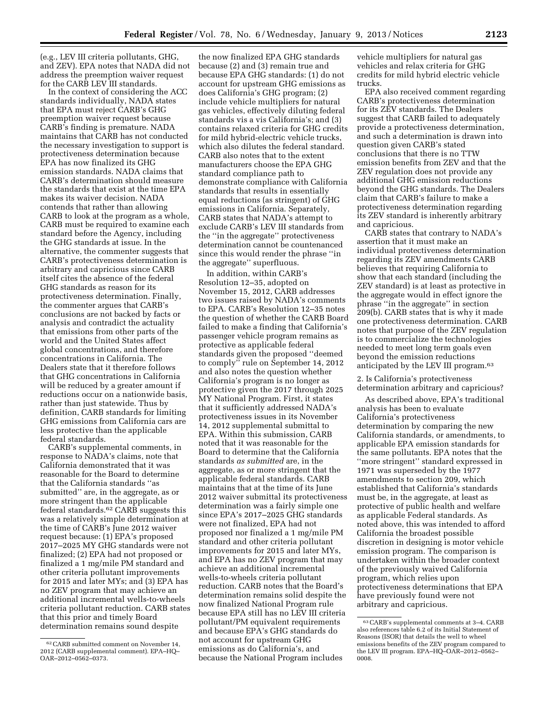(e.g., LEV III criteria pollutants, GHG, and ZEV). EPA notes that NADA did not address the preemption waiver request for the CARB LEV III standards.

In the context of considering the ACC standards individually, NADA states that EPA must reject CARB's GHG preemption waiver request because CARB's finding is premature. NADA maintains that CARB has not conducted the necessary investigation to support is protectiveness determination because EPA has now finalized its GHG emission standards. NADA claims that CARB's determination should measure the standards that exist at the time EPA makes its waiver decision. NADA contends that rather than allowing CARB to look at the program as a whole, CARB must be required to examine each standard before the Agency, including the GHG standards at issue. In the alternative, the commenter suggests that CARB's protectiveness determination is arbitrary and capricious since CARB itself cites the absence of the federal GHG standards as reason for its protectiveness determination. Finally, the commenter argues that CARB's conclusions are not backed by facts or analysis and contradict the actuality that emissions from other parts of the world and the United States affect global concentrations, and therefore concentrations in California. The Dealers state that it therefore follows that GHG concentrations in California will be reduced by a greater amount if reductions occur on a nationwide basis, rather than just statewide. Thus by definition, CARB standards for limiting GHG emissions from California cars are less protective than the applicable federal standards.

CARB's supplemental comments, in response to NADA's claims, note that California demonstrated that it was reasonable for the Board to determine that the California standards ''as submitted'' are, in the aggregate, as or more stringent than the applicable federal standards.62 CARB suggests this was a relatively simple determination at the time of CARB's June 2012 waiver request because: (1) EPA's proposed 2017–2025 MY GHG standards were not finalized; (2) EPA had not proposed or finalized a 1 mg/mile PM standard and other criteria pollutant improvements for 2015 and later MYs; and (3) EPA has no ZEV program that may achieve an additional incremental wells-to-wheels criteria pollutant reduction. CARB states that this prior and timely Board determination remains sound despite

the now finalized EPA GHG standards because (2) and (3) remain true and because EPA GHG standards: (1) do not account for upstream GHG emissions as does California's GHG program; (2) include vehicle multipliers for natural gas vehicles, effectively diluting federal standards vis a vis California's; and (3) contains relaxed criteria for GHG credits for mild hybrid-electric vehicle trucks, which also dilutes the federal standard. CARB also notes that to the extent manufacturers choose the EPA GHG standard compliance path to demonstrate compliance with California standards that results in essentially equal reductions (as stringent) of GHG emissions in California. Separately, CARB states that NADA's attempt to exclude CARB's LEV III standards from the ''in the aggregate'' protectiveness determination cannot be countenanced since this would render the phrase ''in the aggregate'' superfluous.

In addition, within CARB's Resolution 12–35, adopted on November 15, 2012, CARB addresses two issues raised by NADA's comments to EPA. CARB's Resolution 12–35 notes the question of whether the CARB Board failed to make a finding that California's passenger vehicle program remains as protective as applicable federal standards given the proposed ''deemed to comply'' rule on September 14, 2012 and also notes the question whether California's program is no longer as protective given the 2017 through 2025 MY National Program. First, it states that it sufficiently addressed NADA's protectiveness issues in its November 14, 2012 supplemental submittal to EPA. Within this submission, CARB noted that it was reasonable for the Board to determine that the California standards *as submitted* are, in the aggregate, as or more stringent that the applicable federal standards. CARB maintains that at the time of its June 2012 waiver submittal its protectiveness determination was a fairly simple one since EPA's 2017–2025 GHG standards were not finalized, EPA had not proposed nor finalized a 1 mg/mile PM standard and other criteria pollutant improvements for 2015 and later MYs, and EPA has no ZEV program that may achieve an additional incremental wells-to-wheels criteria pollutant reduction. CARB notes that the Board's determination remains solid despite the now finalized National Program rule because EPA still has no LEV III criteria pollutant/PM equivalent requirements and because EPA's GHG standards do not account for upstream GHG emissions as do California's, and because the National Program includes

vehicle multipliers for natural gas vehicles and relax criteria for GHG credits for mild hybrid electric vehicle trucks.

EPA also received comment regarding CARB's protectiveness determination for its ZEV standards. The Dealers suggest that CARB failed to adequately provide a protectiveness determination, and such a determination is drawn into question given CARB's stated conclusions that there is no TTW emission benefits from ZEV and that the ZEV regulation does not provide any additional GHG emission reductions beyond the GHG standards. The Dealers claim that CARB's failure to make a protectiveness determination regarding its ZEV standard is inherently arbitrary and capricious.

CARB states that contrary to NADA's assertion that it must make an individual protectiveness determination regarding its ZEV amendments CARB believes that requiring California to show that each standard (including the ZEV standard) is at least as protective in the aggregate would in effect ignore the phrase ''in the aggregate'' in section 209(b). CARB states that is why it made one protectiveness determination. CARB notes that purpose of the ZEV regulation is to commercialize the technologies needed to meet long term goals even beyond the emission reductions anticipated by the LEV III program.63

2. Is California's protectiveness determination arbitrary and capricious?

As described above, EPA's traditional analysis has been to evaluate California's protectiveness determination by comparing the new California standards, or amendments, to applicable EPA emission standards for the same pollutants. EPA notes that the ''more stringent'' standard expressed in 1971 was superseded by the 1977 amendments to section 209, which established that California's standards must be, in the aggregate, at least as protective of public health and welfare as applicable Federal standards. As noted above, this was intended to afford California the broadest possible discretion in designing is motor vehicle emission program. The comparison is undertaken within the broader context of the previously waived California program, which relies upon protectiveness determinations that EPA have previously found were not arbitrary and capricious.

<sup>62</sup>CARB submitted comment on November 14, 2012 (CARB supplemental comment). EPA–HQ– OAR–2012–0562–0373.

<sup>63</sup>CARB's supplemental comments at 3–4. CARB also references table 6.2 of its Initial Statement of Reasons (ISOR) that details the well to wheel emissions benefits of the ZEV program compared to the LEV III program. EPA–HQ–OAR–2012–0562– 0008.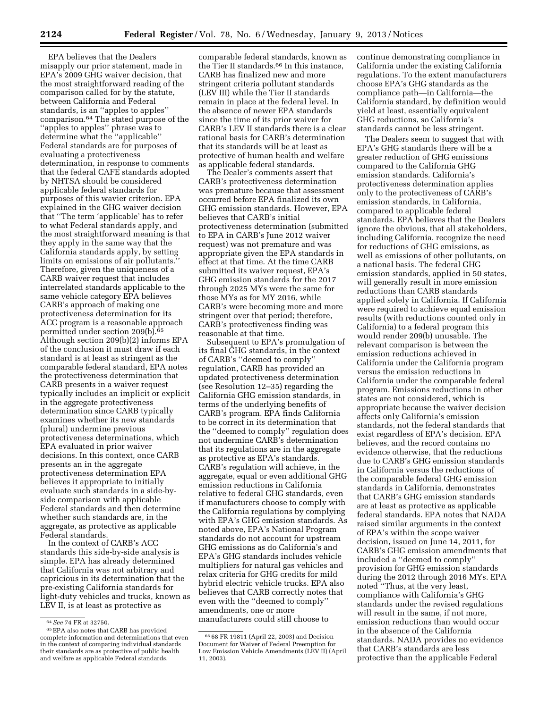EPA believes that the Dealers misapply our prior statement, made in EPA's 2009 GHG waiver decision, that the most straightforward reading of the comparison called for by the statute, between California and Federal standards, is an ''apples to apples'' comparison.64 The stated purpose of the ''apples to apples'' phrase was to determine what the ''applicable'' Federal standards are for purposes of evaluating a protectiveness determination, in response to comments that the federal CAFE standards adopted by NHTSA should be considered applicable federal standards for purposes of this wavier criterion. EPA explained in the GHG waiver decision that ''The term 'applicable' has to refer to what Federal standards apply, and the most straightforward meaning is that they apply in the same way that the California standards apply, by setting limits on emissions of air pollutants.'' Therefore, given the uniqueness of a CARB waiver request that includes interrelated standards applicable to the same vehicle category EPA believes CARB's approach of making one protectiveness determination for its ACC program is a reasonable approach permitted under section 209(b).65 Although section 209(b)(2) informs EPA of the conclusion it must draw if each standard is at least as stringent as the comparable federal standard, EPA notes the protectiveness determination that CARB presents in a waiver request typically includes an implicit or explicit in the aggregate protectiveness determination since CARB typically examines whether its new standards (plural) undermine previous protectiveness determinations, which EPA evaluated in prior waiver decisions. In this context, once CARB presents an in the aggregate protectiveness determination EPA believes it appropriate to initially evaluate such standards in a side-byside comparison with applicable Federal standards and then determine whether such standards are, in the aggregate, as protective as applicable Federal standards.

In the context of CARB's ACC standards this side-by-side analysis is simple. EPA has already determined that California was not arbitrary and capricious in its determination that the pre-existing California standards for light-duty vehicles and trucks, known as LEV II, is at least as protective as

comparable federal standards, known as the Tier II standards.66 In this instance, CARB has finalized new and more stringent criteria pollutant standards (LEV III) while the Tier II standards remain in place at the federal level. In the absence of newer EPA standards since the time of its prior waiver for CARB's LEV II standards there is a clear rational basis for CARB's determination that its standards will be at least as protective of human health and welfare as applicable federal standards.

The Dealer's comments assert that CARB's protectiveness determination was premature because that assessment occurred before EPA finalized its own GHG emission standards. However, EPA believes that CARB's initial protectiveness determination (submitted to EPA in CARB's June 2012 waiver request) was not premature and was appropriate given the EPA standards in effect at that time. At the time CARB submitted its waiver request, EPA's GHG emission standards for the 2017 through 2025 MYs were the same for those MYs as for MY 2016, while CARB's were becoming more and more stringent over that period; therefore, CARB's protectiveness finding was reasonable at that time.

Subsequent to EPA's promulgation of its final GHG standards, in the context of CARB's ''deemed to comply'' regulation, CARB has provided an updated protectiveness determination (see Resolution 12–35) regarding the California GHG emission standards, in terms of the underlying benefits of CARB's program. EPA finds California to be correct in its determination that the ''deemed to comply'' regulation does not undermine CARB's determination that its regulations are in the aggregate as protective as EPA's standards. CARB's regulation will achieve, in the aggregate, equal or even additional GHG emission reductions in California relative to federal GHG standards, even if manufacturers choose to comply with the California regulations by complying with EPA's GHG emission standards. As noted above, EPA's National Program standards do not account for upstream GHG emissions as do California's and EPA's GHG standards includes vehicle multipliers for natural gas vehicles and relax criteria for GHG credits for mild hybrid electric vehicle trucks. EPA also believes that CARB correctly notes that even with the ''deemed to comply'' amendments, one or more manufacturers could still choose to

continue demonstrating compliance in California under the existing California regulations. To the extent manufacturers choose EPA's GHG standards as the compliance path—in California—the California standard, by definition would yield at least, essentially equivalent GHG reductions, so California's standards cannot be less stringent.

The Dealers seem to suggest that with EPA's GHG standards there will be a greater reduction of GHG emissions compared to the California GHG emission standards. California's protectiveness determination applies only to the protectiveness of CARB's emission standards, in California, compared to applicable federal standards. EPA believes that the Dealers ignore the obvious, that all stakeholders, including California, recognize the need for reductions of GHG emissions, as well as emissions of other pollutants, on a national basis. The federal GHG emission standards, applied in 50 states, will generally result in more emission reductions than CARB standards applied solely in California. If California were required to achieve equal emission results (with reductions counted only in California) to a federal program this would render 209(b) unusable. The relevant comparison is between the emission reductions achieved in California under the California program versus the emission reductions in California under the comparable federal program. Emissions reductions in other states are not considered, which is appropriate because the waiver decision affects only California's emission standards, not the federal standards that exist regardless of EPA's decision. EPA believes, and the record contains no evidence otherwise, that the reductions due to CARB's GHG emission standards in California versus the reductions of the comparable federal GHG emission standards in California, demonstrates that CARB's GHG emission standards are at least as protective as applicable federal standards. EPA notes that NADA raised similar arguments in the context of EPA's within the scope waiver decision, issued on June 14, 2011, for CARB's GHG emission amendments that included a ''deemed to comply'' provision for GHG emission standards during the 2012 through 2016 MYs. EPA noted ''Thus, at the very least, compliance with California's GHG standards under the revised regulations will result in the same, if not more, emission reductions than would occur in the absence of the California standards. NADA provides no evidence that CARB's standards are less protective than the applicable Federal

<sup>64</sup>*See* 74 FR at 32750. 65EPA also notes that CARB has provided complete information and determinations that even in the context of comparing individual standards their standards are as protective of public health and welfare as applicable Federal standards.

<sup>66</sup> 68 FR 19811 (April 22, 2003) and Decision Document for Waiver of Federal Preemption for Low Emission Vehicle Amendments (LEV II) (April 11, 2003).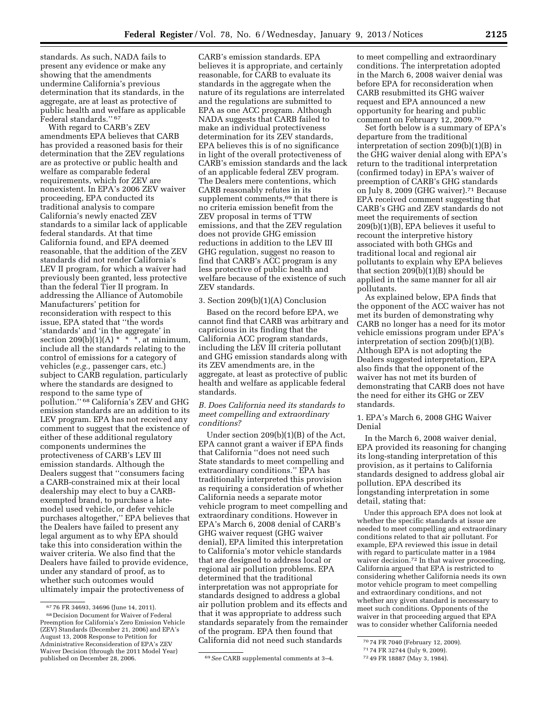standards. As such, NADA fails to present any evidence or make any showing that the amendments undermine California's previous determination that its standards, in the aggregate, are at least as protective of public health and welfare as applicable Federal standards.'' 67

With regard to CARB's ZEV amendments EPA believes that CARB has provided a reasoned basis for their determination that the ZEV regulations are as protective or public health and welfare as comparable federal requirements, which for ZEV are nonexistent. In EPA's 2006 ZEV waiver proceeding, EPA conducted its traditional analysis to compare California's newly enacted ZEV standards to a similar lack of applicable federal standards. At that time California found, and EPA deemed reasonable, that the addition of the ZEV standards did not render California's LEV II program, for which a waiver had previously been granted, less protective than the federal Tier II program. In addressing the Alliance of Automobile Manufacturers' petition for reconsideration with respect to this issue, EPA stated that ''the words 'standards' and 'in the aggregate' in section 209(b)(1)(A)  $*$  \* \*, at minimum, include all the standards relating to the control of emissions for a category of vehicles (*e.g.,* passenger cars, etc.) subject to CARB regulation, particularly where the standards are designed to respond to the same type of pollution.'' 68 California's ZEV and GHG emission standards are an addition to its LEV program. EPA has not received any comment to suggest that the existence of either of these additional regulatory components undermines the protectiveness of CARB's LEV III emission standards. Although the Dealers suggest that ''consumers facing a CARB-constrained mix at their local dealership may elect to buy a CARBexempted brand, to purchase a latemodel used vehicle, or defer vehicle purchases altogether,'' EPA believes that the Dealers have failed to present any legal argument as to why EPA should take this into consideration within the waiver criteria. We also find that the Dealers have failed to provide evidence, under any standard of proof, as to whether such outcomes would ultimately impair the protectiveness of

CARB's emission standards. EPA believes it is appropriate, and certainly reasonable, for CARB to evaluate its standards in the aggregate when the nature of its regulations are interrelated and the regulations are submitted to EPA as one ACC program. Although NADA suggests that CARB failed to make an individual protectiveness determination for its ZEV standards, EPA believes this is of no significance in light of the overall protectiveness of CARB's emission standards and the lack of an applicable federal ZEV program. The Dealers mere contentions, which CARB reasonably refutes in its supplement comments,<sup>69</sup> that there is no criteria emission benefit from the ZEV proposal in terms of TTW emissions, and that the ZEV regulation does not provide GHG emission reductions in addition to the LEV III GHG regulation, suggest no reason to find that CARB's ACC program is any less protective of public health and welfare because of the existence of such ZEV standards.

# 3. Section 209(b)(1)(A) Conclusion

Based on the record before EPA, we cannot find that CARB was arbitrary and capricious in its finding that the California ACC program standards, including the LEV III criteria pollutant and GHG emission standards along with its ZEV amendments are, in the aggregate, at least as protective of public health and welfare as applicable federal standards.

### *B. Does California need its standards to meet compelling and extraordinary conditions?*

Under section 209(b)(1)(B) of the Act, EPA cannot grant a waiver if EPA finds that California ''does not need such State standards to meet compelling and extraordinary conditions.'' EPA has traditionally interpreted this provision as requiring a consideration of whether California needs a separate motor vehicle program to meet compelling and extraordinary conditions. However in EPA's March 6, 2008 denial of CARB's GHG waiver request (GHG waiver denial), EPA limited this interpretation to California's motor vehicle standards that are designed to address local or regional air pollution problems. EPA determined that the traditional interpretation was not appropriate for standards designed to address a global air pollution problem and its effects and that it was appropriate to address such standards separately from the remainder of the program. EPA then found that California did not need such standards

to meet compelling and extraordinary conditions. The interpretation adopted in the March 6, 2008 waiver denial was before EPA for reconsideration when CARB resubmitted its GHG waiver request and EPA announced a new opportunity for hearing and public comment on February 12, 2009.70

Set forth below is a summary of EPA's departure from the traditional interpretation of section 209(b)(1)(B) in the GHG waiver denial along with EPA's return to the traditional interpretation (confirmed today) in EPA's waiver of preemption of CARB's GHG standards on July 8, 2009 (GHG waiver).71 Because EPA received comment suggesting that CARB's GHG and ZEV standards do not meet the requirements of section 209(b)(1)(B), EPA believes it useful to recount the interpretive history associated with both GHGs and traditional local and regional air pollutants to explain why EPA believes that section  $209(b)(1)(B)$  should be applied in the same manner for all air pollutants.

As explained below, EPA finds that the opponent of the ACC waiver has not met its burden of demonstrating why CARB no longer has a need for its motor vehicle emissions program under EPA's interpretation of section 209(b)(1)(B). Although EPA is not adopting the Dealers suggested interpretation, EPA also finds that the opponent of the waiver has not met its burden of demonstrating that CARB does not have the need for either its GHG or ZEV standards.

# 1. EPA's March 6, 2008 GHG Waiver Denial

In the March 6, 2008 waiver denial, EPA provided its reasoning for changing its long-standing interpretation of this provision, as it pertains to California standards designed to address global air pollution. EPA described its longstanding interpretation in some detail, stating that:

Under this approach EPA does not look at whether the specific standards at issue are needed to meet compelling and extraordinary conditions related to that air pollutant. For example, EPA reviewed this issue in detail with regard to particulate matter in a 1984 waiver decision.72 In that waiver proceeding, California argued that EPA is restricted to considering whether California needs its own motor vehicle program to meet compelling and extraordinary conditions, and not whether any given standard is necessary to meet such conditions. Opponents of the waiver in that proceeding argued that EPA was to consider whether California needed

<sup>67</sup> 76 FR 34693, 34696 (June 14, 2011). 68 Decision Document for Waiver of Federal Preemption for California's Zero Emission Vehicle (ZEV) Standards (December 21, 2006) and EPA's August 13, 2008 Response to Petition for Administrative Reconsideration of EPA's ZEV Waiver Decision (through the 2011 Model Year)

<sup>&</sup>lt;sup>69</sup> See CARB supplemental comments at 3-4.

<sup>70</sup> 74 FR 7040 (February 12, 2009).

<sup>71</sup> 74 FR 32744 (July 9, 2009).

<sup>72</sup> 49 FR 18887 (May 3, 1984).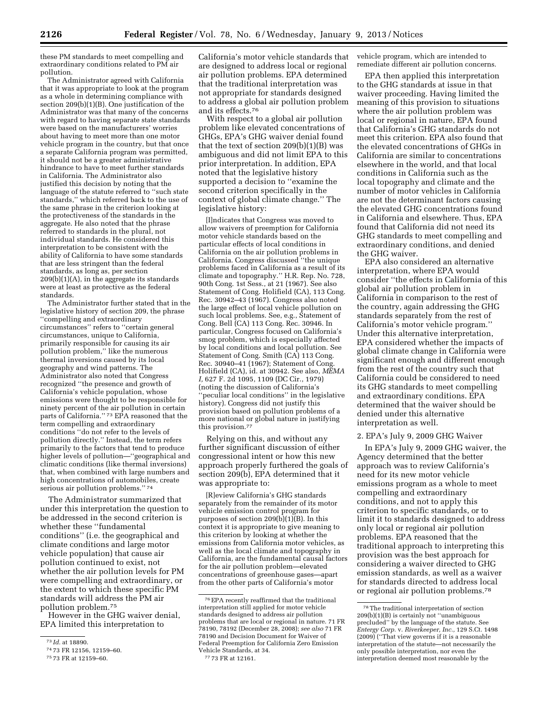these PM standards to meet compelling and extraordinary conditions related to PM air pollution.

The Administrator agreed with California that it was appropriate to look at the program as a whole in determining compliance with section 209(b)(1)(B). One justification of the Administrator was that many of the concerns with regard to having separate state standards were based on the manufacturers' worries about having to meet more than one motor vehicle program in the country, but that once a separate California program was permitted, it should not be a greater administrative hindrance to have to meet further standards in California. The Administrator also justified this decision by noting that the language of the statute referred to "such state standards,'' which referred back to the use of the same phrase in the criterion looking at the protectiveness of the standards in the aggregate. He also noted that the phrase referred to standards in the plural, not individual standards. He considered this interpretation to be consistent with the ability of California to have some standards that are less stringent than the federal standards, as long as, per section 209(b)(1)(A), in the aggregate its standards were at least as protective as the federal standards.

The Administrator further stated that in the legislative history of section 209, the phrase ''compelling and extraordinary circumstances'' refers to ''certain general circumstances, unique to California, primarily responsible for causing its air pollution problem,'' like the numerous thermal inversions caused by its local geography and wind patterns. The Administrator also noted that Congress recognized ''the presence and growth of California's vehicle population, whose emissions were thought to be responsible for ninety percent of the air pollution in certain parts of California." 73 EPA reasoned that the term compelling and extraordinary conditions ''do not refer to the levels of pollution directly.'' Instead, the term refers primarily to the factors that tend to produce higher levels of pollution—''geographical and climatic conditions (like thermal inversions) that, when combined with large numbers and high concentrations of automobiles, create serious air pollution problems."<sup>74</sup>

The Administrator summarized that under this interpretation the question to be addressed in the second criterion is whether these ''fundamental conditions'' (i.e. the geographical and climate conditions and large motor vehicle population) that cause air pollution continued to exist, not whether the air pollution levels for PM were compelling and extraordinary, or the extent to which these specific PM standards will address the PM air pollution problem.75

However in the GHG waiver denial, EPA limited this interpretation to

California's motor vehicle standards that are designed to address local or regional air pollution problems. EPA determined that the traditional interpretation was not appropriate for standards designed to address a global air pollution problem and its effects.76

With respect to a global air pollution problem like elevated concentrations of GHGs, EPA's GHG waiver denial found that the text of section  $209(b)(1)(B)$  was ambiguous and did not limit EPA to this prior interpretation. In addition, EPA noted that the legislative history supported a decision to ''examine the second criterion specifically in the context of global climate change.'' The legislative history:

[I]ndicates that Congress was moved to allow waivers of preemption for California motor vehicle standards based on the particular effects of local conditions in California on the air pollution problems in California. Congress discussed ''the unique problems faced in California as a result of its climate and topography.'' H.R. Rep. No. 728, 90th Cong. 1st Sess., at 21 (1967). See also Statement of Cong. Holifield (CA), 113 Cong. Rec. 30942–43 (1967). Congress also noted the large effect of local vehicle pollution on such local problems. See, e.g., Statement of Cong. Bell (CA) 113 Cong. Rec. 30946. In particular, Congress focused on California's smog problem, which is especially affected by local conditions and local pollution. See Statement of Cong. Smith (CA) 113 Cong. Rec. 30940–41 (1967); Statement of Cong. Holifield (CA), id. at 30942. See also, *MEMA I,* 627 F. 2d 1095, 1109 (DC Cir., 1979) (noting the discussion of California's 'peculiar local conditions'' in the legislative history). Congress did not justify this provision based on pollution problems of a more national or global nature in justifying this provision.77

Relying on this, and without any further significant discussion of either congressional intent or how this new approach properly furthered the goals of section 209(b), EPA determined that it was appropriate to:

[R]eview California's GHG standards separately from the remainder of its motor vehicle emission control program for purposes of section  $209(b)(1)(B)$ . In this context it is appropriate to give meaning to this criterion by looking at whether the emissions from California motor vehicles, as well as the local climate and topography in California, are the fundamental causal factors for the air pollution problem—elevated concentrations of greenhouse gases—apart from the other parts of California's motor

vehicle program, which are intended to remediate different air pollution concerns.

EPA then applied this interpretation to the GHG standards at issue in that waiver proceeding. Having limited the meaning of this provision to situations where the air pollution problem was local or regional in nature, EPA found that California's GHG standards do not meet this criterion. EPA also found that the elevated concentrations of GHGs in California are similar to concentrations elsewhere in the world, and that local conditions in California such as the local topography and climate and the number of motor vehicles in California are not the determinant factors causing the elevated GHG concentrations found in California and elsewhere. Thus, EPA found that California did not need its GHG standards to meet compelling and extraordinary conditions, and denied the GHG waiver.

EPA also considered an alternative interpretation, where EPA would consider ''the effects in California of this global air pollution problem in California in comparison to the rest of the country, again addressing the GHG standards separately from the rest of California's motor vehicle program.'' Under this alternative interpretation, EPA considered whether the impacts of global climate change in California were significant enough and different enough from the rest of the country such that California could be considered to need its GHG standards to meet compelling and extraordinary conditions. EPA determined that the waiver should be denied under this alternative interpretation as well.

#### 2. EPA's July 9, 2009 GHG Waiver

In EPA's July 9, 2009 GHG waiver, the Agency determined that the better approach was to review California's need for its new motor vehicle emissions program as a whole to meet compelling and extraordinary conditions, and not to apply this criterion to specific standards, or to limit it to standards designed to address only local or regional air pollution problems. EPA reasoned that the traditional approach to interpreting this provision was the best approach for considering a waiver directed to GHG emission standards, as well as a waiver for standards directed to address local or regional air pollution problems.78

<sup>73</sup> *Id.* at 18890.

<sup>74</sup> 73 FR 12156, 12159–60.

<sup>75</sup> 73 FR at 12159–60.

<sup>76</sup>EPA recently reaffirmed that the traditional interpretation still applied for motor vehicle standards designed to address air pollution problems that are local or regional in nature. 71 FR 78190, 78192 (December 28, 2008); *see also* 71 FR 78190 and Decision Document for Waiver of Federal Preemption for California Zero Emission Vehicle Standards, at 34. 77 73 FR at 12161.

 $^{\rm 78}\rm{The}\mbox{}$  traditional interpretation of section 209(b)(1)(B) is certainly not ''unambiguous precluded'' by the language of the statute. See *Entergy Corp.* v. *Riverkeeper, Inc.,* 129 S.Ct. 1498 (2009) (''That view governs if it is a reasonable interpretation of the statute—not necessarily the only possible interpretation, nor even the interpretation deemed most reasonable by the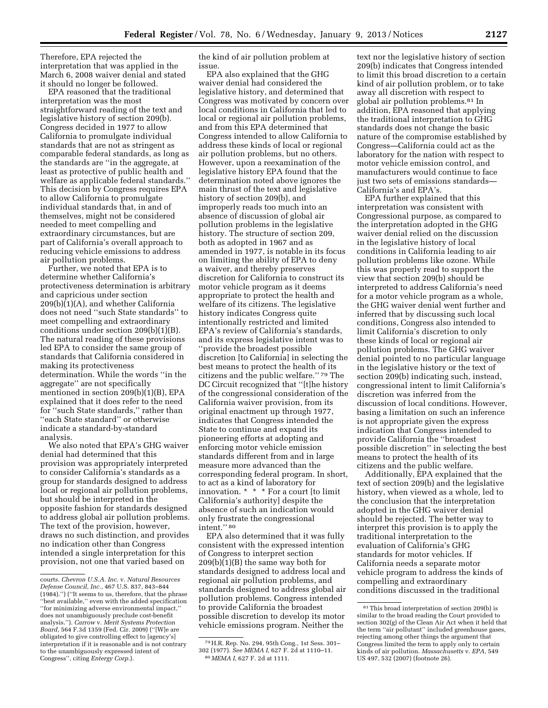Therefore, EPA rejected the interpretation that was applied in the March 6, 2008 waiver denial and stated it should no longer be followed.

EPA reasoned that the traditional interpretation was the most straightforward reading of the text and legislative history of section 209(b). Congress decided in 1977 to allow California to promulgate individual standards that are not as stringent as comparable federal standards, as long as the standards are ''in the aggregate, at least as protective of public health and welfare as applicable federal standards.'' This decision by Congress requires EPA to allow California to promulgate individual standards that, in and of themselves, might not be considered needed to meet compelling and extraordinary circumstances, but are part of California's overall approach to reducing vehicle emissions to address air pollution problems.

Further, we noted that EPA is to determine whether California's protectiveness determination is arbitrary and capricious under section 209(b)(1)(A), and whether California does not need ''such State standards'' to meet compelling and extraordinary conditions under section 209(b)(1)(B). The natural reading of these provisions led EPA to consider the same group of standards that California considered in making its protectiveness determination. While the words ''in the aggregate'' are not specifically mentioned in section 209(b)(1)(B), EPA explained that it does refer to the need for ''such State standards,'' rather than ''each State standard'' or otherwise indicate a standard-by-standard analysis.

We also noted that EPA's GHG waiver denial had determined that this provision was appropriately interpreted to consider California's standards as a group for standards designed to address local or regional air pollution problems, but should be interpreted in the opposite fashion for standards designed to address global air pollution problems. The text of the provision, however, draws no such distinction, and provides no indication other than Congress intended a single interpretation for this provision, not one that varied based on

the kind of air pollution problem at issue.

EPA also explained that the GHG waiver denial had considered the legislative history, and determined that Congress was motivated by concern over local conditions in California that led to local or regional air pollution problems, and from this EPA determined that Congress intended to allow California to address these kinds of local or regional air pollution problems, but no others. However, upon a reexamination of the legislative history EPA found that the determination noted above ignores the main thrust of the text and legislative history of section 209(b), and improperly reads too much into an absence of discussion of global air pollution problems in the legislative history. The structure of section 209, both as adopted in 1967 and as amended in 1977, is notable in its focus on limiting the ability of EPA to deny a waiver, and thereby preserves discretion for California to construct its motor vehicle program as it deems appropriate to protect the health and welfare of its citizens. The legislative history indicates Congress quite intentionally restricted and limited EPA's review of California's standards, and its express legislative intent was to ''provide the broadest possible discretion [to California] in selecting the best means to protect the health of its citizens and the public welfare.'' 79 The DC Circuit recognized that ''[t]he history of the congressional consideration of the California waiver provision, from its original enactment up through 1977, indicates that Congress intended the State to continue and expand its pioneering efforts at adopting and enforcing motor vehicle emission standards different from and in large measure more advanced than the corresponding federal program. In short, to act as a kind of laboratory for innovation. \* \* \* For a court [to limit California's authority] despite the absence of such an indication would only frustrate the congressional intent.'' 80

EPA also determined that it was fully consistent with the expressed intention of Congress to interpret section 209(b)(1)(B) the same way both for standards designed to address local and regional air pollution problems, and standards designed to address global air pollution problems. Congress intended to provide California the broadest possible discretion to develop its motor vehicle emissions program. Neither the

text nor the legislative history of section 209(b) indicates that Congress intended to limit this broad discretion to a certain kind of air pollution problem, or to take away all discretion with respect to global air pollution problems.81 In addition, EPA reasoned that applying the traditional interpretation to GHG standards does not change the basic nature of the compromise established by Congress—California could act as the laboratory for the nation with respect to motor vehicle emission control, and manufacturers would continue to face just two sets of emissions standards— California's and EPA's.

EPA further explained that this interpretation was consistent with Congressional purpose, as compared to the interpretation adopted in the GHG waiver denial relied on the discussion in the legislative history of local conditions in California leading to air pollution problems like ozone. While this was properly read to support the view that section 209(b) should be interpreted to address California's need for a motor vehicle program as a whole, the GHG waiver denial went further and inferred that by discussing such local conditions, Congress also intended to limit California's discretion to only these kinds of local or regional air pollution problems. The GHG waiver denial pointed to no particular language in the legislative history or the text of section 209(b) indicating such, instead, congressional intent to limit California's discretion was inferred from the discussion of local conditions. However, basing a limitation on such an inference is not appropriate given the express indication that Congress intended to provide California the ''broadest possible discretion'' in selecting the best means to protect the health of its citizens and the public welfare.

Additionally, EPA explained that the text of section 209(b) and the legislative history, when viewed as a whole, led to the conclusion that the interpretation adopted in the GHG waiver denial should be rejected. The better way to interpret this provision is to apply the traditional interpretation to the evaluation of California's GHG standards for motor vehicles. If California needs a separate motor vehicle program to address the kinds of compelling and extraordinary conditions discussed in the traditional

courts. *Chevron U.S.A. Inc.* v. *Natural Resources Defense Council, Inc.,* 467 U.S. 837, 843–844 (1984).'') (''It seems to us, therefore, that the phrase ''best available,'' even with the added specification ''for minimizing adverse environmental impact,'' does not unambiguously preclude cost-benefit analysis.''). *Carrow* v. *Merit Systems Protection Board,* 564 F.3d 1359 (Fed. Cir. 2009) (''[W]e are obligated to give controlling effect to [agency's] interpretation if it is reasonable and is not contrary to the unambiguously expressed intent of Congress'', citing *Entergy Corp.*).

<sup>79</sup>H.R. Rep. No. 294, 95th Cong., 1st Sess. 301– 302 (1977). *See MEMA I,* 627 F. 2d at 1110–11. 80 *MEMA I,* 627 F. 2d at 1111.

<sup>81</sup>This broad interpretation of section 209(b) is similar to the broad reading the Court provided to section 302(g) of the Clean Air Act when it held that the term "air pollutant" included greenhouse gases, rejecting among other things the argument that Congress limited the term to apply only to certain kinds of air pollution. *Massachusetts* v. *EPA,* 549 US 497, 532 (2007) (footnote 26).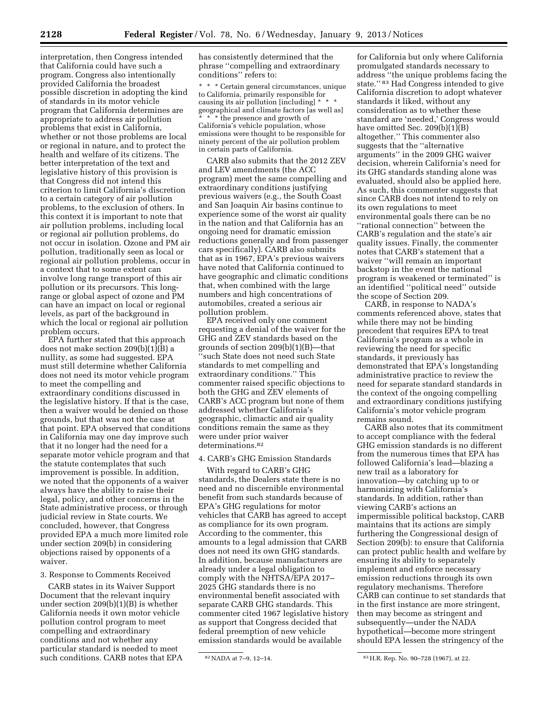interpretation, then Congress intended that California could have such a program. Congress also intentionally provided California the broadest possible discretion in adopting the kind of standards in its motor vehicle program that California determines are appropriate to address air pollution problems that exist in California, whether or not those problems are local or regional in nature, and to protect the health and welfare of its citizens. The better interpretation of the text and legislative history of this provision is that Congress did not intend this criterion to limit California's discretion to a certain category of air pollution problems, to the exclusion of others. In this context it is important to note that air pollution problems, including local or regional air pollution problems, do not occur in isolation. Ozone and PM air pollution, traditionally seen as local or regional air pollution problems, occur in a context that to some extent can involve long range transport of this air pollution or its precursors. This longrange or global aspect of ozone and PM can have an impact on local or regional levels, as part of the background in which the local or regional air pollution problem occurs.

EPA further stated that this approach does not make section 209(b)(1)(B) a nullity, as some had suggested. EPA must still determine whether California does not need its motor vehicle program to meet the compelling and extraordinary conditions discussed in the legislative history. If that is the case, then a waiver would be denied on those grounds, but that was not the case at that point. EPA observed that conditions in California may one day improve such that it no longer had the need for a separate motor vehicle program and that the statute contemplates that such improvement is possible. In addition, we noted that the opponents of a waiver always have the ability to raise their legal, policy, and other concerns in the State administrative process, or through judicial review in State courts. We concluded, however, that Congress provided EPA a much more limited role under section 209(b) in considering objections raised by opponents of a waiver.

#### 3. Response to Comments Received

CARB states in its Waiver Support Document that the relevant inquiry under section 209(b)(1)(B) is whether California needs it own motor vehicle pollution control program to meet compelling and extraordinary conditions and not whether any particular standard is needed to meet such conditions. CARB notes that EPA has consistently determined that the phrase ''compelling and extraordinary conditions'' refers to:

\* \* \* Certain general circumstances, unique to California, primarily responsible for causing its air pollution [including]  $*$ geographical and climate factors [as well as] \* the presence and growth of California's vehicle population, whose emissions were thought to be responsible for ninety percent of the air pollution problem in certain parts of California.

CARB also submits that the 2012 ZEV and LEV amendments (the ACC program) meet the same compelling and extraordinary conditions justifying previous waivers (e.g., the South Coast and San Joaquin Air basins continue to experience some of the worst air quality in the nation and that California has an ongoing need for dramatic emission reductions generally and from passenger cars specifically). CARB also submits that as in 1967, EPA's previous waivers have noted that California continued to have geographic and climatic conditions that, when combined with the large numbers and high concentrations of automobiles, created a serious air pollution problem.

EPA received only one comment requesting a denial of the waiver for the GHG and ZEV standards based on the grounds of section 209(b)(1)(B)—that ''such State does not need such State standards to met compelling and extraordinary conditions.'' This commenter raised specific objections to both the GHG and ZEV elements of CARB's ACC program but none of them addressed whether California's geographic, climactic and air quality conditions remain the same as they were under prior waiver determinations.82

### 4. CARB's GHG Emission Standards

With regard to CARB's GHG standards, the Dealers state there is no need and no discernible environmental benefit from such standards because of EPA's GHG regulations for motor vehicles that CARB has agreed to accept as compliance for its own program. According to the commenter, this amounts to a legal admission that CARB does not need its own GHG standards. In addition, because manufacturers are already under a legal obligation to comply with the NHTSA/EPA 2017– 2025 GHG standards there is no environmental benefit associated with separate CARB GHG standards. This commenter cited 1967 legislative history as support that Congress decided that federal preemption of new vehicle emission standards would be available

for California but only where California promulgated standards necessary to address ''the unique problems facing the state.'' 83 Had Congress intended to give California discretion to adopt whatever standards it liked, without any consideration as to whether these standard are 'needed,' Congress would have omitted Sec. 209 $(b)(1)(B)$ altogether.'' This commenter also suggests that the ''alternative arguments'' in the 2009 GHG waiver decision, wherein California's need for its GHG standards standing alone was evaluated, should also be applied here. As such, this commenter suggests that since CARB does not intend to rely on its own regulations to meet environmental goals there can be no ''rational connection'' between the CARB's regulation and the state's air quality issues. Finally, the commenter notes that CARB's statement that a waiver ''will remain an important backstop in the event the national program is weakened or terminated'' is an identified ''political need'' outside the scope of Section 209.

CARB, in response to NADA's comments referenced above, states that while there may not be binding precedent that requires EPA to treat California's program as a whole in reviewing the need for specific standards, it previously has demonstrated that EPA's longstanding administrative practice to review the need for separate standard standards in the context of the ongoing compelling and extraordinary conditions justifying California's motor vehicle program remains sound.

CARB also notes that its commitment to accept compliance with the federal GHG emission standards is no different from the numerous times that EPA has followed California's lead—blazing a new trail as a laboratory for innovation—by catching up to or harmonizing with California's standards. In addition, rather than viewing CARB's actions an impermissible political backstop, CARB maintains that its actions are simply furthering the Congressional design of Section 209(b): to ensure that California can protect public health and welfare by ensuring its ability to separately implement and enforce necessary emission reductions through its own regulatory mechanisms. Therefore CARB can continue to set standards that in the first instance are more stringent, then may become as stringent and subsequently—under the NADA hypothetical—become more stringent should EPA lessen the stringency of the

<sup>82</sup> NADA at 7-9, 12-14. 83 H.R. Rep. No. 90-728 (1967), at 22.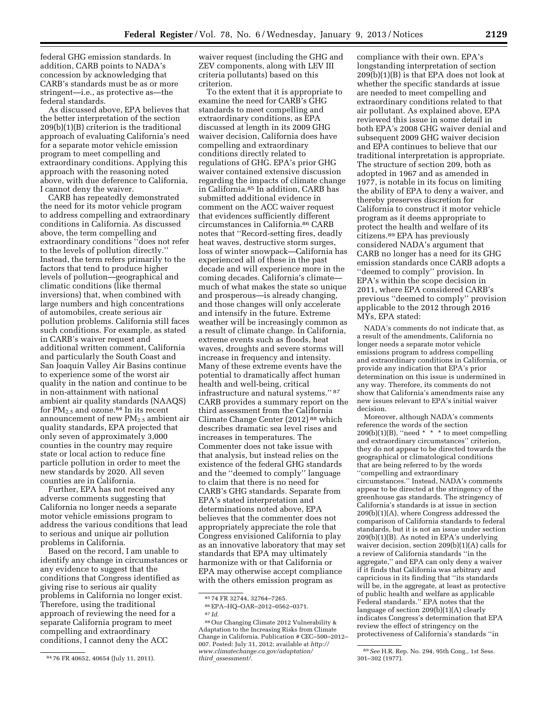federal GHG emission standards. In addition, CARB points to NADA's concession by acknowledging that CARB's standards must be as or more stringent—i.e., as protective as—the federal standards.

As discussed above, EPA believes that the better interpretation of the section 209(b)(1)(B) criterion is the traditional approach of evaluating California's need for a separate motor vehicle emission program to meet compelling and extraordinary conditions. Applying this approach with the reasoning noted above, with due deference to California, I cannot deny the waiver.

CARB has repeatedly demonstrated the need for its motor vehicle program to address compelling and extraordinary conditions in California. As discussed above, the term compelling and extraordinary conditions ''does not refer to the levels of pollution directly.'' Instead, the term refers primarily to the factors that tend to produce higher levels of pollution—geographical and climatic conditions (like thermal inversions) that, when combined with large numbers and high concentrations of automobiles, create serious air pollution problems. California still faces such conditions. For example, as stated in CARB's waiver request and additional written comment, California and particularly the South Coast and San Joaquin Valley Air Basins continue to experience some of the worst air quality in the nation and continue to be in non-attainment with national ambient air quality standards (NAAQS) for  $PM_{2.5}$  and ozone.<sup>84</sup> In its recent announcement of new  $PM_{2.5}$  ambient air quality standards, EPA projected that only seven of approximately 3,000 counties in the country may require state or local action to reduce fine particle pollution in order to meet the new standards by 2020. All seven counties are in California.

Further, EPA has not received any adverse comments suggesting that California no longer needs a separate motor vehicle emissions program to address the various conditions that lead to serious and unique air pollution problems in California.

Based on the record, I am unable to identify any change in circumstances or any evidence to suggest that the conditions that Congress identified as giving rise to serious air quality problems in California no longer exist. Therefore, using the traditional approach of reviewing the need for a separate California program to meet compelling and extraordinary conditions, I cannot deny the ACC

waiver request (including the GHG and ZEV components, along with LEV III criteria pollutants) based on this criterion.

To the extent that it is appropriate to examine the need for CARB's GHG standards to meet compelling and extraordinary conditions, as EPA discussed at length in its 2009 GHG waiver decision, California does have compelling and extraordinary conditions directly related to regulations of GHG. EPA's prior GHG waiver contained extensive discussion regarding the impacts of climate change in California.85 In addition, CARB has submitted additional evidence in comment on the ACC waiver request that evidences sufficiently different circumstances in California.86 CARB notes that ''Record-setting fires, deadly heat waves, destructive storm surges, loss of winter snowpack—California has experienced all of these in the past decade and will experience more in the coming decades. California's climate much of what makes the state so unique and prosperous—is already changing, and those changes will only accelerate and intensify in the future. Extreme weather will be increasingly common as a result of climate change. In California, extreme events such as floods, heat waves, droughts and severe storms will increase in frequency and intensity. Many of these extreme events have the potential to dramatically affect human health and well-being, critical infrastructure and natural systems.'' 87 CARB provides a summary report on the third assessment from the California Climate Change Center (2012) 88 which describes dramatic sea level rises and increases in temperatures. The Commenter does not take issue with that analysis, but instead relies on the existence of the federal GHG standards and the ''deemed to comply'' language to claim that there is no need for CARB's GHG standards. Separate from EPA's stated interpretation and determinations noted above, EPA believes that the commenter does not appropriately appreciate the role that Congress envisioned California to play as an innovative laboratory that may set standards that EPA may ultimately harmonize with or that California or EPA may otherwise accept compliance with the others emission program as

compliance with their own. EPA's longstanding interpretation of section 209(b)(1)(B) is that EPA does not look at whether the specific standards at issue are needed to meet compelling and extraordinary conditions related to that air pollutant. As explained above, EPA reviewed this issue in some detail in both EPA's 2008 GHG waiver denial and subsequent 2009 GHG waiver decision and EPA continues to believe that our traditional interpretation is appropriate. The structure of section 209, both as adopted in 1967 and as amended in 1977, is notable in its focus on limiting the ability of EPA to deny a waiver, and thereby preserves discretion for California to construct it motor vehicle program as it deems appropriate to protect the health and welfare of its citizens.89 EPA has previously considered NADA's argument that CARB no longer has a need for its GHG emission standards once CARB adopts a ''deemed to comply'' provision. In EPA's within the scope decision in 2011, where EPA considered CARB's previous ''deemed to comply'' provision applicable to the 2012 through 2016 MYs, EPA stated:

NADA's comments do not indicate that, as a result of the amendments, California no longer needs a separate motor vehicle emissions program to address compelling and extraordinary conditions in California, or provide any indication that EPA's prior determination on this issue is undermined in any way. Therefore, its comments do not show that California's amendments raise any new issues relevant to EPA's initial waiver decision.

Moreover, although NADA's comments reference the words of the section  $209(b)(1)(B)$ , "need \* \* \* to meet compelling and extraordinary circumstances'' criterion, they do not appear to be directed towards the geographical or climatological conditions that are being referred to by the words ''compelling and extraordinary circumstances.'' Instead, NADA's comments appear to be directed at the stringency of the greenhouse gas standards. The stringency of California's standards is at issue in section 209(b)(1)(A), where Congress addressed the comparison of California standards to federal standards, but it is not an issue under section 209(b)(1)(B). As noted in EPA's underlying waiver decision, section 209(b)(1)(A) calls for a review of California standards ''in the aggregate,'' and EPA can only deny a waiver if it finds that California was arbitrary and capricious in its finding that ''its standards will be, in the aggregate, at least as protective of public health and welfare as applicable Federal standards.'' EPA notes that the language of section 209(b)(1)(A) clearly indicates Congress's determination that EPA review the effect of stringency on the protectiveness of California's standards ''in

<sup>84</sup> 76 FR 40652, 40654 (July 11, 2011).

<sup>85</sup> 74 FR 32744, 32764–7265.

<sup>86</sup>EPA–HQ–OAR–2012–0562–0371. 87 *Id.* 

<sup>88</sup>Our Changing Climate 2012 Vulnerability & Adaptation to the Increasing Risks from Climate Change in California. Publication # CEC–500–2012– 007. Posted: July 31, 2012; available at *[http://](http://www.climatechange.ca.gov/adaptation/third_assessment/)  [www.climatechange.ca.gov/adaptation/](http://www.climatechange.ca.gov/adaptation/third_assessment/)  third*\_*[assessment/.](http://www.climatechange.ca.gov/adaptation/third_assessment/)* 

<sup>89</sup>*See* H.R. Rep. No. 294, 95th Cong., 1st Sess. 301–302 (1977).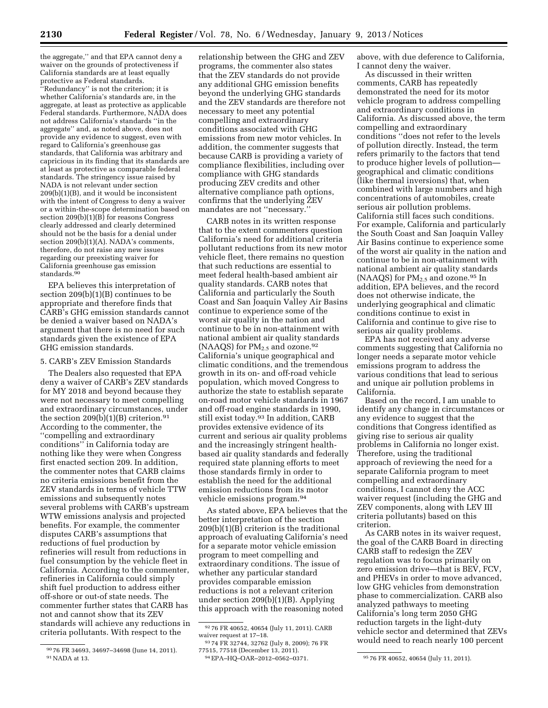the aggregate,'' and that EPA cannot deny a waiver on the grounds of protectiveness if California standards are at least equally protective as Federal standards.

''Redundancy'' is not the criterion; it is whether California's standards are, in the aggregate, at least as protective as applicable Federal standards. Furthermore, NADA does not address California's standards ''in the aggregate'' and, as noted above, does not provide any evidence to suggest, even with regard to California's greenhouse gas standards, that California was arbitrary and capricious in its finding that its standards are at least as protective as comparable federal standards. The stringency issue raised by NADA is not relevant under section 209(b)(1)(B), and it would be inconsistent with the intent of Congress to deny a waiver or a within-the-scope determination based on section  $209(b)(1)(B)$  for reasons Congress clearly addressed and clearly determined should not be the basis for a denial under section 209(b)(1)(A). NADA's comments, therefore, do not raise any new issues regarding our preexisting waiver for California greenhouse gas emission standards.<sup>90</sup>

EPA believes this interpretation of section 209(b)(1)(B) continues to be appropriate and therefore finds that CARB's GHG emission standards cannot be denied a waiver based on NADA's argument that there is no need for such standards given the existence of EPA GHG emission standards.

5. CARB's ZEV Emission Standards

The Dealers also requested that EPA deny a waiver of CARB's ZEV standards for MY 2018 and beyond because they were not necessary to meet compelling and extraordinary circumstances, under the section  $209(b)(1)(B)$  criterion.<sup>91</sup> According to the commenter, the ''compelling and extraordinary conditions'' in California today are nothing like they were when Congress first enacted section 209. In addition, the commenter notes that CARB claims no criteria emissions benefit from the ZEV standards in terms of vehicle TTW emissions and subsequently notes several problems with CARB's upstream WTW emissions analysis and projected benefits. For example, the commenter disputes CARB's assumptions that reductions of fuel production by refineries will result from reductions in fuel consumption by the vehicle fleet in California. According to the commenter, refineries in California could simply shift fuel production to address either off-shore or out-of state needs. The commenter further states that CARB has not and cannot show that its ZEV standards will achieve any reductions in criteria pollutants. With respect to the

90 76 FR 34693, 34697–34698 (June 14, 2011). 91NADA at 13.

relationship between the GHG and ZEV programs, the commenter also states that the ZEV standards do not provide any additional GHG emission benefits beyond the underlying GHG standards and the ZEV standards are therefore not necessary to meet any potential compelling and extraordinary conditions associated with GHG emissions from new motor vehicles. In addition, the commenter suggests that because CARB is providing a variety of compliance flexibilities, including over compliance with GHG standards producing ZEV credits and other alternative compliance path options, confirms that the underlying ZEV mandates are not ''necessary.''

CARB notes in its written response that to the extent commenters question California's need for additional criteria pollutant reductions from its new motor vehicle fleet, there remains no question that such reductions are essential to meet federal health-based ambient air quality standards. CARB notes that California and particularly the South Coast and San Joaquin Valley Air Basins continue to experience some of the worst air quality in the nation and continue to be in non-attainment with national ambient air quality standards (NAAQS) for  $PM_{2.5}$  and ozone.<sup>92</sup> California's unique geographical and climatic conditions, and the tremendous growth in its on- and off-road vehicle population, which moved Congress to authorize the state to establish separate on-road motor vehicle standards in 1967 and off-road engine standards in 1990, still exist today.93 In addition, CARB provides extensive evidence of its current and serious air quality problems and the increasingly stringent healthbased air quality standards and federally required state planning efforts to meet those standards firmly in order to establish the need for the additional emission reductions from its motor vehicle emissions program.94

As stated above, EPA believes that the better interpretation of the section 209(b)(1)(B) criterion is the traditional approach of evaluating California's need for a separate motor vehicle emission program to meet compelling and extraordinary conditions. The issue of whether any particular standard provides comparable emission reductions is not a relevant criterion under section 209(b)(1)(B). Applying this approach with the reasoning noted

above, with due deference to California, I cannot deny the waiver.

As discussed in their written comments, CARB has repeatedly demonstrated the need for its motor vehicle program to address compelling and extraordinary conditions in California. As discussed above, the term compelling and extraordinary conditions ''does not refer to the levels of pollution directly. Instead, the term refers primarily to the factors that tend to produce higher levels of pollution geographical and climatic conditions (like thermal inversions) that, when combined with large numbers and high concentrations of automobiles, create serious air pollution problems. California still faces such conditions. For example, California and particularly the South Coast and San Joaquin Valley Air Basins continue to experience some of the worst air quality in the nation and continue to be in non-attainment with national ambient air quality standards (NAAQS) for  $PM_{2.5}$  and ozone.<sup>95</sup> In addition, EPA believes, and the record does not otherwise indicate, the underlying geographical and climatic conditions continue to exist in California and continue to give rise to serious air quality problems.

EPA has not received any adverse comments suggesting that California no longer needs a separate motor vehicle emissions program to address the various conditions that lead to serious and unique air pollution problems in California.

Based on the record, I am unable to identify any change in circumstances or any evidence to suggest that the conditions that Congress identified as giving rise to serious air quality problems in California no longer exist. Therefore, using the traditional approach of reviewing the need for a separate California program to meet compelling and extraordinary conditions, I cannot deny the ACC waiver request (including the GHG and ZEV components, along with LEV III criteria pollutants) based on this criterion.

As CARB notes in its waiver request, the goal of the CARB Board in directing CARB staff to redesign the ZEV regulation was to focus primarily on zero emission drive—that is BEV, FCV, and PHEVs in order to move advanced, low GHG vehicles from demonstration phase to commercialization. CARB also analyzed pathways to meeting California's long term 2050 GHG reduction targets in the light-duty vehicle sector and determined that ZEVs would need to reach nearly 100 percent

<sup>92</sup> 76 FR 40652, 40654 (July 11, 2011). CARB waiver request at 17–18.

<sup>93</sup> 74 FR 32744, 32762 (July 8, 2009); 76 FR

<sup>77515, 77518 (</sup>December 13, 2011).

<sup>95 76</sup> FR 40652, 40654 (July 11, 2011).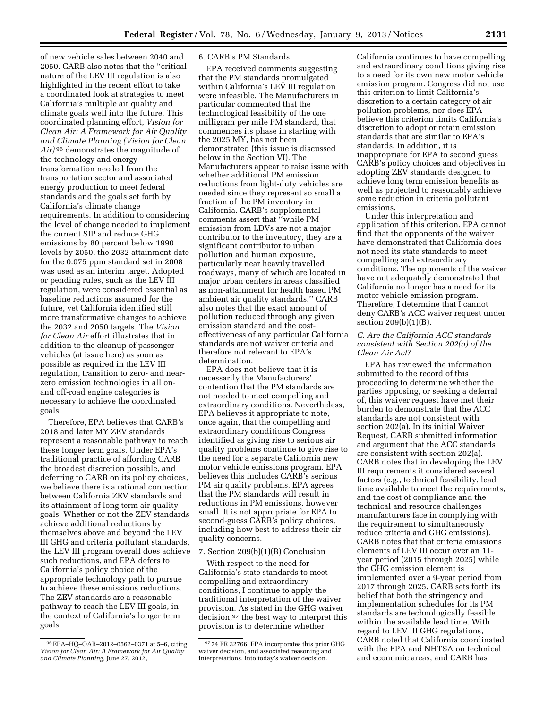of new vehicle sales between 2040 and 2050. CARB also notes that the ''critical nature of the LEV III regulation is also highlighted in the recent effort to take a coordinated look at strategies to meet California's multiple air quality and climate goals well into the future. This coordinated planning effort, *Vision for Clean Air: A Framework for Air Quality and Climate Planning (Vision for Clean Air)* 96 demonstrates the magnitude of the technology and energy transformation needed from the transportation sector and associated energy production to meet federal standards and the goals set forth by California's climate change requirements. In addition to considering the level of change needed to implement the current SIP and reduce GHG emissions by 80 percent below 1990 levels by 2050, the 2032 attainment date for the 0.075 ppm standard set in 2008 was used as an interim target. Adopted or pending rules, such as the LEV III regulation, were considered essential as baseline reductions assumed for the future, yet California identified still more transformative changes to achieve the 2032 and 2050 targets. The *Vision for Clean Air* effort illustrates that in addition to the cleanup of passenger vehicles (at issue here) as soon as possible as required in the LEV III regulation, transition to zero- and nearzero emission technologies in all onand off-road engine categories is necessary to achieve the coordinated goals.

Therefore, EPA believes that CARB's 2018 and later MY ZEV standards represent a reasonable pathway to reach these longer term goals. Under EPA's traditional practice of affording CARB the broadest discretion possible, and deferring to CARB on its policy choices, we believe there is a rational connection between California ZEV standards and its attainment of long term air quality goals. Whether or not the ZEV standards achieve additional reductions by themselves above and beyond the LEV III GHG and criteria pollutant standards, the LEV III program overall does achieve such reductions, and EPA defers to California's policy choice of the appropriate technology path to pursue to achieve these emissions reductions. The ZEV standards are a reasonable pathway to reach the LEV III goals, in the context of California's longer term goals.

# 6. CARB's PM Standards

EPA received comments suggesting that the PM standards promulgated within California's LEV III regulation were infeasible. The Manufacturers in particular commented that the technological feasibility of the one milligram per mile PM standard, that commences its phase in starting with the 2025 MY, has not been demonstrated (this issue is discussed below in the Section VI). The Manufacturers appear to raise issue with whether additional PM emission reductions from light-duty vehicles are needed since they represent so small a fraction of the PM inventory in California. CARB's supplemental comments assert that ''while PM emission from LDVs are not a major contributor to the inventory, they are a significant contributor to urban pollution and human exposure, particularly near heavily travelled roadways, many of which are located in major urban centers in areas classified as non-attainment for health based PM ambient air quality standards.'' CARB also notes that the exact amount of pollution reduced through any given emission standard and the costeffectiveness of any particular California standards are not waiver criteria and therefore not relevant to EPA's determination.

EPA does not believe that it is necessarily the Manufacturers' contention that the PM standards are not needed to meet compelling and extraordinary conditions. Nevertheless, EPA believes it appropriate to note, once again, that the compelling and extraordinary conditions Congress identified as giving rise to serious air quality problems continue to give rise to the need for a separate California new motor vehicle emissions program. EPA believes this includes CARB's serious PM air quality problems. EPA agrees that the PM standards will result in reductions in PM emissions, however small. It is not appropriate for EPA to second-guess CARB's policy choices, including how best to address their air quality concerns.

#### 7. Section 209(b)(1)(B) Conclusion

With respect to the need for California's state standards to meet compelling and extraordinary conditions, I continue to apply the traditional interpretation of the waiver provision. As stated in the GHG waiver decision,97 the best way to interpret this provision is to determine whether

California continues to have compelling and extraordinary conditions giving rise to a need for its own new motor vehicle emission program. Congress did not use this criterion to limit California's discretion to a certain category of air pollution problems, nor does EPA believe this criterion limits California's discretion to adopt or retain emission standards that are similar to EPA's standards. In addition, it is inappropriate for EPA to second guess CARB's policy choices and objectives in adopting ZEV standards designed to achieve long term emission benefits as well as projected to reasonably achieve some reduction in criteria pollutant emissions.

Under this interpretation and application of this criterion, EPA cannot find that the opponents of the waiver have demonstrated that California does not need its state standards to meet compelling and extraordinary conditions. The opponents of the waiver have not adequately demonstrated that California no longer has a need for its motor vehicle emission program. Therefore, I determine that I cannot deny CARB's ACC waiver request under section 209(b)(1)(B).

# *C. Are the California ACC standards consistent with Section 202(a) of the Clean Air Act?*

EPA has reviewed the information submitted to the record of this proceeding to determine whether the parties opposing, or seeking a deferral of, this waiver request have met their burden to demonstrate that the ACC standards are not consistent with section 202(a). In its initial Waiver Request, CARB submitted information and argument that the ACC standards are consistent with section 202(a). CARB notes that in developing the LEV III requirements it considered several factors (e.g., technical feasibility, lead time available to meet the requirements, and the cost of compliance and the technical and resource challenges manufacturers face in complying with the requirement to simultaneously reduce criteria and GHG emissions). CARB notes that that criteria emissions elements of LEV III occur over an 11 year period (2015 through 2025) while the GHG emission element is implemented over a 9-year period from 2017 through 2025. CARB sets forth its belief that both the stringency and implementation schedules for its PM standards are technologically feasible within the available lead time. With regard to LEV III GHG regulations, CARB noted that California coordinated with the EPA and NHTSA on technical and economic areas, and CARB has

<sup>96</sup>EPA–HQ–OAR–2012–0562–0371 at 5–6, citing *Vision for Clean Air: A Framework for Air Quality and Climate Planning,* June 27, 2012,

<sup>97</sup> 74 FR 32766. EPA incorporates this prior GHG waiver decision, and associated reasoning and interpretations, into today's waiver decision.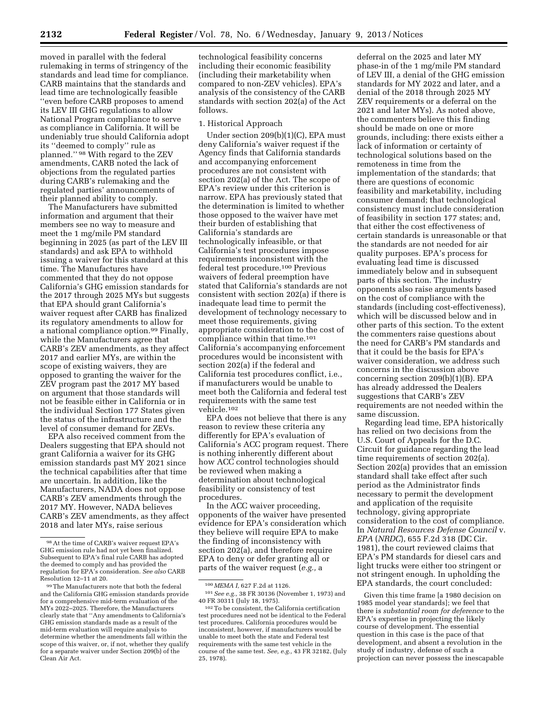moved in parallel with the federal rulemaking in terms of stringency of the standards and lead time for compliance. CARB maintains that the standards and lead time are technologically feasible ''even before CARB proposes to amend its LEV III GHG regulations to allow National Program compliance to serve as compliance in California. It will be undeniably true should California adopt its ''deemed to comply'' rule as planned.'' 98 With regard to the ZEV amendments, CARB noted the lack of objections from the regulated parties during CARB's rulemaking and the regulated parties' announcements of their planned ability to comply.

The Manufacturers have submitted information and argument that their members see no way to measure and meet the 1 mg/mile PM standard beginning in 2025 (as part of the LEV III standards) and ask EPA to withhold issuing a waiver for this standard at this time. The Manufactures have commented that they do not oppose California's GHG emission standards for the 2017 through 2025 MYs but suggests that EPA should grant California's waiver request after CARB has finalized its regulatory amendments to allow for a national compliance option.99 Finally, while the Manufacturers agree that CARB's ZEV amendments, as they affect 2017 and earlier MYs, are within the scope of existing waivers, they are opposed to granting the waiver for the ZEV program past the 2017 MY based on argument that those standards will not be feasible either in California or in the individual Section 177 States given the status of the infrastructure and the level of consumer demand for ZEVs.

EPA also received comment from the Dealers suggesting that EPA should not grant California a waiver for its GHG emission standards past MY 2021 since the technical capabilities after that time are uncertain. In addition, like the Manufacturers, NADA does not oppose CARB's ZEV amendments through the 2017 MY. However, NADA believes CARB's ZEV amendments, as they affect 2018 and later MYs, raise serious

technological feasibility concerns including their economic feasibility (including their marketability when compared to non-ZEV vehicles). EPA's analysis of the consistency of the CARB standards with section 202(a) of the Act follows.

#### 1. Historical Approach

Under section 209(b)(1)(C), EPA must deny California's waiver request if the Agency finds that California standards and accompanying enforcement procedures are not consistent with section 202(a) of the Act. The scope of EPA's review under this criterion is narrow. EPA has previously stated that the determination is limited to whether those opposed to the waiver have met their burden of establishing that California's standards are technologically infeasible, or that California's test procedures impose requirements inconsistent with the federal test procedure.100 Previous waivers of federal preemption have stated that California's standards are not consistent with section 202(a) if there is inadequate lead time to permit the development of technology necessary to meet those requirements, giving appropriate consideration to the cost of compliance within that time.101 California's accompanying enforcement procedures would be inconsistent with section 202(a) if the federal and California test procedures conflict, i.e., if manufacturers would be unable to meet both the California and federal test requirements with the same test vehicle.102

EPA does not believe that there is any reason to review these criteria any differently for EPA's evaluation of California's ACC program request. There is nothing inherently different about how ACC control technologies should be reviewed when making a determination about technological feasibility or consistency of test procedures.

In the ACC waiver proceeding, opponents of the waiver have presented evidence for EPA's consideration which they believe will require EPA to make the finding of inconsistency with section 202(a), and therefore require EPA to deny or defer granting all or parts of the waiver request (*e.g.,* a

deferral on the 2025 and later MY phase-in of the 1 mg/mile PM standard of LEV III, a denial of the GHG emission standards for MY 2022 and later, and a denial of the 2018 through 2025 MY ZEV requirements or a deferral on the 2021 and later MYs). As noted above, the commenters believe this finding should be made on one or more grounds, including: there exists either a lack of information or certainty of technological solutions based on the remoteness in time from the implementation of the standards; that there are questions of economic feasibility and marketability, including consumer demand; that technological consistency must include consideration of feasibility in section 177 states; and, that either the cost effectiveness of certain standards is unreasonable or that the standards are not needed for air quality purposes. EPA's process for evaluating lead time is discussed immediately below and in subsequent parts of this section. The industry opponents also raise arguments based on the cost of compliance with the standards (including cost-effectiveness), which will be discussed below and in other parts of this section. To the extent the commenters raise questions about the need for CARB's PM standards and that it could be the basis for EPA's waiver consideration, we address such concerns in the discussion above concerning section 209(b)(1)(B). EPA has already addressed the Dealers suggestions that CARB's ZEV requirements are not needed within the same discussion.

Regarding lead time, EPA historically has relied on two decisions from the U.S. Court of Appeals for the D.C. Circuit for guidance regarding the lead time requirements of section 202(a). Section 202(a) provides that an emission standard shall take effect after such period as the Administrator finds necessary to permit the development and application of the requisite technology, giving appropriate consideration to the cost of compliance. In *Natural Resources Defense Council* v. *EPA* (*NRDC*), 655 F.2d 318 (DC Cir. 1981), the court reviewed claims that EPA's PM standards for diesel cars and light trucks were either too stringent or not stringent enough. In upholding the EPA standards, the court concluded:

Given this time frame [a 1980 decision on 1985 model year standards]; we feel that there is *substantial room for deference* to the EPA's expertise in projecting the likely course of development. The essential question in this case is the pace of that development, and absent a revolution in the study of industry, defense of such a projection can never possess the inescapable

<sup>98</sup>At the time of CARB's waiver request EPA's GHG emission rule had not yet been finalized. Subsequent to EPA's final rule CARB has adopted the deemed to comply and has provided the regulation for EPA's consideration. *See also* CARB Resolution 12–11 at 20.

<sup>99</sup>The Manufacturers note that both the federal and the California GHG emission standards provide for a comprehensive mid-term evaluation of the MYs 2022–2025. Therefore, the Manufacturers clearly state that ''Any amendments to California's GHG emission standards made as a result of the mid-term evaluation will require analysis to determine whether the amendments fall within the scope of this waiver, or, if not, whether they qualify for a separate waiver under Section 209(b) of the Clean Air Act.

<sup>100</sup> *MEMA I,* 627 F.2d at 1126.

<sup>101</sup>*See e.g.,* 38 FR 30136 (November 1, 1973) and 40 FR 30311 (July 18, 1975).

<sup>102</sup>To be consistent, the California certification test procedures need not be identical to the Federal test procedures. California procedures would be inconsistent, however, if manufacturers would be unable to meet both the state and Federal test requirements with the same test vehicle in the course of the same test. *See, e.g.,* 43 FR 32182, (July 25, 1978).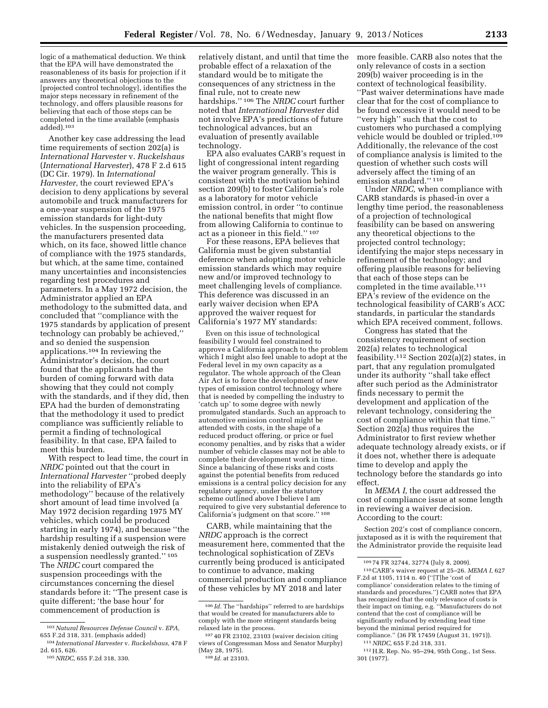logic of a mathematical deduction. We think that the EPA will have demonstrated the reasonableness of its basis for projection if it answers any theoretical objections to the [projected control technology], identifies the major steps necessary in refinement of the technology, and offers plausible reasons for believing that each of those steps can be completed in the time available (emphasis added).103

Another key case addressing the lead time requirements of section 202(a) is *International Harvester* v. *Ruckelshaus*  (*International Harvester*), 478 F 2.d 615 (DC Cir. 1979). In *International Harvester,* the court reviewed EPA's decision to deny applications by several automobile and truck manufacturers for a one-year suspension of the 1975 emission standards for light-duty vehicles. In the suspension proceeding, the manufacturers presented data which, on its face, showed little chance of compliance with the 1975 standards, but which, at the same time, contained many uncertainties and inconsistencies regarding test procedures and parameters. In a May 1972 decision, the Administrator applied an EPA methodology to the submitted data, and concluded that ''compliance with the 1975 standards by application of present technology can probably be achieved,'' and so denied the suspension applications.104 In reviewing the Administrator's decision, the court found that the applicants had the burden of coming forward with data showing that they could not comply with the standards, and if they did, then EPA had the burden of demonstrating that the methodology it used to predict compliance was sufficiently reliable to permit a finding of technological feasibility. In that case, EPA failed to meet this burden.

With respect to lead time, the court in *NRDC* pointed out that the court in *International Harvester* ''probed deeply into the reliability of EPA's methodology'' because of the relatively short amount of lead time involved (a May 1972 decision regarding 1975 MY vehicles, which could be produced starting in early 1974), and because ''the hardship resulting if a suspension were mistakenly denied outweigh the risk of a suspension needlessly granted.'' 105 The *NRDC* court compared the suspension proceedings with the circumstances concerning the diesel standards before it: ''The present case is quite different; 'the base hour' for commencement of production is

relatively distant, and until that time the probable effect of a relaxation of the standard would be to mitigate the consequences of any strictness in the final rule, not to create new hardships.'' 106 The *NRDC* court further noted that *International Harvester* did not involve EPA's predictions of future technological advances, but an evaluation of presently available technology.

EPA also evaluates CARB's request in light of congressional intent regarding the waiver program generally. This is consistent with the motivation behind section 209(b) to foster California's role as a laboratory for motor vehicle emission control, in order ''to continue the national benefits that might flow from allowing California to continue to act as a pioneer in this field.'' 107

For these reasons, EPA believes that California must be given substantial deference when adopting motor vehicle emission standards which may require new and/or improved technology to meet challenging levels of compliance. This deference was discussed in an early waiver decision when EPA approved the waiver request for California's 1977 MY standards:

Even on this issue of technological feasibility I would feel constrained to approve a California approach to the problem which I might also feel unable to adopt at the Federal level in my own capacity as a regulator. The whole approach of the Clean Air Act is to force the development of new types of emission control technology where that is needed by compelling the industry to 'catch up' to some degree with newly promulgated standards. Such an approach to automotive emission control might be attended with costs, in the shape of a reduced product offering, or price or fuel economy penalties, and by risks that a wider number of vehicle classes may not be able to complete their development work in time. Since a balancing of these risks and costs against the potential benefits from reduced emissions is a central policy decision for any regulatory agency, under the statutory scheme outlined above I believe I am required to give very substantial deference to California's judgment on that score.'' 108

CARB, while maintaining that the *NRDC* approach is the correct measurement here, commented that the technological sophistication of ZEVs currently being produced is anticipated to continue to advance, making commercial production and compliance of these vehicles by MY 2018 and later

more feasible. CARB also notes that the only relevance of costs in a section 209(b) waiver proceeding is in the context of technological feasibility. ''Past waiver determinations have made clear that for the cost of compliance to be found excessive it would need to be ''very high'' such that the cost to customers who purchased a complying vehicle would be doubled or tripled.109 Additionally, the relevance of the cost of compliance analysis is limited to the question of whether such costs will adversely affect the timing of an emission standard.'' 110

Under *NRDC,* when compliance with CARB standards is phased-in over a lengthy time period, the reasonableness of a projection of technological feasibility can be based on answering any theoretical objections to the projected control technology; identifying the major steps necessary in refinement of the technology; and offering plausible reasons for believing that each of those steps can be completed in the time available.111 EPA's review of the evidence on the technological feasibility of CARB's ACC standards, in particular the standards which EPA received comment, follows.

Congress has stated that the consistency requirement of section 202(a) relates to technological feasibility.<sup>112</sup> Section 202(a)(2) states, in part, that any regulation promulgated under its authority ''shall take effect after such period as the Administrator finds necessary to permit the development and application of the relevant technology, considering the cost of compliance within that time.'' Section 202(a) thus requires the Administrator to first review whether adequate technology already exists, or if it does not, whether there is adequate time to develop and apply the technology before the standards go into effect.

In *MEMA I,* the court addressed the cost of compliance issue at some length in reviewing a waiver decision. According to the court:

Section 202's cost of compliance concern, juxtaposed as it is with the requirement that the Administrator provide the requisite lead

111*NRDC,* 655 F.2d 318, 331.

<sup>103</sup>*Natural Resources Defense Council* v. *EPA,*  655 F.2d 318, 331. (emphasis added)

<sup>104</sup> *International Harvester* v. *Ruckelshaus,* 478 F 2d. 615, 626.

<sup>105</sup>*NRDC,* 655 F.2d 318, 330.

<sup>106</sup> *Id.* The ''hardships'' referred to are hardships that would be created for manufacturers able to comply with the more stringent standards being relaxed late in the process.

<sup>107</sup> 40 FR 23102, 23103 (waiver decision citing views of Congressman Moss and Senator Murphy) (May 28, 1975). 108 *Id.* at 23103.

<sup>109</sup> 74 FR 32744, 32774 (July 8, 2009).

<sup>110</sup>CARB's waiver request at 25–26. *MEMA I,* 627 F.2d at 1105, 1114 n. 40 (''[T]he 'cost of compliance' consideration relates to the timing of standards and procedures.'') CARB notes that EPA has recognized that the only relevance of costs is their impact on timing, e.g. ''Manufacturers do not contend that the cost of compliance will be significantly reduced by extending lead time beyond the minimal period required for compliance.'' (36 FR 17459 (August 31, 1971)).

<sup>112</sup>H.R. Rep. No. 95–294, 95th Cong., 1st Sess. 301 (1977).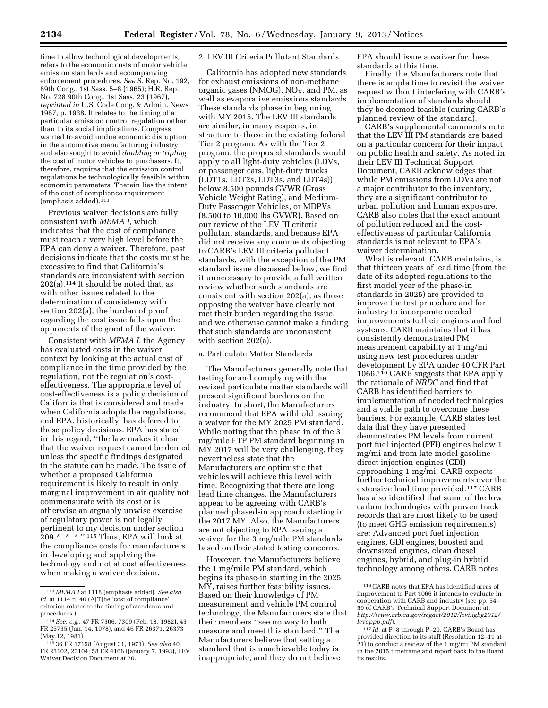time to allow technological developments, refers to the economic costs of motor vehicle emission standards and accompanying enforcement procedures. *See* S. Rep. No. 192, 89th Cong., 1st Sass. 5–8 (1965); H.R. Rep. No. 728 90th Cong., 1st Sass. 23 (1967), *reprinted in* U.S. Code Cong. & Admin. News 1967, p. 1938. It relates to the timing of a particular emission control regulation rather than to its social implications. Congress wanted to avoid undue economic disruption in the automotive manufacturing industry and also sought to avoid *doubling or tripling*  the cost of motor vehicles to purchasers. It, therefore, requires that the emission control regulations be technologically feasible within economic parameters. Therein lies the intent of the cost of compliance requirement  $(emphasis added).$ <sup>113</sup>

Previous waiver decisions are fully consistent with *MEMA I,* which indicates that the cost of compliance must reach a very high level before the EPA can deny a waiver. Therefore, past decisions indicate that the costs must be excessive to find that California's standards are inconsistent with section 202(a).114 It should be noted that, as with other issues related to the determination of consistency with section 202(a), the burden of proof regarding the cost issue falls upon the opponents of the grant of the waiver.

Consistent with *MEMA I,* the Agency has evaluated costs in the waiver context by looking at the actual cost of compliance in the time provided by the regulation, not the regulation's costeffectiveness. The appropriate level of cost-effectiveness is a policy decision of California that is considered and made when California adopts the regulations, and EPA, historically, has deferred to these policy decisions. EPA has stated in this regard, ''the law makes it clear that the waiver request cannot be denied unless the specific findings designated in the statute can be made. The issue of whether a proposed California requirement is likely to result in only marginal improvement in air quality not commensurate with its cost or is otherwise an arguably unwise exercise of regulatory power is not legally pertinent to my decision under section 209 \* \* \*.'' 115 Thus, EPA will look at the compliance costs for manufacturers in developing and applying the technology and not at cost effectiveness when making a waiver decision.

# 2. LEV III Criteria Pollutant Standards

California has adopted new standards for exhaust emissions of non-methane organic gases (NMOG),  $NO<sub>X</sub>$ , and PM, as well as evaporative emissions standards. These standards phase in beginning with MY 2015. The LEV III standards are similar, in many respects, in structure to those in the existing federal Tier 2 program. As with the Tier 2 program, the proposed standards would apply to all light-duty vehicles (LDVs, or passenger cars, light-duty trucks (LDT1s, LDT2s, LDT3s, and LDT4s)) below 8,500 pounds GVWR (Gross Vehicle Weight Rating), and Medium-Duty Passenger Vehicles, or MDPVs (8,500 to 10,000 lbs GVWR). Based on our review of the LEV III criteria pollutant standards, and because EPA did not receive any comments objecting to CARB's LEV III criteria pollutant standards, with the exception of the PM standard issue discussed below, we find it unnecessary to provide a full written review whether such standards are consistent with section 202(a), as those opposing the waiver have clearly not met their burden regarding the issue, and we otherwise cannot make a finding that such standards are inconsistent with section 202(a).

#### a. Particulate Matter Standards

The Manufacturers generally note that testing for and complying with the revised particulate matter standards will present significant burdens on the industry. In short, the Manufacturers recommend that EPA withhold issuing a waiver for the MY 2025 PM standard. While noting that the phase in of the 3 mg/mile FTP PM standard beginning in MY 2017 will be very challenging, they nevertheless state that the Manufacturers are optimistic that vehicles will achieve this level with time. Recognizing that there are long lead time changes, the Manufacturers appear to be agreeing with CARB's planned phased-in approach starting in the 2017 MY. Also, the Manufacturers are not objecting to EPA issuing a waiver for the 3 mg/mile PM standards based on their stated testing concerns.

However, the Manufacturers believe the 1 mg/mile PM standard, which begins its phase-in starting in the 2025 MY, raises further feasibility issues. Based on their knowledge of PM measurement and vehicle PM control technology, the Manufacturers state that their members ''see no way to both measure and meet this standard.'' The Manufacturers believe that setting a standard that is unachievable today is inappropriate, and they do not believe

EPA should issue a waiver for these standards at this time.

Finally, the Manufacturers note that there is ample time to revisit the waiver request without interfering with CARB's implementation of standards should they be deemed feasible (during CARB's planned review of the standard).

CARB's supplemental comments note that the LEV III PM standards are based on a particular concern for their impact on public health and safety. As noted in their LEV III Technical Support Document, CARB acknowledges that while PM emissions from LDVs are not a major contributor to the inventory, they are a significant contributor to urban pollution and human exposure. CARB also notes that the exact amount of pollution reduced and the costeffectiveness of particular California standards is not relevant to EPA's waiver determination.

What is relevant, CARB maintains, is that thirteen years of lead time (from the date of its adopted regulations to the first model year of the phase-in standards in 2025) are provided to improve the test procedure and for industry to incorporate needed improvements to their engines and fuel systems. CARB maintains that it has consistently demonstrated PM measurement capability at 1 mg/mi using new test procedures under development by EPA under 40 CFR Part 1066.116 CARB suggests that EPA apply the rationale of *NRDC* and find that CARB has identified barriers to implementation of needed technologies and a viable path to overcome these barriers. For example, CARB states test data that they have presented demonstrates PM levels from current port fuel injected (PFI) engines below 1 mg/mi and from late model gasoline direct injection engines (GDI) approaching 1 mg/mi. CARB expects further technical improvements over the extensive lead time provided.117 CARB has also identified that some of the low carbon technologies with proven track records that are most likely to be used (to meet GHG emission requirements) are: Advanced port fuel injection engines, GDI engines, boosted and downsized engines, clean diesel engines, hybrid, and plug-in hybrid technology among others. CARB notes

<sup>113</sup> *MEMA I* at 1118 (emphasis added). *See also*  id. at 1114 n. 40 (A[T]he 'cost of compliance' criterion relates to the timing of standards and procedures.).

<sup>114</sup>*See, e.g.,* 47 FR 7306, 7309 (Feb. 18, 1982), 43 FR 25735 (Jun. 14, 1978), and 46 FR 26371, 26373 (May 12, 1981).

<sup>115</sup> 36 FR 17158 (August 31, 1971). *See also* 40 FR 23102, 23104; 58 FR 4166 (January 7, 1993), LEV Waiver Decision Document at 20.

<sup>116</sup>CARB notes that EPA has identified areas of improvement to Part 1066 it intends to evaluate in cooperation with CARB and industry (see pp. 54– 59 of CARB's Technical Support Document at: *[http://www.arb.ca.gov/regact/2012/leviiighg2012/](http://www.arb.ca.gov/regact/2012/leviiighg2012/levappp.pdf) [levappp.pdf](http://www.arb.ca.gov/regact/2012/leviiighg2012/levappp.pdf)*).

<sup>117</sup> *Id.* at P–8 through P–20. CARB's Board has provided direction to its staff (Resolution 12–11 at 21) to conduct a review of the 1 mg/mi PM standard in the 2015 timeframe and report back to the Board its results.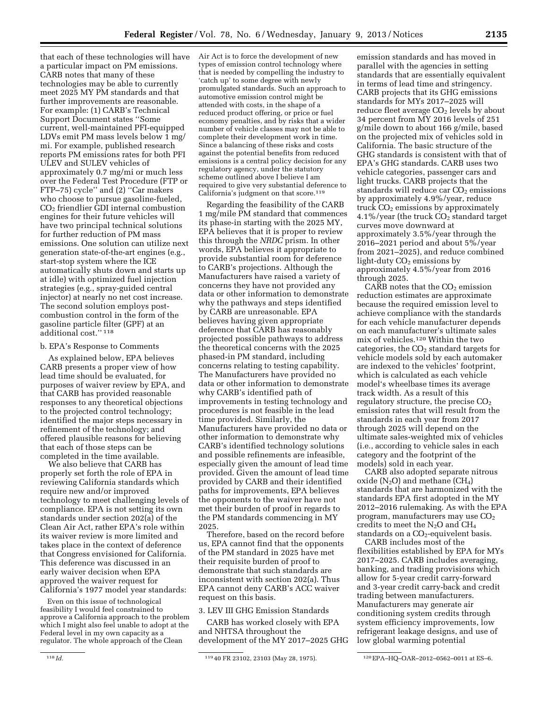that each of these technologies will have a particular impact on PM emissions. CARB notes that many of these technologies may be able to currently meet 2025 MY PM standards and that further improvements are reasonable. For example: (1) CARB's Technical Support Document states ''Some current, well-maintained PFI-equipped LDVs emit PM mass levels below 1 mg/ mi. For example, published research reports PM emissions rates for both PFI ULEV and SULEV vehicles of approximately 0.7 mg/mi or much less over the Federal Test Procedure (FTP or FTP–75) cycle'' and (2) ''Car makers who choose to pursue gasoline-fueled, CO2 friendlier GDI internal combustion engines for their future vehicles will have two principal technical solutions for further reduction of PM mass emissions. One solution can utilize next generation state-of-the-art engines (e.g., start-stop system where the ICE automatically shuts down and starts up at idle) with optimized fuel injection strategies (e.g., spray-guided central injector) at nearly no net cost increase. The second solution employs postcombustion control in the form of the gasoline particle filter (GPF) at an additional cost.'' 118

#### b. EPA's Response to Comments

As explained below, EPA believes CARB presents a proper view of how lead time should be evaluated, for purposes of waiver review by EPA, and that CARB has provided reasonable responses to any theoretical objections to the projected control technology; identified the major steps necessary in refinement of the technology; and offered plausible reasons for believing that each of those steps can be completed in the time available.

We also believe that CARB has properly set forth the role of EPA in reviewing California standards which require new and/or improved technology to meet challenging levels of compliance. EPA is not setting its own standards under section 202(a) of the Clean Air Act, rather EPA's role within its waiver review is more limited and takes place in the context of deference that Congress envisioned for California. This deference was discussed in an early waiver decision when EPA approved the waiver request for California's 1977 model year standards:

Even on this issue of technological feasibility I would feel constrained to approve a California approach to the problem which I might also feel unable to adopt at the Federal level in my own capacity as a regulator. The whole approach of the Clean

Regarding the feasibility of the CARB 1 mg/mile PM standard that commences its phase-in starting with the 2025 MY, EPA believes that it is proper to review this through the *NRDC* prism. In other words, EPA believes it appropriate to provide substantial room for deference to CARB's projections. Although the Manufacturers have raised a variety of concerns they have not provided any data or other information to demonstrate why the pathways and steps identified by CARB are unreasonable. EPA believes having given appropriate deference that CARB has reasonably projected possible pathways to address the theoretical concerns with the 2025 phased-in PM standard, including concerns relating to testing capability. The Manufacturers have provided no data or other information to demonstrate why CARB's identified path of improvements in testing technology and procedures is not feasible in the lead time provided. Similarly, the Manufacturers have provided no data or other information to demonstrate why CARB's identified technology solutions and possible refinements are infeasible, especially given the amount of lead time provided. Given the amount of lead time provided by CARB and their identified paths for improvements, EPA believes the opponents to the waiver have not met their burden of proof in regards to the PM standards commencing in MY 2025.

Therefore, based on the record before us, EPA cannot find that the opponents of the PM standard in 2025 have met their requisite burden of proof to demonstrate that such standards are inconsistent with section 202(a). Thus EPA cannot deny CARB's ACC waiver request on this basis.

#### 3. LEV III GHG Emission Standards

CARB has worked closely with EPA and NHTSA throughout the development of the MY 2017–2025 GHG

emission standards and has moved in parallel with the agencies in setting standards that are essentially equivalent in terms of lead time and stringency. CARB projects that its GHG emissions standards for MYs 2017–2025 will reduce fleet average  $CO<sub>2</sub>$  levels by about 34 percent from MY 2016 levels of 251 g/mile down to about 166 g/mile, based on the projected mix of vehicles sold in California. The basic structure of the GHG standards is consistent with that of EPA's GHG standards. CARB uses two vehicle categories, passenger cars and light trucks. CARB projects that the standards will reduce car CO<sub>2</sub> emissions by approximately 4.9%/year, reduce truck  $CO<sub>2</sub>$  emissions by approximately 4.1%/year (the truck  $CO<sub>2</sub>$  standard target curves move downward at approximately 3.5%/year through the 2016–2021 period and about 5%/year from 2021–2025), and reduce combined light-duty  $CO<sub>2</sub>$  emissions by approximately 4.5%/year from 2016 through 2025.

CARB notes that the  $CO<sub>2</sub>$  emission reduction estimates are approximate because the required emission level to achieve compliance with the standards for each vehicle manufacturer depends on each manufacturer's ultimate sales mix of vehicles.120 Within the two categories, the  $CO<sub>2</sub>$  standard targets for vehicle models sold by each automaker are indexed to the vehicles' footprint, which is calculated as each vehicle model's wheelbase times its average track width. As a result of this regulatory structure, the precise  $CO<sub>2</sub>$ emission rates that will result from the standards in each year from 2017 through 2025 will depend on the ultimate sales-weighted mix of vehicles (i.e., according to vehicle sales in each category and the footprint of the models) sold in each year.

CARB also adopted separate nitrous oxide  $(N_2O)$  and methane  $(CH_4)$ standards that are harmonized with the standards EPA first adopted in the MY 2012–2016 rulemaking. As with the EPA program, manufacturers may use  $CO<sub>2</sub>$ credits to meet the  $N_2O$  and  $CH_4$ standards on a  $CO<sub>2</sub>$ -equivelent basis.

CARB includes most of the flexibilities established by EPA for MYs 2017–2025. CARB includes averaging, banking, and trading provisions which allow for 5-year credit carry-forward and 3-year credit carry-back and credit trading between manufacturers. Manufacturers may generate air conditioning system credits through system efficiency improvements, low refrigerant leakage designs, and use of low global warming potential

Air Act is to force the development of new types of emission control technology where that is needed by compelling the industry to 'catch up' to some degree with newly promulgated standards. Such an approach to automotive emission control might be attended with costs, in the shape of a reduced product offering, or price or fuel economy penalties, and by risks that a wider number of vehicle classes may not be able to complete their development work in time. Since a balancing of these risks and costs against the potential benefits from reduced emissions is a central policy decision for any regulatory agency, under the statutory scheme outlined above I believe I am required to give very substantial deference to California's judgment on that score.<sup>119</sup>

<sup>118</sup> *Id.* 119 40 FR 23102, 23103 (May 28, 1975). 120EPA–HQ–OAR–2012–0562–0011 at ES–6.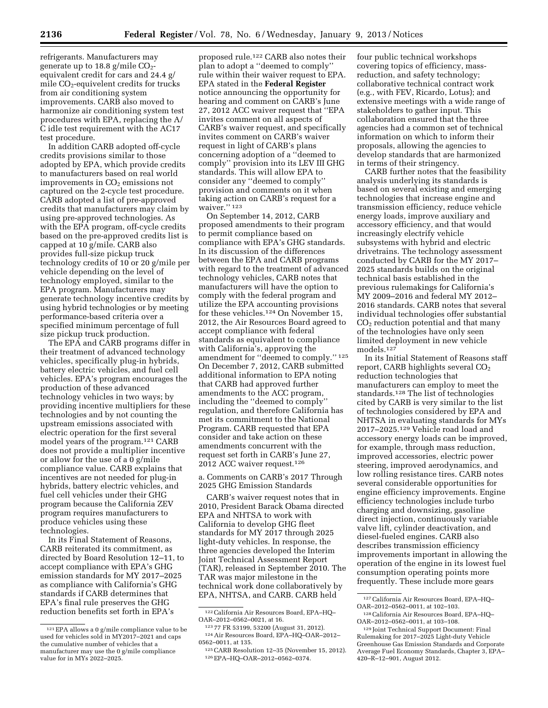refrigerants. Manufacturers may generate up to 18.8 g/mile  $CO<sub>2</sub>$ equivalent credit for cars and 24.4 g/ mile CO2-equivelent credits for trucks from air conditioning system improvements. CARB also moved to harmonize air conditioning system test procedures with EPA, replacing the A/ C idle test requirement with the AC17 test procedure.

In addition CARB adopted off-cycle credits provisions similar to those adopted by EPA, which provide credits to manufacturers based on real world improvements in  $CO<sub>2</sub>$  emissions not captured on the 2-cycle test procedure. CARB adopted a list of pre-approved credits that manufacturers may claim by using pre-approved technologies. As with the EPA program, off-cycle credits based on the pre-approved credits list is capped at 10 g/mile. CARB also provides full-size pickup truck technology credits of 10 or 20 g/mile per vehicle depending on the level of technology employed, similar to the EPA program. Manufacturers may generate technology incentive credits by using hybrid technologies or by meeting performance-based criteria over a specified minimum percentage of full size pickup truck production.

The EPA and CARB programs differ in their treatment of advanced technology vehicles, specifically plug-in hybrids, battery electric vehicles, and fuel cell vehicles. EPA's program encourages the production of these advanced technology vehicles in two ways; by providing incentive multipliers for these technologies and by not counting the upstream emissions associated with electric operation for the first several model years of the program.121 CARB does not provide a multiplier incentive or allow for the use of a 0 g/mile compliance value. CARB explains that incentives are not needed for plug-in hybrids, battery electric vehicles, and fuel cell vehicles under their GHG program because the California ZEV program requires manufacturers to produce vehicles using these technologies.

In its Final Statement of Reasons, CARB reiterated its commitment, as directed by Board Resolution 12–11, to accept compliance with EPA's GHG emission standards for MY 2017–2025 as compliance with California's GHG standards if CARB determines that EPA's final rule preserves the GHG reduction benefits set forth in EPA's

proposed rule.122 CARB also notes their plan to adopt a ''deemed to comply'' rule within their waiver request to EPA. EPA stated in the **Federal Register**  notice announcing the opportunity for hearing and comment on CARB's June 27, 2012 ACC waiver request that ''EPA invites comment on all aspects of CARB's waiver request, and specifically invites comment on CARB's waiver request in light of CARB's plans concerning adoption of a ''deemed to comply'' provision into its LEV III GHG standards. This will allow EPA to consider any ''deemed to comply'' provision and comments on it when taking action on CARB's request for a waiver."<sup>123</sup>

On September 14, 2012, CARB proposed amendments to their program to permit compliance based on compliance with EPA's GHG standards. In its discussion of the differences between the EPA and CARB programs with regard to the treatment of advanced technology vehicles, CARB notes that manufacturers will have the option to comply with the federal program and utilize the EPA accounting provisions for these vehicles.124 On November 15, 2012, the Air Resources Board agreed to accept compliance with federal standards as equivalent to compliance with California's, approving the amendment for ''deemed to comply.'' 125 On December 7, 2012, CARB submitted additional information to EPA noting that CARB had approved further amendments to the ACC program, including the ''deemed to comply'' regulation, and therefore California has met its commitment to the National Program. CARB requested that EPA consider and take action on these amendments concurrent with the request set forth in CARB's June 27, 2012 ACC waiver request.126

a. Comments on CARB's 2017 Through 2025 GHG Emission Standards

CARB's waiver request notes that in 2010, President Barack Obama directed EPA and NHTSA to work with California to develop GHG fleet standards for MY 2017 through 2025 light-duty vehicles. In response, the three agencies developed the Interim Joint Technical Assessment Report (TAR), released in September 2010. The TAR was major milestone in the technical work done collaboratively by EPA, NHTSA, and CARB. CARB held

four public technical workshops covering topics of efficiency, massreduction, and safety technology; collaborative technical contract work (e.g., with FEV, Ricardo, Lotus); and extensive meetings with a wide range of stakeholders to gather input. This collaboration ensured that the three agencies had a common set of technical information on which to inform their proposals, allowing the agencies to develop standards that are harmonized in terms of their stringency.

CARB further notes that the feasibility analysis underlying its standards is based on several existing and emerging technologies that increase engine and transmission efficiency, reduce vehicle energy loads, improve auxiliary and accessory efficiency, and that would increasingly electrify vehicle subsystems with hybrid and electric drivetrains. The technology assessment conducted by CARB for the MY 2017– 2025 standards builds on the original technical basis established in the previous rulemakings for California's MY 2009–2016 and federal MY 2012– 2016 standards. CARB notes that several individual technologies offer substantial  $CO<sub>2</sub>$  reduction potential and that many of the technologies have only seen limited deployment in new vehicle models.127

In its Initial Statement of Reasons staff report, CARB highlights several CO<sub>2</sub> reduction technologies that manufacturers can employ to meet the standards.<sup>128</sup> The list of technologies cited by CARB is very similar to the list of technologies considered by EPA and NHTSA in evaluating standards for MYs 2017–2025.129 Vehicle road load and accessory energy loads can be improved, for example, through mass reduction, improved accessories, electric power steering, improved aerodynamics, and low rolling resistance tires. CARB notes several considerable opportunities for engine efficiency improvements. Engine efficiency technologies include turbo charging and downsizing, gasoline direct injection, continuously variable valve lift, cylinder deactivation, and diesel-fueled engines. CARB also describes transmission efficiency improvements important in allowing the operation of the engine in its lowest fuel consumption operating points more frequently. These include more gears

<sup>121</sup>EPA allows a 0 g/mile compliance value to be used for vehicles sold in MY2017–2021 and caps the cumulative number of vehicles that a manufacturer may use the 0 g/mile compliance value for in MYs 2022–2025.

 $^{122}$  California Air Resources Board, EPA–HQ–OAR–2012–0562–0021, at 16.

<sup>&</sup>lt;sup>123</sup>77 FR 53199, 53200 (August 31, 2012). <sup>124</sup> Air Resources Board, EPA–HQ–OAR–2012– 0562–0011, at 135.

<sup>125</sup>CARB Resolution 12–35 (November 15, 2012). 126EPA–HQ–OAR–2012–0562–0374.

<sup>127</sup>California Air Resources Board, EPA–HQ– OAR–2012–0562–0011, at 102–103.

<sup>128</sup>California Air Resources Board, EPA–HQ– OAR–2012–0562–0011, at 103–108.

<sup>129</sup> Joint Technical Support Document: Final Rulemaking for 2017–2025 Light-duty Vehicle Greenhouse Gas Emission Standards and Corporate Average Fuel Economy Standards, Chapter 3, EPA– 420–R–12–901, August 2012.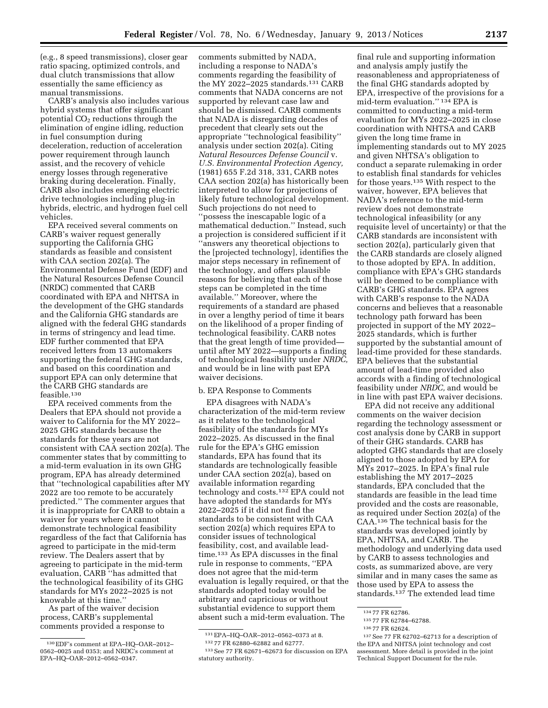(e.g., 8 speed transmissions), closer gear ratio spacing, optimized controls, and dual clutch transmissions that allow essentially the same efficiency as manual transmissions.

CARB's analysis also includes various hybrid systems that offer significant potential  $CO<sub>2</sub>$  reductions through the elimination of engine idling, reduction in fuel consumption during deceleration, reduction of acceleration power requirement through launch assist, and the recovery of vehicle energy losses through regenerative braking during deceleration. Finally, CARB also includes emerging electric drive technologies including plug-in hybrids, electric, and hydrogen fuel cell vehicles.

EPA received several comments on CARB's waiver request generally supporting the California GHG standards as feasible and consistent with CAA section 202(a). The Environmental Defense Fund (EDF) and the Natural Resources Defense Council (NRDC) commented that CARB coordinated with EPA and NHTSA in the development of the GHG standards and the California GHG standards are aligned with the federal GHG standards in terms of stringency and lead time. EDF further commented that EPA received letters from 13 automakers supporting the federal GHG standards, and based on this coordination and support EPA can only determine that the CARB GHG standards are feasible.130

EPA received comments from the Dealers that EPA should not provide a waiver to California for the MY 2022– 2025 GHG standards because the standards for these years are not consistent with CAA section 202(a). The commenter states that by committing to a mid-term evaluation in its own GHG program, EPA has already determined that ''technological capabilities after MY 2022 are too remote to be accurately predicted.'' The commenter argues that it is inappropriate for CARB to obtain a waiver for years where it cannot demonstrate technological feasibility regardless of the fact that California has agreed to participate in the mid-term review. The Dealers assert that by agreeing to participate in the mid-term evaluation, CARB ''has admitted that the technological feasibility of its GHG standards for MYs 2022–2025 is not knowable at this time.''

As part of the waiver decision process, CARB's supplemental comments provided a response to

comments submitted by NADA, including a response to NADA's comments regarding the feasibility of the MY 2022–2025 standards.131 CARB comments that NADA concerns are not supported by relevant case law and should be dismissed. CARB comments that NADA is disregarding decades of precedent that clearly sets out the appropriate ''technological feasibility'' analysis under section 202(a). Citing *Natural Resources Defense Council* v. *U.S. Environmental Protection Agency,*  (1981) 655 F.2d 318, 331, CARB notes CAA section 202(a) has historically been interpreted to allow for projections of likely future technological development. Such projections do not need to ''possess the inescapable logic of a mathematical deduction.'' Instead, such a projection is considered sufficient if it ''answers any theoretical objections to the [projected technology], identifies the major steps necessary in refinement of the technology, and offers plausible reasons for believing that each of those steps can be completed in the time available.'' Moreover, where the requirements of a standard are phased in over a lengthy period of time it bears on the likelihood of a proper finding of technological feasibility. CARB notes that the great length of time provided until after MY 2022—supports a finding of technological feasibility under *NRDC,*  and would be in line with past EPA waiver decisions.

#### b. EPA Response to Comments

EPA disagrees with NADA's characterization of the mid-term review as it relates to the technological feasibility of the standards for MYs 2022–2025. As discussed in the final rule for the EPA's GHG emission standards, EPA has found that its standards are technologically feasible under CAA section 202(a), based on available information regarding technology and costs.132 EPA could not have adopted the standards for MYs 2022–2025 if it did not find the standards to be consistent with CAA section 202(a) which requires EPA to consider issues of technological feasibility, cost, and available leadtime.133 As EPA discusses in the final rule in response to comments, ''EPA does not agree that the mid-term evaluation is legally required, or that the standards adopted today would be arbitrary and capricious or without substantial evidence to support them absent such a mid-term evaluation. The

final rule and supporting information and analysis amply justify the reasonableness and appropriateness of the final GHG standards adopted by EPA, irrespective of the provisions for a mid-term evaluation.'' 134 EPA is committed to conducting a mid-term evaluation for MYs 2022–2025 in close coordination with NHTSA and CARB given the long time frame in implementing standards out to MY 2025 and given NHTSA's obligation to conduct a separate rulemaking in order to establish final standards for vehicles for those years.135 With respect to the waiver, however, EPA believes that NADA's reference to the mid-term review does not demonstrate technological infeasibility (or any requisite level of uncertainty) or that the CARB standards are inconsistent with section 202(a), particularly given that the CARB standards are closely aligned to those adopted by EPA. In addition, compliance with EPA's GHG standards will be deemed to be compliance with CARB's GHG standards. EPA agrees with CARB's response to the NADA concerns and believes that a reasonable technology path forward has been projected in support of the MY 2022– 2025 standards, which is further supported by the substantial amount of lead-time provided for these standards. EPA believes that the substantial amount of lead-time provided also accords with a finding of technological feasibility under *NRDC,* and would be in line with past EPA waiver decisions.

EPA did not receive any additional comments on the waiver decision regarding the technology assessment or cost analysis done by CARB in support of their GHG standards. CARB has adopted GHG standards that are closely aligned to those adopted by EPA for MYs 2017–2025. In EPA's final rule establishing the MY 2017–2025 standards, EPA concluded that the standards are feasible in the lead time provided and the costs are reasonable, as required under Section 202(a) of the CAA.136 The technical basis for the standards was developed jointly by EPA, NHTSA, and CARB. The methodology and underlying data used by CARB to assess technologies and costs, as summarized above, are very similar and in many cases the same as those used by EPA to assess the standards.<sup>137</sup> The extended lead time

<sup>130</sup>EDF's comment at EPA–HQ–OAR–2012– 0562–0025 and 0353; and NRDC's comment at EPA–HQ–OAR–2012–0562–0347.

<sup>131</sup>EPA–HQ–OAR–2012–0562–0373 at 8.

<sup>132</sup> 77 FR 62880–62882 and 62777.

<sup>133</sup>See 77 FR 62671–62673 for discussion on EPA statutory authority.

<sup>134 77</sup> FR 62786.

<sup>135</sup> 77 FR 62784–62788.

<sup>136</sup> 77 FR 62624.

<sup>137</sup>See 77 FR 62702–62713 for a description of the EPA and NHTSA joint technology and cost assessment. More detail is provided in the joint Technical Support Document for the rule.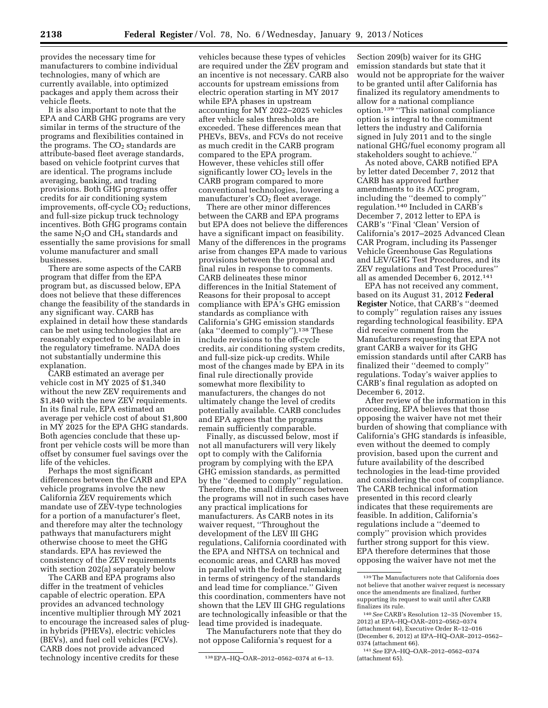provides the necessary time for manufacturers to combine individual technologies, many of which are currently available, into optimized packages and apply them across their vehicle fleets.

It is also important to note that the EPA and CARB GHG programs are very similar in terms of the structure of the programs and flexibilities contained in the programs. The  $CO<sub>2</sub>$  standards are attribute-based fleet average standards, based on vehicle footprint curves that are identical. The programs include averaging, banking, and trading provisions. Both GHG programs offer credits for air conditioning system improvements, off-cycle  $CO<sub>2</sub>$  reductions, and full-size pickup truck technology incentives. Both GHG programs contain the same  $N_2O$  and  $CH_4$  standards and essentially the same provisions for small volume manufacturer and small businesses.

There are some aspects of the CARB program that differ from the EPA program but, as discussed below, EPA does not believe that these differences change the feasibility of the standards in any significant way. CARB has explained in detail how these standards can be met using technologies that are reasonably expected to be available in the regulatory timeframe. NADA does not substantially undermine this explanation.

CARB estimated an average per vehicle cost in MY 2025 of \$1,340 without the new ZEV requirements and \$1,840 with the new ZEV requirements. In its final rule, EPA estimated an average per vehicle cost of about \$1,800 in MY 2025 for the EPA GHG standards. Both agencies conclude that these upfront per vehicle costs will be more than offset by consumer fuel savings over the life of the vehicles.

Perhaps the most significant differences between the CARB and EPA vehicle programs involve the new California ZEV requirements which mandate use of ZEV-type technologies for a portion of a manufacturer's fleet, and therefore may alter the technology pathways that manufacturers might otherwise choose to meet the GHG standards. EPA has reviewed the consistency of the ZEV requirements with section 202(a) separately below

The CARB and EPA programs also differ in the treatment of vehicles capable of electric operation. EPA provides an advanced technology incentive multiplier through MY 2021 to encourage the increased sales of plugin hybrids (PHEVs), electric vehicles (BEVs), and fuel cell vehicles (FCVs). CARB does not provide advanced technology incentive credits for these

vehicles because these types of vehicles are required under the ZEV program and an incentive is not necessary. CARB also accounts for upstream emissions from electric operation starting in MY 2017 while EPA phases in upstream accounting for MY 2022–2025 vehicles after vehicle sales thresholds are exceeded. These differences mean that PHEVs, BEVs, and FCVs do not receive as much credit in the CARB program compared to the EPA program. However, these vehicles still offer significantly lower  $CO<sub>2</sub>$  levels in the CARB program compared to more conventional technologies, lowering a manufacturer's  $CO<sub>2</sub>$  fleet average.

There are other minor differences between the CARB and EPA programs but EPA does not believe the differences have a significant impact on feasibility. Many of the differences in the programs arise from changes EPA made to various provisions between the proposal and final rules in response to comments. CARB delineates these minor differences in the Initial Statement of Reasons for their proposal to accept compliance with EPA's GHG emission standards as compliance with California's GHG emission standards (aka ''deemed to comply'').138 These include revisions to the off-cycle credits, air conditioning system credits, and full-size pick-up credits. While most of the changes made by EPA in its final rule directionally provide somewhat more flexibility to manufacturers, the changes do not ultimately change the level of credits potentially available. CARB concludes and EPA agrees that the programs remain sufficiently comparable.

Finally, as discussed below, most if not all manufacturers will very likely opt to comply with the California program by complying with the EPA GHG emission standards, as permitted by the ''deemed to comply'' regulation. Therefore, the small differences between the programs will not in such cases have any practical implications for manufacturers. As CARB notes in its waiver request, ''Throughout the development of the LEV III GHG regulations, California coordinated with the EPA and NHTSA on technical and economic areas, and CARB has moved in parallel with the federal rulemaking in terms of stringency of the standards and lead time for compliance.'' Given this coordination, commenters have not shown that the LEV III GHG regulations are technologically infeasible or that the lead time provided is inadequate.

The Manufacturers note that they do not oppose California's request for a

Section 209(b) waiver for its GHG emission standards but state that it would not be appropriate for the waiver to be granted until after California has finalized its regulatory amendments to allow for a national compliance option.139 ''This national compliance option is integral to the commitment letters the industry and California signed in July 2011 and to the single national GHG/fuel economy program all stakeholders sought to achieve.''

As noted above, CARB notified EPA by letter dated December 7, 2012 that CARB has approved further amendments to its ACC program, including the ''deemed to comply'' regulation.140 Included in CARB's December 7, 2012 letter to EPA is CARB's ''Final 'Clean' Version of California's 2017–2025 Advanced Clean CAR Program, including its Passenger Vehicle Greenhouse Gas Regulations and LEV/GHG Test Procedures, and its ZEV regulations and Test Procedures'' all as amended December 6, 2012.141

EPA has not received any comment, based on its August 31, 2012 **Federal Register** Notice, that CARB's ''deemed to comply'' regulation raises any issues regarding technological feasibility. EPA did receive comment from the Manufacturers requesting that EPA not grant CARB a waiver for its GHG emission standards until after CARB has finalized their ''deemed to comply'' regulations. Today's waiver applies to CARB's final regulation as adopted on December 6, 2012.

After review of the information in this proceeding, EPA believes that those opposing the waiver have not met their burden of showing that compliance with California's GHG standards is infeasible, even without the deemed to comply provision, based upon the current and future availability of the described technologies in the lead-time provided and considering the cost of compliance. The CARB technical information presented in this record clearly indicates that these requirements are feasible. In addition, California's regulations include a ''deemed to comply'' provision which provides further strong support for this view. EPA therefore determines that those opposing the waiver have not met the

<sup>138</sup>EPA–HQ–OAR–2012–0562–0374 at 6–13.

<sup>139</sup>The Manufacturers note that California does not believe that another waiver request is necessary once the amendments are finalized, further supporting its request to wait until after CARB finalizes its rule.

<sup>140</sup>*See* CARB's Resolution 12–35 (November 15, 2012) at EPA–HQ–OAR–2012–0562–0374 (attachment 64), Executive Order R–12–016 (December 6, 2012) at EPA–HQ–OAR–2012–0562– 0374 (attachment 66).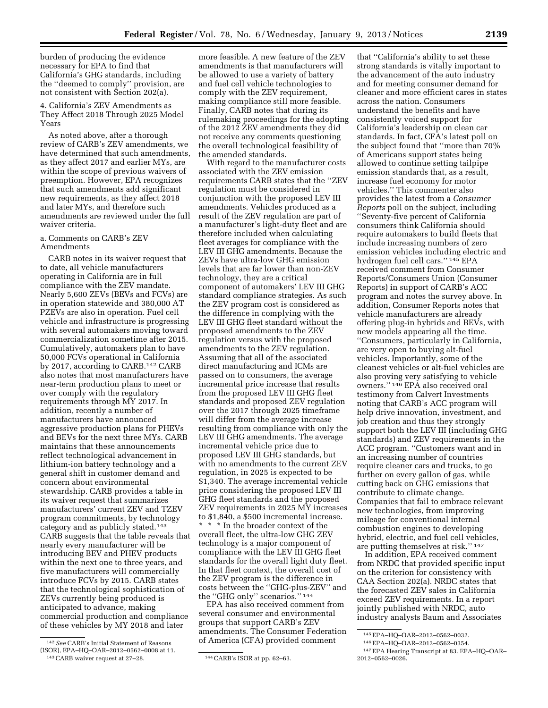burden of producing the evidence necessary for EPA to find that California's GHG standards, including the ''deemed to comply'' provision, are not consistent with Section 202(a).

4. California's ZEV Amendments as They Affect 2018 Through 2025 Model Years

As noted above, after a thorough review of CARB's ZEV amendments, we have determined that such amendments, as they affect 2017 and earlier MYs, are within the scope of previous waivers of preemption. However, EPA recognizes that such amendments add significant new requirements, as they affect 2018 and later MYs, and therefore such amendments are reviewed under the full waiver criteria.

# a. Comments on CARB's ZEV Amendments

CARB notes in its waiver request that to date, all vehicle manufacturers operating in California are in full compliance with the ZEV mandate. Nearly 5,600 ZEVs (BEVs and FCVs) are in operation statewide and 380,000 AT PZEVs are also in operation. Fuel cell vehicle and infrastructure is progressing with several automakers moving toward commercialization sometime after 2015. Cumulatively, automakers plan to have 50,000 FCVs operational in California by 2017, according to CARB.142 CARB also notes that most manufacturers have near-term production plans to meet or over comply with the regulatory requirements through MY 2017. In addition, recently a number of manufacturers have announced aggressive production plans for PHEVs and BEVs for the next three MYs. CARB maintains that these announcements reflect technological advancement in lithium-ion battery technology and a general shift in customer demand and concern about environmental stewardship. CARB provides a table in its waiver request that summarizes manufacturers' current ZEV and TZEV program commitments, by technology category and as publicly stated.143 CARB suggests that the table reveals that nearly every manufacturer will be introducing BEV and PHEV products within the next one to three years, and five manufacturers will commercially introduce FCVs by 2015. CARB states that the technological sophistication of ZEVs currently being produced is anticipated to advance, making commercial production and compliance of these vehicles by MY 2018 and later

more feasible. A new feature of the ZEV amendments is that manufacturers will be allowed to use a variety of battery and fuel cell vehicle technologies to comply with the ZEV requirement, making compliance still more feasible. Finally, CARB notes that during its rulemaking proceedings for the adopting of the 2012 ZEV amendments they did not receive any comments questioning the overall technological feasibility of the amended standards.

With regard to the manufacturer costs associated with the ZEV emission requirements CARB states that the ''ZEV regulation must be considered in conjunction with the proposed LEV III amendments. Vehicles produced as a result of the ZEV regulation are part of a manufacturer's light-duty fleet and are therefore included when calculating fleet averages for compliance with the LEV III GHG amendments. Because the ZEVs have ultra-low GHG emission levels that are far lower than non-ZEV technology, they are a critical component of automakers' LEV III GHG standard compliance strategies. As such the ZEV program cost is considered as the difference in complying with the LEV III GHG fleet standard without the proposed amendments to the ZEV regulation versus with the proposed amendments to the ZEV regulation. Assuming that all of the associated direct manufacturing and ICMs are passed on to consumers, the average incremental price increase that results from the proposed LEV III GHG fleet standards and proposed ZEV regulation over the 2017 through 2025 timeframe will differ from the average increase resulting from compliance with only the LEV III GHG amendments. The average incremental vehicle price due to proposed LEV III GHG standards, but with no amendments to the current ZEV regulation, in 2025 is expected to be \$1,340. The average incremental vehicle price considering the proposed LEV III GHG fleet standards and the proposed ZEV requirements in 2025 MY increases to \$1,840, a \$500 incremental increase. \* \* \* In the broader context of the overall fleet, the ultra-low GHG ZEV technology is a major component of compliance with the LEV III GHG fleet standards for the overall light duty fleet. In that fleet context, the overall cost of the ZEV program is the difference in costs between the ''GHG-plus-ZEV'' and the ''GHG only'' scenarios.'' 144

EPA has also received comment from several consumer and environmental groups that support CARB's ZEV amendments. The Consumer Federation of America (CFA) provided comment

that ''California's ability to set these strong standards is vitally important to the advancement of the auto industry and for meeting consumer demand for cleaner and more efficient cares in states across the nation. Consumers understand the benefits and have consistently voiced support for California's leadership on clean car standards. In fact, CFA's latest poll on the subject found that ''more than 70% of Americans support states being allowed to continue setting tailpipe emission standards that, as a result, increase fuel economy for motor vehicles.'' This commenter also provides the latest from a *Consumer Reports* poll on the subject, including ''Seventy-five percent of California consumers think California should require automakers to build fleets that include increasing numbers of zero emission vehicles including electric and hydrogen fuel cell cars.'' 145 EPA received comment from Consumer Reports/Consumers Union (Consumer Reports) in support of CARB's ACC program and notes the survey above. In addition, Consumer Reports notes that vehicle manufacturers are already offering plug-in hybrids and BEVs, with new models appearing all the time. ''Consumers, particularly in California, are very open to buying alt-fuel vehicles. Importantly, some of the cleanest vehicles or alt-fuel vehicles are also proving very satisfying to vehicle owners.'' 146 EPA also received oral testimony from Calvert Investments noting that CARB's ACC program will help drive innovation, investment, and job creation and thus they strongly support both the LEV III (including GHG standards) and ZEV requirements in the ACC program. ''Customers want and in an increasing number of countries require cleaner cars and trucks, to go further on every gallon of gas, while cutting back on GHG emissions that contribute to climate change. Companies that fail to embrace relevant new technologies, from improving mileage for conventional internal combustion engines to developing hybrid, electric, and fuel cell vehicles, are putting themselves at risk.'' 147

In addition, EPA received comment from NRDC that provided specific input on the criterion for consistency with CAA Section 202(a). NRDC states that the forecasted ZEV sales in California exceed ZEV requirements. In a report jointly published with NRDC, auto industry analysts Baum and Associates

<sup>142</sup>*See* CARB's Initial Statement of Reasons (ISOR), EPA–HQ–OAR–2012–0562–0008 at 11. 143CARB waiver request at 27–28. 144CARB's ISOR at pp. 62–63.

<sup>145</sup>EPA–HQ–OAR–2012–0562–0032.

<sup>146</sup>EPA–HQ–OAR–2012–0562–0354.

<sup>147</sup>EPA Hearing Transcript at 83. EPA–HQ–OAR– 2012–0562–0026.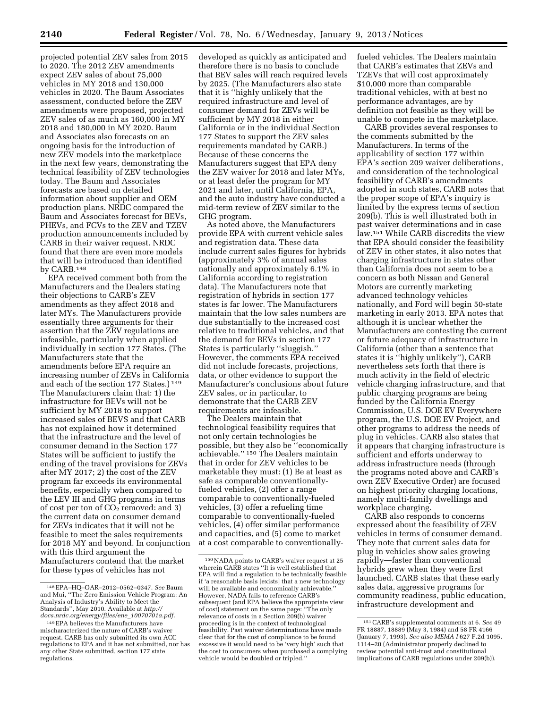projected potential ZEV sales from 2015 to 2020. The 2012 ZEV amendments expect ZEV sales of about 75,000 vehicles in MY 2018 and 130,000 vehicles in 2020. The Baum Associates assessment, conducted before the ZEV amendments were proposed, projected ZEV sales of as much as 160,000 in MY 2018 and 180,000 in MY 2020. Baum and Associates also forecasts on an ongoing basis for the introduction of new ZEV models into the marketplace in the next few years, demonstrating the technical feasibility of ZEV technologies today. The Baum and Associates forecasts are based on detailed information about supplier and OEM production plans. NRDC compared the Baum and Associates forecast for BEVs, PHEVs, and FCVs to the ZEV and TZEV production announcements included by CARB in their waiver request. NRDC found that there are even more models that will be introduced than identified by CARB.148

EPA received comment both from the Manufacturers and the Dealers stating their objections to CARB's ZEV amendments as they affect 2018 and later MYs. The Manufacturers provide essentially three arguments for their assertion that the ZEV regulations are infeasible, particularly when applied individually in section 177 States. (The Manufacturers state that the amendments before EPA require an increasing number of ZEVs in California and each of the section 177 States.) 149 The Manufacturers claim that: 1) the infrastructure for BEVs will not be sufficient by MY 2018 to support increased sales of BEVS and that CARB has not explained how it determined that the infrastructure and the level of consumer demand in the Section 177 States will be sufficient to justify the ending of the travel provisions for ZEVs after MY 2017; 2) the cost of the ZEV program far exceeds its environmental benefits, especially when compared to the LEV III and GHG programs in terms of cost per ton of  $CO<sub>2</sub>$  removed: and 3) the current data on consumer demand for ZEVs indicates that it will not be feasible to meet the sales requirements for 2018 MY and beyond. In conjunction with this third argument the Manufacturers contend that the market for these types of vehicles has not

developed as quickly as anticipated and therefore there is no basis to conclude that BEV sales will reach required levels by 2025. (The Manufacturers also state that it is ''highly unlikely that the required infrastructure and level of consumer demand for ZEVs will be sufficient by MY 2018 in either California or in the individual Section 177 States to support the ZEV sales requirements mandated by CARB.) Because of these concerns the Manufacturers suggest that EPA deny the ZEV waiver for 2018 and later MYs, or at least defer the program for MY 2021 and later, until California, EPA, and the auto industry have conducted a mid-term review of ZEV similar to the GHG program.

As noted above, the Manufacturers provide EPA with current vehicle sales and registration data. These data include current sales figures for hybrids (approximately 3% of annual sales nationally and approximately 6.1% in California according to registration data). The Manufacturers note that registration of hybrids in section 177 states is far lower. The Manufacturers maintain that the low sales numbers are due substantially to the increased cost relative to traditional vehicles, and that the demand for BEVs in section 177 States is particularly ''sluggish.'' However, the comments EPA received did not include forecasts, projections, data, or other evidence to support the Manufacturer's conclusions about future ZEV sales, or in particular, to demonstrate that the CARB ZEV requirements are infeasible.

The Dealers maintain that technological feasibility requires that not only certain technologies be possible, but they also be ''economically achievable.'' 150 The Dealers maintain that in order for ZEV vehicles to be marketable they must: (1) Be at least as safe as comparable conventionallyfueled vehicles, (2) offer a range comparable to conventionally-fueled vehicles, (3) offer a refueling time comparable to conventionally-fueled vehicles, (4) offer similar performance and capacities, and (5) come to market at a cost comparable to conventionallyfueled vehicles. The Dealers maintain that CARB's estimates that ZEVs and TZEVs that will cost approximately \$10,000 more than comparable traditional vehicles, with at best no performance advantages, are by definition not feasible as they will be unable to compete in the marketplace.

CARB provides several responses to the comments submitted by the Manufacturers. In terms of the applicability of section 177 within EPA's section 209 waiver deliberations, and consideration of the technological feasibility of CARB's amendments adopted in such states, CARB notes that the proper scope of EPA's inquiry is limited by the express terms of section 209(b). This is well illustrated both in past waiver determinations and in case law.151 While CARB discredits the view that EPA should consider the feasibility of ZEV in other states, it also notes that charging infrastructure in states other than California does not seem to be a concern as both Nissan and General Motors are currently marketing advanced technology vehicles nationally, and Ford will begin 50-state marketing in early 2013. EPA notes that although it is unclear whether the Manufacturers are contesting the current or future adequacy of infrastructure in California (other than a sentence that states it is ''highly unlikely''), CARB nevertheless sets forth that there is much activity in the field of electric vehicle charging infrastructure, and that public charging programs are being funded by the California Energy Commission, U.S. DOE EV Everywhere program, the U.S. DOE EV Project, and other programs to address the needs of plug in vehicles. CARB also states that it appears that charging infrastructure is sufficient and efforts underway to address infrastructure needs (through the programs noted above and CARB's own ZEV Executive Order) are focused on highest priority charging locations, namely multi-family dwellings and workplace charging.

CARB also responds to concerns expressed about the feasibility of ZEV vehicles in terms of consumer demand. They note that current sales data for plug in vehicles show sales growing rapidly—faster than conventional hybrids grew when they were first launched. CARB states that these early sales data, aggressive programs for community readiness, public education, infrastructure development and

<sup>148</sup>EPA–HQ–OAR–2012–0562–0347. *See* Baum and Mui, ''The Zero Emission Vehicle Program: An Analysis of Industry's Ability to Meet the Standards'', May 2010. Available at *[http://](http://docs.nrdc.org/energy/files/ene_10070701a.pdf) [docs.nrdc.org/energy/files/ene](http://docs.nrdc.org/energy/files/ene_10070701a.pdf)*\_*10070701a.pdf.* 

<sup>149</sup>EPA believes the Manufacturers have mischaracterized the nature of CARB's waiver request. CARB has only submitted its own ACC regulations to EPA and it has not submitted, nor has any other State submitted, section 177 state regulations.

<sup>150</sup>NADA points to CARB's waiver request at 25 wherein CARB states ''It is well established that EPA will find a regulation to be technically feasible if 'a reasonable basis [exists] that a new technology will be available and economically achievable.'' However, NADA fails to reference CARB's subsequent (and EPA believe the appropriate view of cost) statement on the same page: ''The only relevance of costs in a Section 209(b) waiver proceeding is in the context of technological feasibility. Past waiver determinations have made clear that for the cost of compliance to be found excessive it would need to be 'very high' such that the cost to consumers when purchased a complying vehicle would be doubled or tripled.''

<sup>151</sup>CARB's supplemental comments at 6. *See* 49 FR 18887, 18889 (May 3, 1984) and 58 FR 4166 (January 7, 1993). *See also MEMA I* 627 F.2d 1095, 1114–20 (Administrator properly declined to review potential anti-trust and constitutional implications of CARB regulations under 209(b)).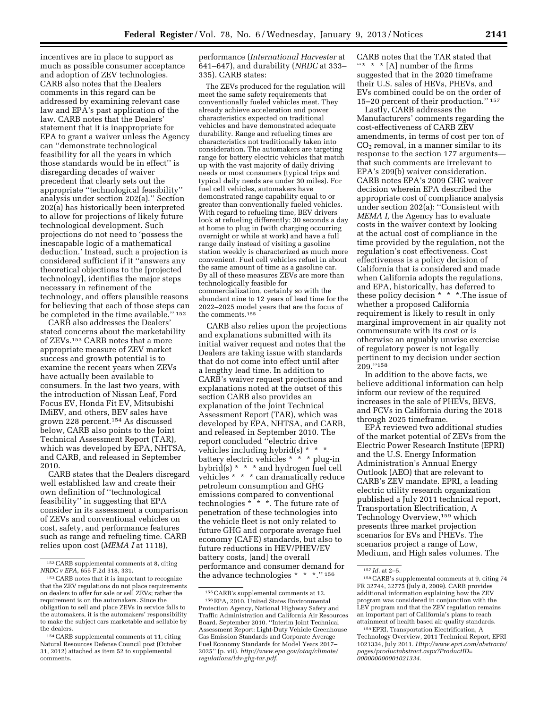incentives are in place to support as much as possible consumer acceptance and adoption of ZEV technologies. CARB also notes that the Dealers comments in this regard can be addressed by examining relevant case law and EPA's past application of the law. CARB notes that the Dealers' statement that it is inappropriate for EPA to grant a waiver unless the Agency can ''demonstrate technological feasibility for all the years in which those standards would be in effect'' is disregarding decades of waiver precedent that clearly sets out the appropriate ''technological feasibility'' analysis under section 202(a).'' Section 202(a) has historically been interpreted to allow for projections of likely future technological development. Such projections do not need to 'possess the inescapable logic of a mathematical deduction.' Instead, such a projection is considered sufficient if it ''answers any theoretical objections to the [projected technology], identifies the major steps necessary in refinement of the technology, and offers plausible reasons for believing that each of those steps can be completed in the time available.'' 152

CARB also addresses the Dealers' stated concerns about the marketability of ZEVs.153 CARB notes that a more appropriate measure of ZEV market success and growth potential is to examine the recent years when ZEVs have actually been available to consumers. In the last two years, with the introduction of Nissan Leaf, Ford Focus EV, Honda Fit EV, Mitsubishi IMiEV, and others, BEV sales have grown 228 percent.154 As discussed below, CARB also points to the Joint Technical Assessment Report (TAR), which was developed by EPA, NHTSA, and CARB, and released in September 2010.

CARB states that the Dealers disregard well established law and create their own definition of ''technological feasibility'' in suggesting that EPA consider in its assessment a comparison of ZEVs and conventional vehicles on cost, safety, and performance features such as range and refueling time. CARB relies upon cost (*MEMA I* at 1118),

performance (*International Harvester* at 641–647), and durability (*NRDC* at 333– 335). CARB states:

The ZEVs produced for the regulation will meet the same safety requirements that conventionally fueled vehicles meet. They already achieve acceleration and power characteristics expected on traditional vehicles and have demonstrated adequate durability. Range and refueling times are characteristics not traditionally taken into consideration. The automakers are targeting range for battery electric vehicles that match up with the vast majority of daily driving needs or most consumers (typical trips and typical daily needs are under 30 miles). For fuel cell vehicles, automakers have demonstrated range capability equal to or greater than conventionally fueled vehicles. With regard to refueling time, BEV drivers look at refueling differently; 30 seconds a day at home to plug in (with charging occurring overnight or while at work) and have a full range daily instead of visiting a gasoline station weekly is characterized as much more convenient. Fuel cell vehicles refuel in about the same amount of time as a gasoline car. By all of these measures ZEVs are more than technologically feasible for commercialization, certainly so with the abundant nine to 12 years of lead time for the 2022–2025 model years that are the focus of the comments.155

CARB also relies upon the projections and explanations submitted with its initial waiver request and notes that the Dealers are taking issue with standards that do not come into effect until after a lengthy lead time. In addition to CARB's waiver request projections and explanations noted at the outset of this section CARB also provides an explanation of the Joint Technical Assessment Report (TAR), which was developed by EPA, NHTSA, and CARB, and released in September 2010. The report concluded ''electric drive vehicles including hybrid(s) \* \* \* battery electric vehicles \* \* \* plug-in hybrid(s) \* \* \* and hydrogen fuel cell vehicles \* \* \* can dramatically reduce petroleum consumption and GHG emissions compared to conventional technologies  $*^* *$ . The future rate of penetration of these technologies into the vehicle fleet is not only related to future GHG and corporate average fuel economy (CAFE) standards, but also to future reductions in HEV/PHEV/EV battery costs, [and] the overall performance and consumer demand for the advance technologies \* \* \*.'' 156

CARB notes that the TAR stated that  $\cdots$  \* \* [A] number of the firms suggested that in the 2020 timeframe their U.S. sales of HEVs, PHEVs, and EVs combined could be on the order of 15–20 percent of their production.'' 157

Lastly, CARB addresses the Manufacturers' comments regarding the cost-effectiveness of CARB ZEV amendments, in terms of cost per ton of  $CO<sub>2</sub>$  removal, in a manner similar to its response to the section 177 arguments that such comments are irrelevant to EPA's 209(b) waiver consideration. CARB notes EPA's 2009 GHG waiver decision wherein EPA described the appropriate cost of compliance analysis under section 202(a): ''Consistent with *MEMA I,* the Agency has to evaluate costs in the waiver context by looking at the actual cost of compliance in the time provided by the regulation, not the regulation's cost effectiveness. Cost effectiveness is a policy decision of California that is considered and made when California adopts the regulations, and EPA, historically, has deferred to these policy decision \* \* \*.The issue of whether a proposed California requirement is likely to result in only marginal improvement in air quality not commensurate with its cost or is otherwise an arguably unwise exercise of regulatory power is not legally pertinent to my decision under section 209.''158

In addition to the above facts, we believe additional information can help inform our review of the required increases in the sale of PHEVs, BEVS, and FCVs in California during the 2018 through 2025 timeframe.

EPA reviewed two additional studies of the market potential of ZEVs from the Electric Power Research Institute (EPRI) and the U.S. Energy Information Administration's Annual Energy Outlook (AEO) that are relevant to CARB's ZEV mandate. EPRI, a leading electric utility research organization published a July 2011 technical report, Transportation Electrification, A Technology Overview,159 which presents three market projection scenarios for EVs and PHEVs. The scenarios project a range of Low, Medium, and High sales volumes. The

<sup>152</sup>CARB supplemental comments at 8, citing *NRDC v EPA,* 655 F.2d 318, 331.

<sup>153</sup>CARB notes that it is important to recognize that the ZEV regulations do not place requirements on dealers to offer for sale or sell ZEVs; rather the requirement is on the automakers. Since the obligation to sell and place ZEVs in service falls to the automakers, it is the automakers' responsibility to make the subject cars marketable and sellable by the dealers.

<sup>154</sup>CARB supplemental comments at 11, citing Natural Resources Defense Council post (October 31, 2012) attached as item 52 to supplemental comments.

<sup>155</sup>CARB's supplemental comments at 12.

<sup>156</sup>EPA, 2010. United States Environmental Protection Agency, National Highway Safety and Traffic Administration and California Air Resources Board. September 2010. ''Interim Joint Technical Assessment Report: Light-Duty Vehicle Greenhouse Gas Emission Standards and Corporate Average Fuel Economy Standards for Model Years 2017– 2025'' (p. vii). *[http://www.epa.gov/otaq/climate/](http://www.epa.gov/otaq/climate/regulations/ldv-ghg-tar.pdf)  [regulations/ldv-ghg-tar.pdf.](http://www.epa.gov/otaq/climate/regulations/ldv-ghg-tar.pdf)* 

<sup>157</sup> *Id.* at 2–5.

<sup>158</sup>CARB's supplemental comments at 9, citing 74 FR 32744, 32775 (July 8, 2009). CARB provides additional information explaining how the ZEV program was considered in conjunction with the LEV program and that the ZEV regulation remains an important part of California's plans to reach attainment of health based air quality standards.

<sup>159</sup>EPRI, Transportation Electrification, A Technology Overview, 2011 Technical Report, EPRI 1021334, July 2011. *[Http://www.epri.com/abstracts/](http://Http://www.epri.com/abstracts/pages/productabstract.aspx?ProductID=000000000001021334)  [pages/productabstract.aspx?ProductID=](http://Http://www.epri.com/abstracts/pages/productabstract.aspx?ProductID=000000000001021334) [000000000001021334.](http://Http://www.epri.com/abstracts/pages/productabstract.aspx?ProductID=000000000001021334)*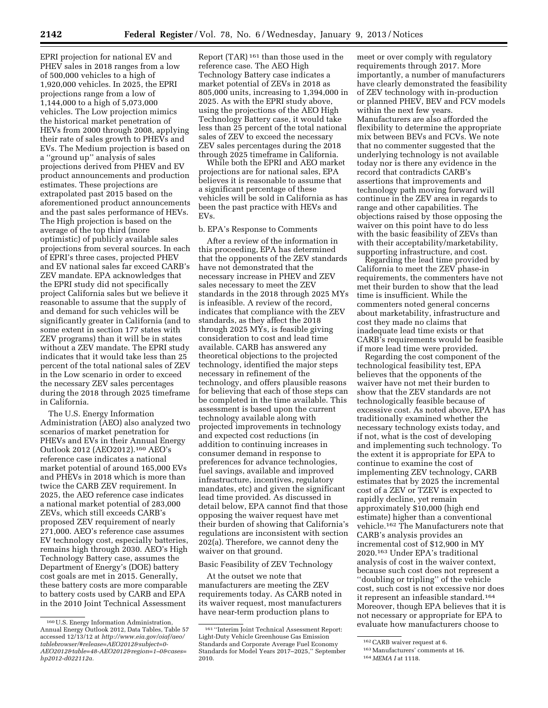EPRI projection for national EV and PHEV sales in 2018 ranges from a low of 500,000 vehicles to a high of 1,920,000 vehicles. In 2025, the EPRI projections range from a low of 1,144,000 to a high of 5,073,000 vehicles. The Low projection mimics the historical market penetration of HEVs from 2000 through 2008, applying their rate of sales growth to PHEVs and EVs. The Medium projection is based on a ''ground up'' analysis of sales projections derived from PHEV and EV product announcements and production estimates. These projections are extrapolated past 2015 based on the aforementioned product announcements and the past sales performance of HEVs. The High projection is based on the average of the top third (more optimistic) of publicly available sales projections from several sources. In each of EPRI's three cases, projected PHEV and EV national sales far exceed CARB's ZEV mandate. EPA acknowledges that the EPRI study did not specifically project California sales but we believe it reasonable to assume that the supply of and demand for such vehicles will be significantly greater in California (and to some extent in section 177 states with ZEV programs) than it will be in states without a ZEV mandate. The EPRI study indicates that it would take less than 25 percent of the total national sales of ZEV in the Low scenario in order to exceed the necessary ZEV sales percentages during the 2018 through 2025 timeframe in California.

The U.S. Energy Information Administration (AEO) also analyzed two scenarios of market penetration for PHEVs and EVs in their Annual Energy Outlook 2012 (AEO2012).160 AEO's reference case indicates a national market potential of around 165,000 EVs and PHEVs in 2018 which is more than twice the CARB ZEV requirement. In 2025, the AEO reference case indicates a national market potential of 283,000 ZEVs, which still exceeds CARB's proposed ZEV requirement of nearly 271,000. AEO's reference case assumes EV technology cost, especially batteries, remains high through 2030. AEO's High Technology Battery case, assumes the Department of Energy's (DOE) battery cost goals are met in 2015. Generally, these battery costs are more comparable to battery costs used by CARB and EPA in the 2010 Joint Technical Assessment

Report (TAR) 161 than those used in the reference case. The AEO High Technology Battery case indicates a market potential of ZEVs in 2018 as 805,000 units, increasing to 1,394,000 in 2025. As with the EPRI study above, using the projections of the AEO High Technology Battery case, it would take less than 25 percent of the total national sales of ZEV to exceed the necessary ZEV sales percentages during the 2018 through 2025 timeframe in California.

While both the EPRI and AEO market projections are for national sales, EPA believes it is reasonable to assume that a significant percentage of these vehicles will be sold in California as has been the past practice with HEVs and EVs.

# b. EPA's Response to Comments

After a review of the information in this proceeding, EPA has determined that the opponents of the ZEV standards have not demonstrated that the necessary increase in PHEV and ZEV sales necessary to meet the ZEV standards in the 2018 through 2025 MYs is infeasible. A review of the record, indicates that compliance with the ZEV standards, as they affect the 2018 through 2025 MYs, is feasible giving consideration to cost and lead time available. CARB has answered any theoretical objections to the projected technology, identified the major steps necessary in refinement of the technology, and offers plausible reasons for believing that each of those steps can be completed in the time available. This assessment is based upon the current technology available along with projected improvements in technology and expected cost reductions (in addition to continuing increases in consumer demand in response to preferences for advance technologies, fuel savings, available and improved infrastructure, incentives, regulatory mandates, etc) and given the significant lead time provided. As discussed in detail below, EPA cannot find that those opposing the waiver request have met their burden of showing that California's regulations are inconsistent with section 202(a). Therefore, we cannot deny the waiver on that ground.

# Basic Feasibility of ZEV Technology

At the outset we note that manufacturers are meeting the ZEV requirements today. As CARB noted in its waiver request, most manufacturers have near-term production plans to

meet or over comply with regulatory requirements through 2017. More importantly, a number of manufacturers have clearly demonstrated the feasibility of ZEV technology with in-production or planned PHEV, BEV and FCV models within the next few years. Manufacturers are also afforded the flexibility to determine the appropriate mix between BEVs and FCVs. We note that no commenter suggested that the underlying technology is not available today nor is there any evidence in the record that contradicts CARB's assertions that improvements and technology path moving forward will continue in the ZEV area in regards to range and other capabilities. The objections raised by those opposing the waiver on this point have to do less with the basic feasibility of ZEVs than with their acceptability/marketability, supporting infrastructure, and cost.

Regarding the lead time provided by California to meet the ZEV phase-in requirements, the commenters have not met their burden to show that the lead time is insufficient. While the commenters noted general concerns about marketability, infrastructure and cost they made no claims that inadequate lead time exists or that CARB's requirements would be feasible if more lead time were provided.

Regarding the cost component of the technological feasibility test, EPA believes that the opponents of the waiver have not met their burden to show that the ZEV standards are not technologically feasible because of excessive cost. As noted above, EPA has traditionally examined whether the necessary technology exists today, and if not, what is the cost of developing and implementing such technology. To the extent it is appropriate for EPA to continue to examine the cost of implementing ZEV technology, CARB estimates that by 2025 the incremental cost of a ZEV or TZEV is expected to rapidly decline, yet remain approximately \$10,000 (high end estimate) higher than a conventional vehicle.162 The Manufacturers note that CARB's analysis provides an incremental cost of \$12,900 in MY 2020.163 Under EPA's traditional analysis of cost in the waiver context, because such cost does not represent a ''doubling or tripling'' of the vehicle cost, such cost is not excessive nor does it represent an infeasible standard.164 Moreover, though EPA believes that it is not necessary or appropriate for EPA to evaluate how manufacturers choose to

<sup>160</sup>U.S. Energy Information Administration, Annual Energy Outlook 2012, Data Tables, Table 57 accessed 12/13/12 at *[http://www.eia.gov/oiaf/aeo/](http://www.eia.gov/oiaf/aeo/tablebrowser/#release=AEO2012&subject=0-AEO2012&table=48-AEO2012®ion=1-0&cases=hp2012-d022112a) [tablebrowser/#release=AEO2012&subject=0-](http://www.eia.gov/oiaf/aeo/tablebrowser/#release=AEO2012&subject=0-AEO2012&table=48-AEO2012®ion=1-0&cases=hp2012-d022112a) [AEO2012&table=48-AEO2012&region=1–0&cases=](http://www.eia.gov/oiaf/aeo/tablebrowser/#release=AEO2012&subject=0-AEO2012&table=48-AEO2012®ion=1-0&cases=hp2012-d022112a) [hp2012-d022112a.](http://www.eia.gov/oiaf/aeo/tablebrowser/#release=AEO2012&subject=0-AEO2012&table=48-AEO2012®ion=1-0&cases=hp2012-d022112a)* 

<sup>161</sup> ''Interim Joint Technical Assessment Report: Light-Duty Vehicle Greenhouse Gas Emission Standards and Corporate Average Fuel Economy Standards for Model Years 2017–2025,'' September 2010.

<sup>162</sup>CARB waiver request at 6.

<sup>163</sup>Manufacturers' comments at 16.

<sup>164</sup> *MEMA I* at 1118.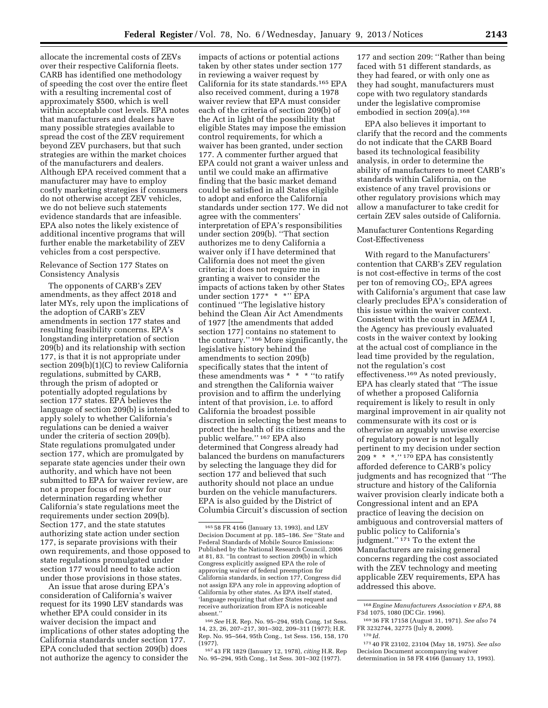allocate the incremental costs of ZEVs over their respective California fleets. CARB has identified one methodology of speeding the cost over the entire fleet with a resulting incremental cost of approximately \$500, which is well within acceptable cost levels. EPA notes that manufacturers and dealers have many possible strategies available to spread the cost of the ZEV requirement beyond ZEV purchasers, but that such strategies are within the market choices of the manufacturers and dealers. Although EPA received comment that a manufacturer may have to employ costly marketing strategies if consumers do not otherwise accept ZEV vehicles, we do not believe such statements evidence standards that are infeasible. EPA also notes the likely existence of additional incentive programs that will further enable the marketability of ZEV vehicles from a cost perspective.

# Relevance of Section 177 States on Consistency Analysis

The opponents of CARB's ZEV amendments, as they affect 2018 and later MYs, rely upon the implications of the adoption of CARB's ZEV amendments in section 177 states and resulting feasibility concerns. EPA's longstanding interpretation of section 209(b) and its relationship with section 177, is that it is not appropriate under section 209(b)(1)(C) to review California regulations, submitted by CARB, through the prism of adopted or potentially adopted regulations by section 177 states. EPA believes the language of section 209(b) is intended to apply solely to whether California's regulations can be denied a waiver under the criteria of section 209(b). State regulations promulgated under section 177, which are promulgated by separate state agencies under their own authority, and which have not been submitted to EPA for waiver review, are not a proper focus of review for our determination regarding whether California's state regulations meet the requirements under section 209(b). Section 177, and the state statutes authorizing state action under section 177, is separate provisions with their own requirements, and those opposed to state regulations promulgated under section 177 would need to take action under those provisions in those states.

An issue that arose during EPA's consideration of California's waiver request for its 1990 LEV standards was whether EPA could consider in its waiver decision the impact and implications of other states adopting the California standards under section 177. EPA concluded that section 209(b) does not authorize the agency to consider the

impacts of actions or potential actions taken by other states under section 177 in reviewing a waiver request by California for its state standards.165 EPA also received comment, during a 1978 waiver review that EPA must consider each of the criteria of section 209(b) of the Act in light of the possibility that eligible States may impose the emission control requirements, for which a waiver has been granted, under section 177. A commenter further argued that EPA could not grant a waiver unless and until we could make an affirmative finding that the basic market demand could be satisfied in all States eligible to adopt and enforce the California standards under section 177. We did not agree with the commenters' interpretation of EPA's responsibilities under section 209(b). ''That section authorizes me to deny California a waiver only if I have determined that California does not meet the given criteria; it does not require me in granting a waiver to consider the impacts of actions taken by other States under section 177\* \* \*'' EPA continued ''The legislative history behind the Clean Air Act Amendments of 1977 [the amendments that added section 177] contains no statement to the contrary.'' 166 More significantly, the legislative history behind the amendments to section 209(b) specifically states that the intent of these amendments was \* \* \* ''to ratify and strengthen the California waiver provision and to affirm the underlying intent of that provision, i.e. to afford California the broadest possible discretion in selecting the best means to protect the health of its citizens and the public welfare.'' 167 EPA also determined that Congress already had balanced the burdens on manufacturers by selecting the language they did for section 177 and believed that such authority should not place an undue burden on the vehicle manufacturers. EPA is also guided by the District of Columbia Circuit's discussion of section

166*See* H.R. Rep. No. 95–294, 95th Cong. 1st Sess. 14, 23, 26, 207–217, 301–302, 209–311 (1977); H.R. Rep. No. 95–564, 95th Cong., 1st Sess. 156, 158, 170 (1977).

167 43 FR 1829 (January 12, 1978), *citing* H.R. Rep No. 95–294, 95th Cong., 1st Sess. 301–302 (1977).

177 and section 209: ''Rather than being faced with 51 different standards, as they had feared, or with only one as they had sought, manufacturers must cope with two regulatory standards under the legislative compromise embodied in section 209(a).168

EPA also believes it important to clarify that the record and the comments do not indicate that the CARB Board based its technological feasibility analysis, in order to determine the ability of manufacturers to meet CARB's standards within California, on the existence of any travel provisions or other regulatory provisions which may allow a manufacturer to take credit for certain ZEV sales outside of California.

### Manufacturer Contentions Regarding Cost-Effectiveness

With regard to the Manufacturers' contention that CARB's ZEV regulation is not cost-effective in terms of the cost per ton of removing  $CO<sub>2</sub>$ , EPA agrees with California's argument that case law clearly precludes EPA's consideration of this issue within the waiver context. Consistent with the court in *MEMA* I, the Agency has previously evaluated costs in the waiver context by looking at the actual cost of compliance in the lead time provided by the regulation, not the regulation's cost effectiveness.169 As noted previously, EPA has clearly stated that ''The issue of whether a proposed California requirement is likely to result in only marginal improvement in air quality not commensurate with its cost or is otherwise an arguably unwise exercise of regulatory power is not legally pertinent to my decision under section  $209 * * *$ ." 170 EPA has consistently afforded deference to CARB's policy judgments and has recognized that ''The structure and history of the California waiver provision clearly indicate both a Congressional intent and an EPA practice of leaving the decision on ambiguous and controversial matters of public policy to California's judgment.'' 171 To the extent the Manufacturers are raising general concerns regarding the cost associated with the ZEV technology and meeting applicable ZEV requirements, EPA has addressed this above.

<sup>165</sup> 58 FR 4166 (January 13, 1993), and LEV Decision Document at pp. 185–186. *See* ''State and Federal Standards of Mobile Source Emissions: Published by the National Research Council, 2006 at 81, 83. ''In contrast to section 209(b) in which Congress explicitly assigned EPA the role of approving waiver of federal preemption for California standards, in section 177, Congress did not assign EPA any role in approving adoption of California by other states. As EPA itself stated, 'language requiring that other States request and receive authorization from EPA is noticeable absent.''

<sup>168</sup>*Engine Manufacturers Association v EPA,* 88 F3d 1075, 1080 (DC Cir. 1996).

<sup>169</sup> 36 FR 17158 (August 31, 1971). *See also* 74 FR 3232744, 32775 (July 8, 2009). 170 *Id.* 

<sup>171</sup> 40 FR 23102, 23104 (May 18, 1975). *See also*  Decision Document accompanying waiver determination in 58 FR 4166 (January 13, 1993).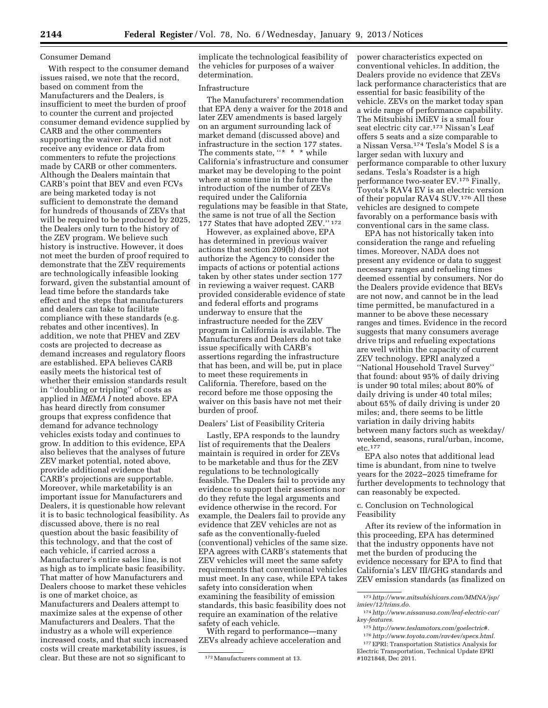#### Consumer Demand

With respect to the consumer demand issues raised, we note that the record, based on comment from the Manufacturers and the Dealers, is insufficient to meet the burden of proof to counter the current and projected consumer demand evidence supplied by CARB and the other commenters supporting the waiver. EPA did not receive any evidence or data from commenters to refute the projections made by CARB or other commenters. Although the Dealers maintain that CARB's point that BEV and even FCVs are being marketed today is not sufficient to demonstrate the demand for hundreds of thousands of ZEVs that will be required to be produced by 2025, the Dealers only turn to the history of the ZEV program. We believe such history is instructive. However, it does not meet the burden of proof required to demonstrate that the ZEV requirements are technologically infeasible looking forward, given the substantial amount of lead time before the standards take effect and the steps that manufacturers and dealers can take to facilitate compliance with these standards (e.g. rebates and other incentives). In addition, we note that PHEV and ZEV costs are projected to decrease as demand increases and regulatory floors are established. EPA believes CARB easily meets the historical test of whether their emission standards result in ''doubling or tripling'' of costs as applied in *MEMA I* noted above. EPA has heard directly from consumer groups that express confidence that demand for advance technology vehicles exists today and continues to grow. In addition to this evidence, EPA also believes that the analyses of future ZEV market potential, noted above, provide additional evidence that CARB's projections are supportable. Moreover, while marketability is an important issue for Manufacturers and Dealers, it is questionable how relevant it is to basic technological feasibility. As discussed above, there is no real question about the basic feasibility of this technology, and that the cost of each vehicle, if carried across a Manufacturer's entire sales line, is not as high as to implicate basic feasibility. That matter of how Manufacturers and Dealers choose to market these vehicles is one of market choice, as Manufacturers and Dealers attempt to maximize sales at the expense of other Manufacturers and Dealers. That the industry as a whole will experience increased costs, and that such increased costs will create marketability issues, is clear. But these are not so significant to

implicate the technological feasibility of the vehicles for purposes of a waiver determination.

# Infrastructure

The Manufacturers' recommendation that EPA deny a waiver for the 2018 and later ZEV amendments is based largely on an argument surrounding lack of market demand (discussed above) and infrastructure in the section 177 states. The comments state, "\* \* \* while California's infrastructure and consumer market may be developing to the point where at some time in the future the introduction of the number of ZEVs required under the California regulations may be feasible in that State, the same is not true of all the Section 177 States that have adopted ZEV.'' 172

However, as explained above, EPA has determined in previous waiver actions that section 209(b) does not authorize the Agency to consider the impacts of actions or potential actions taken by other states under section 177 in reviewing a waiver request. CARB provided considerable evidence of state and federal efforts and programs underway to ensure that the infrastructure needed for the ZEV program in California is available. The Manufacturers and Dealers do not take issue specifically with CARB's assertions regarding the infrastructure that has been, and will be, put in place to meet these requirements in California. Therefore, based on the record before me those opposing the waiver on this basis have not met their burden of proof.

#### Dealers' List of Feasibility Criteria

Lastly, EPA responds to the laundry list of requirements that the Dealers maintain is required in order for ZEVs to be marketable and thus for the ZEV regulations to be technologically feasible. The Dealers fail to provide any evidence to support their assertions nor do they refute the legal arguments and evidence otherwise in the record. For example, the Dealers fail to provide any evidence that ZEV vehicles are not as safe as the conventionally-fueled (conventional) vehicles of the same size. EPA agrees with CARB's statements that ZEV vehicles will meet the same safety requirements that conventional vehicles must meet. In any case, while EPA takes safety into consideration when examining the feasibility of emission standards, this basic feasibility does not require an examination of the relative safety of each vehicle.

With regard to performance—many ZEVs already achieve acceleration and power characteristics expected on conventional vehicles. In addition, the Dealers provide no evidence that ZEVs lack performance characteristics that are essential for basic feasibility of the vehicle. ZEVs on the market today span a wide range of performance capability. The Mitsubishi iMiEV is a small four seat electric city car.173 Nissan's Leaf offers 5 seats and a size comparable to a Nissan Versa.174 Tesla's Model S is a larger sedan with luxury and performance comparable to other luxury sedans. Tesla's Roadster is a high performance two-seater EV.175 Finally, Toyota's RAV4 EV is an electric version of their popular RAV4 SUV.176 All these vehicles are designed to compete favorably on a performance basis with conventional cars in the same class.

EPA has not historically taken into consideration the range and refueling times. Moreover, NADA does not present any evidence or data to suggest necessary ranges and refueling times deemed essential by consumers. Nor do the Dealers provide evidence that BEVs are not now, and cannot be in the lead time permitted, be manufactured in a manner to be above these necessary ranges and times. Evidence in the record suggests that many consumers average drive trips and refueling expectations are well within the capacity of current ZEV technology. EPRI analyzed a ''National Household Travel Survey'' that found: about 95% of daily driving is under 90 total miles; about 80% of daily driving is under 40 total miles; about 65% of daily driving is under 20 miles; and, there seems to be little variation in daily driving habits between many factors such as weekday/ weekend, seasons, rural/urban, income, etc.177

EPA also notes that additional lead time is abundant, from nine to twelve years for the 2022–2025 timeframe for further developments to technology that can reasonably be expected.

# c. Conclusion on Technological Feasibility

After its review of the information in this proceeding, EPA has determined that the industry opponents have not met the burden of producing the evidence necessary for EPA to find that California's LEV III/GHG standards and ZEV emission standards (as finalized on

<sup>172</sup>Manufacturers comment at 13.

<sup>173</sup>*[http://www.mitsubishicars.com/MMNA/jsp/](http://www.mitsubishicars.com/MMNA/jsp/imiev/12/trims.do) [imiev/12/trims.do.](http://www.mitsubishicars.com/MMNA/jsp/imiev/12/trims.do)* 

<sup>174</sup>*[http://www.nissanusa.com/leaf-electric-car/](http://www.nissanusa.com/leaf-electric-car/key-features) [key-features.](http://www.nissanusa.com/leaf-electric-car/key-features)* 

<sup>175</sup>*[http://www.teslamotors.com/goelectric#.](http://www.teslamotors.com/goelectric#)* 

<sup>176</sup>*[http://www.toyota.com/rav4ev/specs.html.](http://www.toyota.com/rav4ev/specs.html)* 

<sup>177</sup>EPRI: Transportation Statistics Analysis for Electric Transportation, Technical Update EPRI #1021848, Dec 2011.